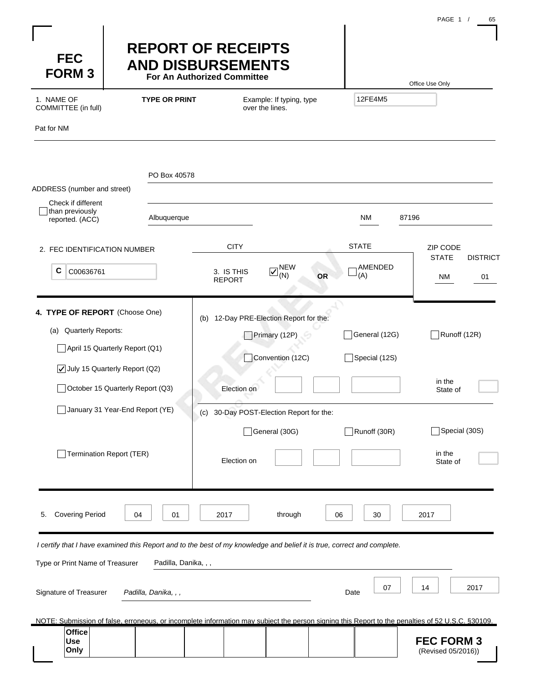| <b>FEC</b><br><b>FORM3</b><br>1. NAME OF<br>COMMITTEE (in full)<br>Pat for NM                    | <b>REPORT OF RECEIPTS</b><br><b>AND DISBURSEMENTS</b><br>For An Authorized Committee<br><b>TYPE OR PRINT</b>                                                                                   | 12FE4M5                                                                                                                                                                                                                                                                     | Office Use Only                                |                                                               |
|--------------------------------------------------------------------------------------------------|------------------------------------------------------------------------------------------------------------------------------------------------------------------------------------------------|-----------------------------------------------------------------------------------------------------------------------------------------------------------------------------------------------------------------------------------------------------------------------------|------------------------------------------------|---------------------------------------------------------------|
| ADDRESS (number and street)<br>Check if different<br>than previously<br>reported. (ACC)          | PO Box 40578<br>Albuquerque                                                                                                                                                                    |                                                                                                                                                                                                                                                                             | NM                                             | 87196                                                         |
| 2. FEC IDENTIFICATION NUMBER<br>С<br>C00636761                                                   |                                                                                                                                                                                                | <b>CITY</b><br>$\nabla$ <sup>NEW</sup><br>3. IS THIS<br>(N)<br><b>OR</b><br><b>REPORT</b>                                                                                                                                                                                   | <b>STATE</b><br>AMENDED<br>(A)                 | ZIP CODE<br><b>STATE</b><br><b>DISTRICT</b><br>ΝM<br>01       |
| 4. TYPE OF REPORT (Choose One)<br>(a) Quarterly Reports:                                         | April 15 Quarterly Report (Q1)<br>$\sqrt{\phantom{a}}$ July 15 Quarterly Report (Q2)<br>October 15 Quarterly Report (Q3)<br>January 31 Year-End Report (YE)<br><b>Termination Report (TER)</b> | (b) 12-Day PRE-Election Report for the:<br>Primary (12P)<br>Convention (12C)<br>Election on<br>30-Day POST-Election Report for the:<br>(c)<br>General (30G)                                                                                                                 | General (12G)<br>Special (12S)<br>Runoff (30R) | Runoff (12R)<br>in the<br>State of<br>Special (30S)<br>in the |
| <b>Covering Period</b><br>5.                                                                     | 01<br>04                                                                                                                                                                                       | Election on<br>through<br>2017                                                                                                                                                                                                                                              | 06<br>30                                       | State of<br>2017                                              |
| Type or Print Name of Treasurer<br>Signature of Treasurer<br><b>Office</b><br><b>Use</b><br>Only | Padilla, Danika, , ,<br>Padilla, Danika, , ,                                                                                                                                                   | I certify that I have examined this Report and to the best of my knowledge and belief it is true, correct and complete.<br>NOTE: Submission of false, erroneous, or incomplete information may subiect the person signing this Report to the penalties of 52 U.S.C. §30109. | 07<br>Date                                     | 2017<br>14<br><b>FEC FORM 3</b><br>(Revised 05/2016))         |

PAGF 1 / 65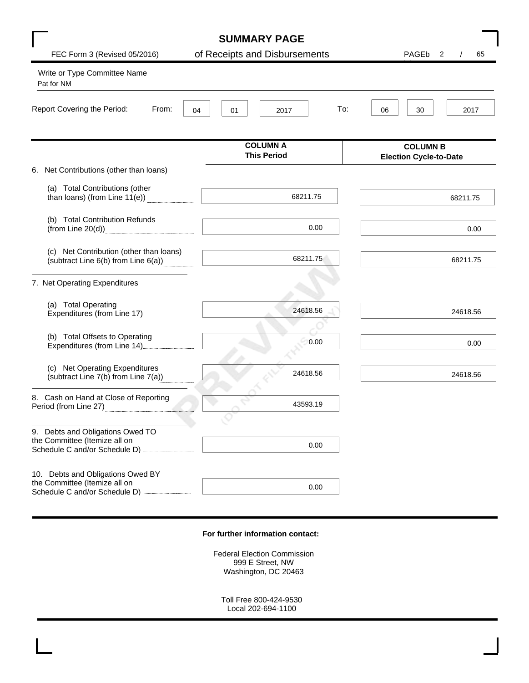|                                                                                                       | <b>SUMMARY PAGE</b>                   |                                                  |
|-------------------------------------------------------------------------------------------------------|---------------------------------------|--------------------------------------------------|
| FEC Form 3 (Revised 05/2016)                                                                          | of Receipts and Disbursements         | PAGEb<br>$\overline{\mathbf{2}}$<br>65           |
| Write or Type Committee Name<br>Pat for NM                                                            |                                       |                                                  |
| Report Covering the Period:<br>From:<br>04                                                            | To:<br>01<br>2017                     | 06<br>30<br>2017                                 |
|                                                                                                       | <b>COLUMN A</b><br><b>This Period</b> | <b>COLUMN B</b><br><b>Election Cycle-to-Date</b> |
| 6. Net Contributions (other than loans)                                                               |                                       |                                                  |
| (a) Total Contributions (other<br>than loans) (from Line 11(e))                                       | 68211.75                              | 68211.75                                         |
| (b) Total Contribution Refunds<br>(from Line $20(d)$ )                                                | 0.00                                  | 0.00                                             |
| (c) Net Contribution (other than loans)<br>(subtract Line 6(b) from Line 6(a))                        | 68211.75                              | 68211.75                                         |
| 7. Net Operating Expenditures                                                                         |                                       |                                                  |
| (a) Total Operating<br>Expenditures (from Line 17)                                                    | 24618.56                              | 24618.56                                         |
| (b) Total Offsets to Operating<br>Expenditures (from Line 14)                                         | 0.00                                  | 0.00                                             |
| (c) Net Operating Expenditures<br>(subtract Line 7(b) from Line 7(a))                                 | 24618.56                              | 24618.56                                         |
| 8. Cash on Hand at Close of Reporting<br>Period (from Line 27)                                        | 43593.19                              |                                                  |
| 9. Debts and Obligations Owed TO<br>the Committee (Itemize all on<br>Schedule C and/or Schedule D)    | 0.00                                  |                                                  |
| 10. Debts and Obligations Owed BY<br>the Committee (Itemize all on<br>Schedule C and/or Schedule D) - | 0.00                                  |                                                  |

#### **For further information contact:**

Federal Election Commission 999 E Street, NW Washington, DC 20463

Toll Free 800-424-9530 Local 202-694-1100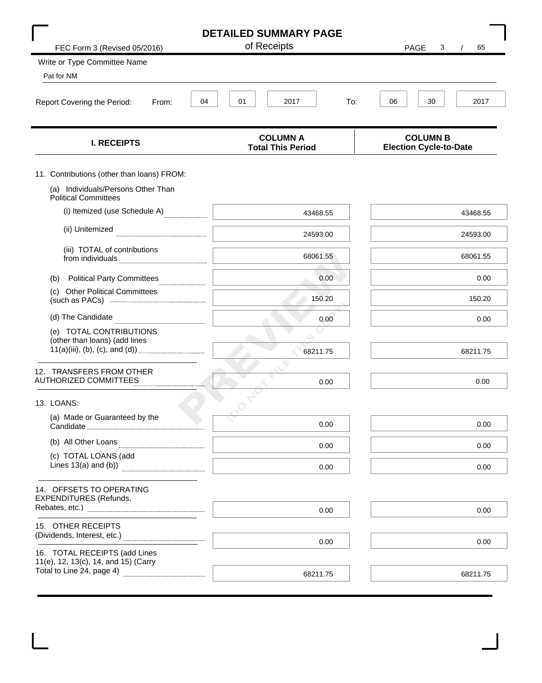|                                                                               | <b>DETAILED SUMMARY PAGE</b>                |                                                  |  |  |  |  |  |  |
|-------------------------------------------------------------------------------|---------------------------------------------|--------------------------------------------------|--|--|--|--|--|--|
| FEC Form 3 (Revised 05/2016)                                                  | of Receipts                                 | <b>PAGE</b><br>65<br>3                           |  |  |  |  |  |  |
| Write or Type Committee Name                                                  |                                             |                                                  |  |  |  |  |  |  |
| Pat for NM                                                                    |                                             |                                                  |  |  |  |  |  |  |
| 04<br>Report Covering the Period:<br>From:                                    | 01<br>2017<br>To:                           | 06<br>30<br>2017                                 |  |  |  |  |  |  |
| <b>I. RECEIPTS</b>                                                            | <b>COLUMN A</b><br><b>Total This Period</b> | <b>COLUMN B</b><br><b>Election Cycle-to-Date</b> |  |  |  |  |  |  |
| 11. Contributions (other than loans) FROM:                                    |                                             |                                                  |  |  |  |  |  |  |
| (a) Individuals/Persons Other Than<br><b>Political Committees</b>             |                                             |                                                  |  |  |  |  |  |  |
| (i) Itemized (use Schedule A)                                                 | 43468.55                                    | 43468.55                                         |  |  |  |  |  |  |
| (ii) Unitemized                                                               | 24593.00                                    | 24593.00                                         |  |  |  |  |  |  |
| (iii) TOTAL of contributions<br>from individuals                              | 68061.55                                    | 68061.55                                         |  |  |  |  |  |  |
| <b>Political Party Committees</b><br>(b)                                      | 0.00                                        | 0.00                                             |  |  |  |  |  |  |
| (c) Other Political Committees<br>(such as PACs) <b>All and Security</b> CHCS | 150.20                                      | 150.20                                           |  |  |  |  |  |  |
| (d) The Candidate                                                             | 0.00                                        | 0.00                                             |  |  |  |  |  |  |
| (e) TOTAL CONTRIBUTIONS                                                       |                                             |                                                  |  |  |  |  |  |  |
| (other than loans) (add lines<br>11(a)(iii), (b), (c), and (d)).              | 68211.75                                    | 68211.75                                         |  |  |  |  |  |  |
| 12. TRANSFERS FROM OTHER<br><b>AUTHORIZED COMMITTEES</b>                      | 0.00                                        | 0.00                                             |  |  |  |  |  |  |
| 13. LOANS:                                                                    |                                             |                                                  |  |  |  |  |  |  |
| (a) Made or Guaranteed by the<br>Candidate                                    | 0.00                                        | 0.00                                             |  |  |  |  |  |  |
| (b) All Other Loans                                                           | 0.00                                        | 0.00                                             |  |  |  |  |  |  |
| (c) TOTAL LOANS (add<br>Lines $13(a)$ and $(b)$ )                             | 0.00                                        | 0.00                                             |  |  |  |  |  |  |
| 14. OFFSETS TO OPERATING<br><b>EXPENDITURES</b> (Refunds,                     |                                             |                                                  |  |  |  |  |  |  |
|                                                                               | 0.00                                        | 0.00                                             |  |  |  |  |  |  |
| 15. OTHER RECEIPTS<br>(Dividends, Interest, etc.)                             |                                             |                                                  |  |  |  |  |  |  |
| 16. TOTAL RECEIPTS (add Lines                                                 | 0.00                                        | 0.00                                             |  |  |  |  |  |  |
| 11(e), 12, 13(c), 14, and 15) (Carry<br>Total to Line 24, page 4)             | 68211.75                                    | 68211.75                                         |  |  |  |  |  |  |
|                                                                               |                                             |                                                  |  |  |  |  |  |  |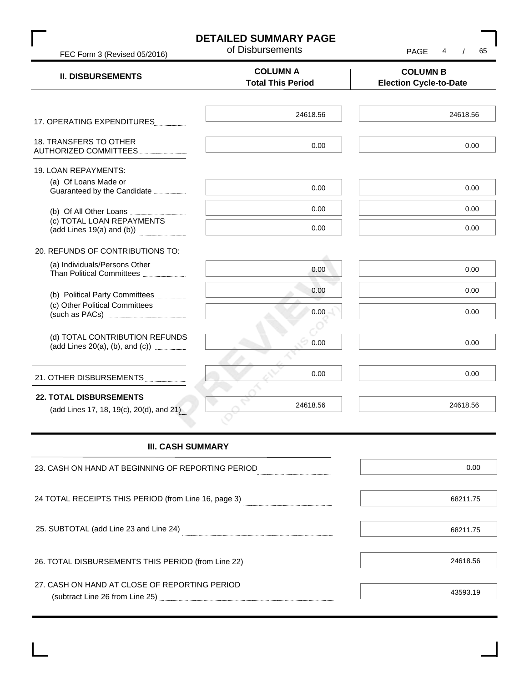| FEC Form 3 (Revised 05/2016)                                                                                                                                                                                                                                               | <b>DETAILED SUMMARY PAGE</b><br>of Disbursements | <b>PAGE</b><br>4<br>65                           |  |  |  |  |
|----------------------------------------------------------------------------------------------------------------------------------------------------------------------------------------------------------------------------------------------------------------------------|--------------------------------------------------|--------------------------------------------------|--|--|--|--|
| <b>II. DISBURSEMENTS</b>                                                                                                                                                                                                                                                   | <b>COLUMN A</b><br><b>Total This Period</b>      | <b>COLUMN B</b><br><b>Election Cycle-to-Date</b> |  |  |  |  |
| 17. OPERATING EXPENDITURES                                                                                                                                                                                                                                                 | 24618.56                                         | 24618.56                                         |  |  |  |  |
| 18. TRANSFERS TO OTHER<br>AUTHORIZED COMMITTEES                                                                                                                                                                                                                            | 0.00                                             | 0.00                                             |  |  |  |  |
| 19. LOAN REPAYMENTS:<br>(a) Of Loans Made or<br>Guaranteed by the Candidate <b>CALLER</b>                                                                                                                                                                                  | 0.00                                             | 0.00                                             |  |  |  |  |
| (b) Of All Other Loans <b>[2010]</b><br>(c) TOTAL LOAN REPAYMENTS<br>(add Lines 19(a) and (b))                                                                                                                                                                             | 0.00<br>0.00                                     | 0.00<br>0.00                                     |  |  |  |  |
| 20. REFUNDS OF CONTRIBUTIONS TO:                                                                                                                                                                                                                                           |                                                  |                                                  |  |  |  |  |
| (a) Individuals/Persons Other<br>Than Political Committees                                                                                                                                                                                                                 | 0.00                                             | 0.00                                             |  |  |  |  |
| (b) Political Party Committees                                                                                                                                                                                                                                             | 0.00                                             | 0.00                                             |  |  |  |  |
| (c) Other Political Committees                                                                                                                                                                                                                                             | 0.00                                             | 0.00                                             |  |  |  |  |
| (d) TOTAL CONTRIBUTION REFUNDS<br>(add Lines 20(a), (b), and (c)) <b><i>manual</i></b> (and the control of the control of the control of the control of the control of the control of the control of the control of the control of the control of the control of the contr | 0.00                                             | 0.00                                             |  |  |  |  |
| 21. OTHER DISBURSEMENTS                                                                                                                                                                                                                                                    | 0.00                                             | 0.00                                             |  |  |  |  |
| <b>22. TOTAL DISBURSEMENTS</b><br>(add Lines 17, 18, 19(c), 20(d), and 21)                                                                                                                                                                                                 | 24618.56                                         | 24618.56                                         |  |  |  |  |

#### **III. CASH SUMMARY**

| 23. CASH ON HAND AT BEGINNING OF REPORTING PERIOD    | 0.00     |
|------------------------------------------------------|----------|
| 24 TOTAL RECEIPTS THIS PERIOD (from Line 16, page 3) | 68211.75 |
| 25. SUBTOTAL (add Line 23 and Line 24)               | 68211.75 |
| 26. TOTAL DISBURSEMENTS THIS PERIOD (from Line 22)   | 24618.56 |
| 27. CASH ON HAND AT CLOSE OF REPORTING PERIOD        |          |
| (subtract Line 26 from Line 25)                      | 43593.19 |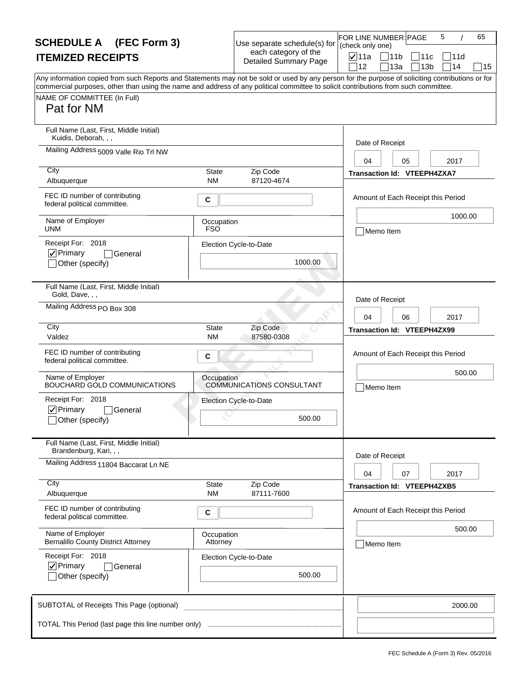| <b>SCHEDULE A</b> (FEC Form 3)                                                                                                                                                                                                                                                                                                       |                          | Use separate schedule(s) for                         | FOR LINE NUMBER: PAGE<br>(check only one) |                                    |                        | 5          | 65 |
|--------------------------------------------------------------------------------------------------------------------------------------------------------------------------------------------------------------------------------------------------------------------------------------------------------------------------------------|--------------------------|------------------------------------------------------|-------------------------------------------|------------------------------------|------------------------|------------|----|
| <b>ITEMIZED RECEIPTS</b>                                                                                                                                                                                                                                                                                                             |                          | each category of the<br><b>Detailed Summary Page</b> | $\nabla$ 11a<br>12                        | $\Box$ 11b<br>13a                  | 11c<br>13 <sub>b</sub> | 11d<br>714 | 15 |
| Any information copied from such Reports and Statements may not be sold or used by any person for the purpose of soliciting contributions or for<br>commercial purposes, other than using the name and address of any political committee to solicit contributions from such committee.<br>NAME OF COMMITTEE (In Full)<br>Pat for NM |                          |                                                      |                                           |                                    |                        |            |    |
| Full Name (Last, First, Middle Initial)<br>Kuidis, Deborah, , ,                                                                                                                                                                                                                                                                      |                          |                                                      | Date of Receipt                           |                                    |                        |            |    |
| Mailing Address 5009 Valle Rio Trl NW                                                                                                                                                                                                                                                                                                |                          |                                                      | 04                                        | 05                                 |                        | 2017       |    |
| City<br>Albuquerque                                                                                                                                                                                                                                                                                                                  | State<br><b>NM</b>       | Zip Code<br>87120-4674                               |                                           | Transaction Id: VTEEPH4ZXA7        |                        |            |    |
| FEC ID number of contributing<br>federal political committee.                                                                                                                                                                                                                                                                        | C                        |                                                      |                                           | Amount of Each Receipt this Period |                        |            |    |
| Name of Employer<br><b>UNM</b>                                                                                                                                                                                                                                                                                                       | Occupation<br><b>FSO</b> |                                                      | Memo Item                                 |                                    |                        | 1000.00    |    |
| Receipt For: 2018<br>$ $ $\checkmark$ Primary<br>General<br>Other (specify)                                                                                                                                                                                                                                                          |                          | Election Cycle-to-Date<br>1000.00                    |                                           |                                    |                        |            |    |
| Full Name (Last, First, Middle Initial)<br>Gold, Dave, , ,                                                                                                                                                                                                                                                                           |                          |                                                      | Date of Receipt                           |                                    |                        |            |    |
| Mailing Address PO Box 308                                                                                                                                                                                                                                                                                                           |                          |                                                      | 04                                        | 06                                 |                        | 2017       |    |
| City<br>Valdez                                                                                                                                                                                                                                                                                                                       | <b>State</b><br>ΝM       | Zip Code<br>87580-0308                               |                                           | Transaction Id: VTEEPH4ZX99        |                        |            |    |
| FEC ID number of contributing<br>federal political committee.                                                                                                                                                                                                                                                                        | C                        |                                                      |                                           | Amount of Each Receipt this Period |                        |            |    |
| Name of Employer<br>BOUCHARD GOLD COMMUNICATIONS                                                                                                                                                                                                                                                                                     | Occupation               | COMMUNICATIONS CONSULTANT                            | Memo Item                                 |                                    |                        | 500.00     |    |
| Receipt For: 2018<br>$\nabla$ Primary<br>General<br>_lOther (specify)                                                                                                                                                                                                                                                                |                          | Election Cycle-to-Date<br>500.00                     |                                           |                                    |                        |            |    |
| Full Name (Last, First, Middle Initial)<br>Brandenburg, Kari, , ,                                                                                                                                                                                                                                                                    |                          |                                                      |                                           |                                    |                        |            |    |
| Mailing Address 11804 Baccarat Ln NE                                                                                                                                                                                                                                                                                                 |                          |                                                      | Date of Receipt<br>04                     | 07                                 |                        | 2017       |    |
| City<br>Albuquerque                                                                                                                                                                                                                                                                                                                  | State<br><b>NM</b>       | Zip Code<br>87111-7600                               |                                           | Transaction Id: VTEEPH4ZXB5        |                        |            |    |
| FEC ID number of contributing<br>federal political committee.                                                                                                                                                                                                                                                                        | С                        |                                                      |                                           | Amount of Each Receipt this Period |                        |            |    |
| Name of Employer<br><b>Bernalillo County District Attorney</b>                                                                                                                                                                                                                                                                       | Occupation<br>Attorney   |                                                      | Memo Item                                 |                                    |                        | 500.00     |    |
| Receipt For: 2018<br>$\nabla$ Primary<br>General<br>Other (specify)                                                                                                                                                                                                                                                                  |                          | Election Cycle-to-Date<br>500.00                     |                                           |                                    |                        |            |    |
| SUBTOTAL of Receipts This Page (optional)                                                                                                                                                                                                                                                                                            |                          |                                                      |                                           |                                    |                        | 2000.00    |    |
|                                                                                                                                                                                                                                                                                                                                      |                          |                                                      |                                           |                                    |                        |            |    |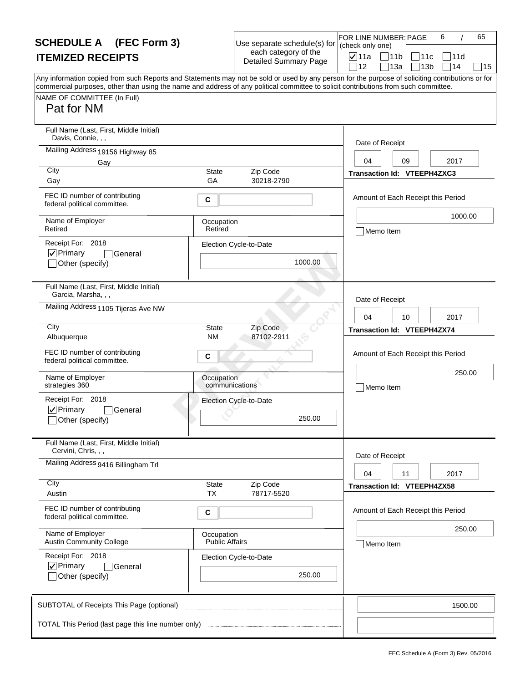| <b>SCHEDULE A</b> (FEC Form 3)                                                                                                                                                                                                                                                                                                       |                                     | Use separate schedule(s) for                         | FOR LINE NUMBER: PAGE<br>(check only one) |                                    | 6            | 65 |
|--------------------------------------------------------------------------------------------------------------------------------------------------------------------------------------------------------------------------------------------------------------------------------------------------------------------------------------|-------------------------------------|------------------------------------------------------|-------------------------------------------|------------------------------------|--------------|----|
| <b>ITEMIZED RECEIPTS</b>                                                                                                                                                                                                                                                                                                             |                                     | each category of the<br><b>Detailed Summary Page</b> | <b>⊽</b> 11a<br>12                        | 11b<br>11c                         | 111 d<br>114 |    |
| Any information copied from such Reports and Statements may not be sold or used by any person for the purpose of soliciting contributions or for<br>commercial purposes, other than using the name and address of any political committee to solicit contributions from such committee.<br>NAME OF COMMITTEE (In Full)<br>Pat for NM |                                     |                                                      |                                           | 13a<br>13 <sub>b</sub>             |              | 15 |
| Full Name (Last, First, Middle Initial)<br>Davis, Connie, , ,                                                                                                                                                                                                                                                                        |                                     |                                                      | Date of Receipt                           |                                    |              |    |
| Mailing Address 19156 Highway 85<br>Gay                                                                                                                                                                                                                                                                                              |                                     |                                                      | 04                                        | 09                                 | 2017         |    |
| City<br>Gay                                                                                                                                                                                                                                                                                                                          | <b>State</b><br>GA                  | Zip Code<br>30218-2790                               |                                           | Transaction Id: VTEEPH4ZXC3        |              |    |
| FEC ID number of contributing<br>federal political committee.                                                                                                                                                                                                                                                                        | C                                   |                                                      |                                           | Amount of Each Receipt this Period |              |    |
| Name of Employer<br>Retired                                                                                                                                                                                                                                                                                                          | Occupation<br>Retired               |                                                      | Memo Item                                 |                                    | 1000.00      |    |
| Receipt For: 2018<br>$ $ V Primary<br>General<br>Other (specify)                                                                                                                                                                                                                                                                     |                                     | Election Cycle-to-Date<br>1000.00                    |                                           |                                    |              |    |
| Full Name (Last, First, Middle Initial)<br>Garcia, Marsha, , ,                                                                                                                                                                                                                                                                       |                                     |                                                      | Date of Receipt                           |                                    |              |    |
| Mailing Address 1105 Tijeras Ave NW                                                                                                                                                                                                                                                                                                  |                                     |                                                      | 04                                        | 10                                 | 2017         |    |
| City<br>Albuquerque                                                                                                                                                                                                                                                                                                                  | <b>State</b><br><b>NM</b>           | Zip Code<br>87102-2911                               |                                           | Transaction Id: VTEEPH4ZX74        |              |    |
| FEC ID number of contributing<br>federal political committee.                                                                                                                                                                                                                                                                        | C                                   |                                                      |                                           | Amount of Each Receipt this Period |              |    |
| Name of Employer<br>strategies 360                                                                                                                                                                                                                                                                                                   | Occupation<br>communications        |                                                      | Memo Item                                 |                                    | 250.00       |    |
| Receipt For: 2018<br>$\nabla$ Primary<br>General<br>_lOther (specify)                                                                                                                                                                                                                                                                |                                     | Election Cycle-to-Date<br>250.00                     |                                           |                                    |              |    |
| Full Name (Last, First, Middle Initial)<br>Cervini, Chris, , ,                                                                                                                                                                                                                                                                       |                                     |                                                      |                                           |                                    |              |    |
| Mailing Address 9416 Billingham Trl                                                                                                                                                                                                                                                                                                  |                                     |                                                      | Date of Receipt<br>04                     | 11                                 | 2017         |    |
| City<br>Austin                                                                                                                                                                                                                                                                                                                       | State<br><b>TX</b>                  | Zip Code<br>78717-5520                               |                                           | Transaction Id: VTEEPH4ZX58        |              |    |
| FEC ID number of contributing<br>federal political committee.                                                                                                                                                                                                                                                                        | C                                   |                                                      |                                           | Amount of Each Receipt this Period |              |    |
| Name of Employer<br><b>Austin Community College</b>                                                                                                                                                                                                                                                                                  | Occupation<br><b>Public Affairs</b> |                                                      | Memo Item                                 |                                    | 250.00       |    |
| Receipt For: 2018<br>$\nabla$ Primary<br><b>General</b><br>Other (specify)                                                                                                                                                                                                                                                           |                                     | Election Cycle-to-Date<br>250.00                     |                                           |                                    |              |    |
| SUBTOTAL of Receipts This Page (optional)                                                                                                                                                                                                                                                                                            |                                     |                                                      |                                           |                                    | 1500.00      |    |
|                                                                                                                                                                                                                                                                                                                                      |                                     |                                                      |                                           |                                    |              |    |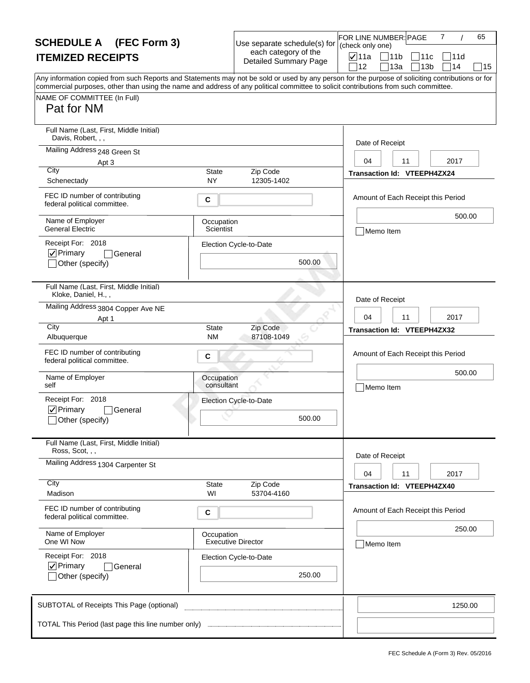| <b>SCHEDULE A</b> (FEC Form 3)                                                                                                                   |                           | Use separate schedule(s) for                         | 7<br>65<br>FOR LINE NUMBER: PAGE<br>(check only one) |
|--------------------------------------------------------------------------------------------------------------------------------------------------|---------------------------|------------------------------------------------------|------------------------------------------------------|
| <b>ITEMIZED RECEIPTS</b>                                                                                                                         |                           | each category of the<br><b>Detailed Summary Page</b> | <b>⊽</b> ∣11a<br>711b<br> 11c<br>111d                |
| Any information copied from such Reports and Statements may not be sold or used by any person for the purpose of soliciting contributions or for |                           |                                                      | 14<br>12<br>13a<br>13 <sub>b</sub><br>15             |
| commercial purposes, other than using the name and address of any political committee to solicit contributions from such committee.              |                           |                                                      |                                                      |
| NAME OF COMMITTEE (In Full)<br>Pat for NM                                                                                                        |                           |                                                      |                                                      |
|                                                                                                                                                  |                           |                                                      |                                                      |
| Full Name (Last, First, Middle Initial)<br>Davis, Robert,                                                                                        |                           |                                                      | Date of Receipt                                      |
| Mailing Address 248 Green St                                                                                                                     |                           |                                                      | 2017<br>04<br>11                                     |
| Apt 3<br>City                                                                                                                                    | State                     | Zip Code                                             | Transaction Id: VTEEPH4ZX24                          |
| Schenectady                                                                                                                                      | <b>NY</b>                 | 12305-1402                                           |                                                      |
| FEC ID number of contributing<br>federal political committee.                                                                                    | C                         |                                                      | Amount of Each Receipt this Period                   |
| Name of Employer<br><b>General Electric</b>                                                                                                      | Occupation<br>Scientist   |                                                      | 500.00<br>Memo Item                                  |
| Receipt For: 2018                                                                                                                                |                           | Election Cycle-to-Date                               |                                                      |
| $ $ V Primary<br>General                                                                                                                         |                           |                                                      |                                                      |
| Other (specify)                                                                                                                                  |                           | 500.00                                               |                                                      |
| Full Name (Last, First, Middle Initial)<br>Kloke, Daniel, H.,,                                                                                   |                           |                                                      |                                                      |
| Mailing Address 3804 Copper Ave NE                                                                                                               |                           |                                                      | Date of Receipt                                      |
| Apt 1<br>City                                                                                                                                    |                           |                                                      | 2017<br>04<br>11                                     |
| Albuquerque                                                                                                                                      | <b>State</b><br><b>NM</b> | Zip Code<br>87108-1049                               | Transaction Id: VTEEPH4ZX32                          |
| FEC ID number of contributing<br>federal political committee.                                                                                    | C                         |                                                      | Amount of Each Receipt this Period                   |
| Name of Employer<br>self                                                                                                                         | Occupation<br>consultant  |                                                      | 500.00<br>Memo Item                                  |
| Receipt For: 2018                                                                                                                                |                           | Election Cycle-to-Date                               |                                                      |
| $\nabla$ Primary<br>l General                                                                                                                    |                           |                                                      |                                                      |
| _lOther (specify)                                                                                                                                |                           | 500.00                                               |                                                      |
| Full Name (Last, First, Middle Initial)<br>Ross, Scot, , ,                                                                                       |                           |                                                      |                                                      |
| Mailing Address 1304 Carpenter St                                                                                                                |                           |                                                      | Date of Receipt                                      |
|                                                                                                                                                  |                           |                                                      | 04<br>11<br>2017                                     |
| City<br>Madison                                                                                                                                  | State<br>WI               | Zip Code<br>53704-4160                               | Transaction Id: VTEEPH4ZX40                          |
| FEC ID number of contributing<br>federal political committee.                                                                                    | С                         |                                                      | Amount of Each Receipt this Period                   |
| Name of Employer                                                                                                                                 | Occupation                |                                                      | 250.00                                               |
| One WI Now                                                                                                                                       |                           | <b>Executive Director</b>                            | Memo Item                                            |
| Receipt For: 2018<br>$\nabla$ Primary<br>General                                                                                                 |                           | Election Cycle-to-Date                               |                                                      |
| Other (specify)                                                                                                                                  |                           | 250.00                                               |                                                      |
| SUBTOTAL of Receipts This Page (optional)                                                                                                        |                           |                                                      | 1250.00                                              |
|                                                                                                                                                  |                           |                                                      |                                                      |
|                                                                                                                                                  |                           |                                                      |                                                      |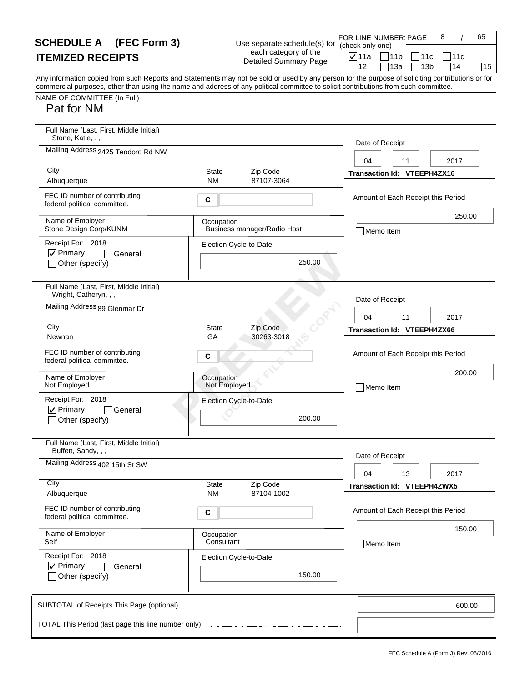| <b>SCHEDULE A</b> (FEC Form 3)                                                                                                                                                                                                                                                                                                       |                            | Use separate schedule(s) for                         | FOR LINE NUMBER: PAGE<br>(check only one) |                                      | 8          | 65     |
|--------------------------------------------------------------------------------------------------------------------------------------------------------------------------------------------------------------------------------------------------------------------------------------------------------------------------------------|----------------------------|------------------------------------------------------|-------------------------------------------|--------------------------------------|------------|--------|
| <b>ITEMIZED RECEIPTS</b>                                                                                                                                                                                                                                                                                                             |                            | each category of the<br><b>Detailed Summary Page</b> | $\nabla$ 11a<br>12                        | 11b<br>11c<br>13a<br>13 <sub>b</sub> | 11d<br>]14 | 15     |
| Any information copied from such Reports and Statements may not be sold or used by any person for the purpose of soliciting contributions or for<br>commercial purposes, other than using the name and address of any political committee to solicit contributions from such committee.<br>NAME OF COMMITTEE (In Full)<br>Pat for NM |                            |                                                      |                                           |                                      |            |        |
| Full Name (Last, First, Middle Initial)<br>Stone, Katie, , ,                                                                                                                                                                                                                                                                         |                            |                                                      | Date of Receipt                           |                                      |            |        |
| Mailing Address 2425 Teodoro Rd NW<br>City                                                                                                                                                                                                                                                                                           | State                      | Zip Code                                             | 04                                        | 11<br>Transaction Id: VTEEPH4ZX16    | 2017       |        |
| Albuquerque                                                                                                                                                                                                                                                                                                                          | <b>NM</b>                  | 87107-3064                                           |                                           |                                      |            |        |
| FEC ID number of contributing<br>federal political committee.                                                                                                                                                                                                                                                                        | C                          |                                                      |                                           | Amount of Each Receipt this Period   |            |        |
| Name of Employer<br>Stone Design Corp/KUNM                                                                                                                                                                                                                                                                                           | Occupation                 | Business manager/Radio Host                          | Memo Item                                 |                                      | 250.00     |        |
| Receipt For: 2018<br>$\nabla$ Primary<br>General                                                                                                                                                                                                                                                                                     |                            | Election Cycle-to-Date                               |                                           |                                      |            |        |
| Other (specify)                                                                                                                                                                                                                                                                                                                      |                            | 250.00                                               |                                           |                                      |            |        |
| Full Name (Last, First, Middle Initial)<br>Wright, Catheryn, , ,                                                                                                                                                                                                                                                                     |                            |                                                      | Date of Receipt                           |                                      |            |        |
| Mailing Address 89 Glenmar Dr                                                                                                                                                                                                                                                                                                        |                            |                                                      | 04                                        | 11                                   | 2017       |        |
| City<br>Newnan                                                                                                                                                                                                                                                                                                                       | <b>State</b><br>GA         | Zip Code<br>30263-3018                               |                                           | Transaction Id: VTEEPH4ZX66          |            |        |
| FEC ID number of contributing<br>federal political committee.                                                                                                                                                                                                                                                                        | C                          |                                                      |                                           | Amount of Each Receipt this Period   |            |        |
| Name of Employer<br>Not Employed                                                                                                                                                                                                                                                                                                     | Occupation<br>Not Employed |                                                      | Memo Item                                 |                                      | 200.00     |        |
| Receipt For: 2018                                                                                                                                                                                                                                                                                                                    |                            | Election Cycle-to-Date                               |                                           |                                      |            |        |
| $\nabla$ Primary<br>General<br>_lOther (specify)                                                                                                                                                                                                                                                                                     |                            | 200.00                                               |                                           |                                      |            |        |
| Full Name (Last, First, Middle Initial)<br>Buffett, Sandy, , ,                                                                                                                                                                                                                                                                       |                            |                                                      | Date of Receipt                           |                                      |            |        |
| Mailing Address 402 15th St SW                                                                                                                                                                                                                                                                                                       |                            |                                                      | 04                                        | 13                                   | 2017       |        |
| City<br>Albuquerque                                                                                                                                                                                                                                                                                                                  | State<br><b>NM</b>         | Zip Code<br>87104-1002                               |                                           | Transaction Id: VTEEPH4ZWX5          |            |        |
| FEC ID number of contributing<br>federal political committee.                                                                                                                                                                                                                                                                        | С                          |                                                      |                                           | Amount of Each Receipt this Period   |            |        |
| Name of Employer<br>Self                                                                                                                                                                                                                                                                                                             | Occupation<br>Consultant   |                                                      | Memo Item                                 |                                      | 150.00     |        |
| Receipt For: 2018<br>$\nabla$ Primary                                                                                                                                                                                                                                                                                                |                            | Election Cycle-to-Date                               |                                           |                                      |            |        |
| General<br>Other (specify)                                                                                                                                                                                                                                                                                                           |                            | 150.00                                               |                                           |                                      |            |        |
| SUBTOTAL of Receipts This Page (optional)                                                                                                                                                                                                                                                                                            |                            |                                                      |                                           |                                      |            | 600.00 |
|                                                                                                                                                                                                                                                                                                                                      |                            |                                                      |                                           |                                      |            |        |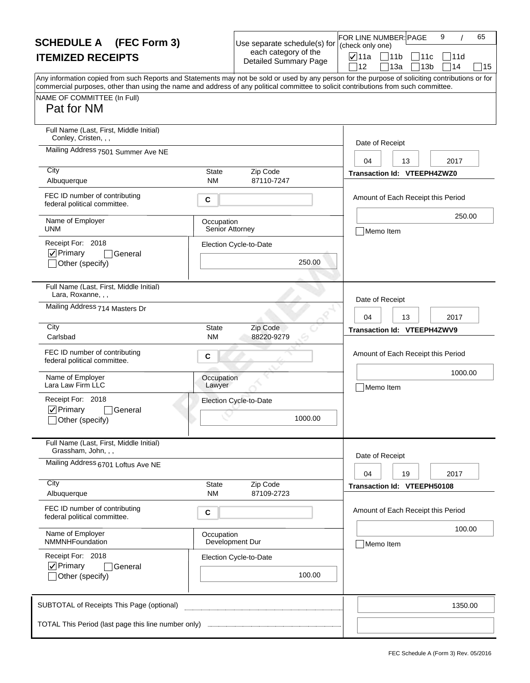| <b>SCHEDULE A</b> (FEC Form 3)                                                                                                                                                                                                                                                                                                       |                               | Use separate schedule(s) for                         | FOR LINE NUMBER: PAGE<br>(check only one) |                                    | 9               |         | 65 |
|--------------------------------------------------------------------------------------------------------------------------------------------------------------------------------------------------------------------------------------------------------------------------------------------------------------------------------------|-------------------------------|------------------------------------------------------|-------------------------------------------|------------------------------------|-----------------|---------|----|
| <b>ITEMIZED RECEIPTS</b>                                                                                                                                                                                                                                                                                                             |                               | each category of the<br><b>Detailed Summary Page</b> | <b>⊽</b> ∣11a                             | $\Box$ 11b                         | 11c             | 111 d   |    |
| Any information copied from such Reports and Statements may not be sold or used by any person for the purpose of soliciting contributions or for<br>commercial purposes, other than using the name and address of any political committee to solicit contributions from such committee.<br>NAME OF COMMITTEE (In Full)<br>Pat for NM |                               |                                                      | 12                                        | 13a                                | 13 <sub>b</sub> | 14      | 15 |
| Full Name (Last, First, Middle Initial)<br>Conley, Cristen, , ,                                                                                                                                                                                                                                                                      |                               |                                                      | Date of Receipt                           |                                    |                 |         |    |
| Mailing Address 7501 Summer Ave NE                                                                                                                                                                                                                                                                                                   |                               |                                                      | 04                                        | 13                                 |                 | 2017    |    |
| City<br>Albuquerque                                                                                                                                                                                                                                                                                                                  | State<br><b>NM</b>            | Zip Code<br>87110-7247                               |                                           | <b>Transaction Id: VTEEPH4ZWZ0</b> |                 |         |    |
| FEC ID number of contributing<br>federal political committee.                                                                                                                                                                                                                                                                        | C                             |                                                      |                                           | Amount of Each Receipt this Period |                 |         |    |
| Name of Employer<br><b>UNM</b>                                                                                                                                                                                                                                                                                                       | Occupation<br>Senior Attorney |                                                      | Memo Item                                 |                                    |                 | 250.00  |    |
| Receipt For: 2018<br>$ $ $\checkmark$ Primary<br> General<br>Other (specify)                                                                                                                                                                                                                                                         |                               | Election Cycle-to-Date<br>250.00                     |                                           |                                    |                 |         |    |
| Full Name (Last, First, Middle Initial)<br>Lara, Roxanne, , ,                                                                                                                                                                                                                                                                        |                               |                                                      | Date of Receipt                           |                                    |                 |         |    |
| Mailing Address 714 Masters Dr                                                                                                                                                                                                                                                                                                       |                               |                                                      | 04                                        | 13                                 |                 | 2017    |    |
| City<br>Carlsbad                                                                                                                                                                                                                                                                                                                     | <b>State</b><br><b>NM</b>     | Zip Code<br>88220-9279                               |                                           | Transaction Id: VTEEPH4ZWV9        |                 |         |    |
| FEC ID number of contributing<br>federal political committee.                                                                                                                                                                                                                                                                        | C                             |                                                      |                                           | Amount of Each Receipt this Period |                 |         |    |
| Name of Employer<br>Lara Law Firm LLC                                                                                                                                                                                                                                                                                                | Occupation<br>Lawyer          |                                                      |                                           | Memo Item                          |                 | 1000.00 |    |
| Receipt For: 2018<br>$\nabla$ Primary<br><b>General</b><br>_lOther (specify)                                                                                                                                                                                                                                                         |                               | Election Cycle-to-Date<br>1000.00                    |                                           |                                    |                 |         |    |
| Full Name (Last, First, Middle Initial)<br>Grassham, John, , ,                                                                                                                                                                                                                                                                       |                               |                                                      | Date of Receipt                           |                                    |                 |         |    |
| Mailing Address 6701 Loftus Ave NE                                                                                                                                                                                                                                                                                                   |                               |                                                      | 04                                        | 19                                 |                 | 2017    |    |
| City<br>Albuquerque                                                                                                                                                                                                                                                                                                                  | State<br><b>NM</b>            | Zip Code<br>87109-2723                               |                                           | Transaction Id: VTEEPH50108        |                 |         |    |
| FEC ID number of contributing<br>federal political committee.                                                                                                                                                                                                                                                                        | С                             |                                                      |                                           | Amount of Each Receipt this Period |                 |         |    |
| Name of Employer<br>NMMNHFoundation                                                                                                                                                                                                                                                                                                  | Occupation                    | Development Dur                                      | Memo Item                                 |                                    |                 | 100.00  |    |
| Receipt For: 2018<br>$\nabla$ Primary<br><b>General</b><br>Other (specify)                                                                                                                                                                                                                                                           |                               | Election Cycle-to-Date<br>100.00                     |                                           |                                    |                 |         |    |
| SUBTOTAL of Receipts This Page (optional)                                                                                                                                                                                                                                                                                            |                               |                                                      |                                           |                                    |                 | 1350.00 |    |
|                                                                                                                                                                                                                                                                                                                                      |                               |                                                      |                                           |                                    |                 |         |    |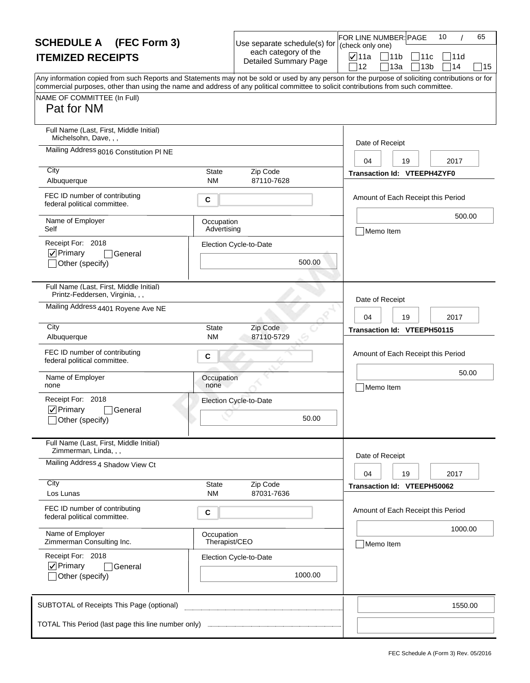| <b>SCHEDULE A</b> (FEC Form 3)                                                                                                                                                                                                                                                                                                       |                             | Use separate schedule(s) for                         | 65<br>FOR LINE NUMBER: PAGE<br>10<br>(check only one) |
|--------------------------------------------------------------------------------------------------------------------------------------------------------------------------------------------------------------------------------------------------------------------------------------------------------------------------------------|-----------------------------|------------------------------------------------------|-------------------------------------------------------|
| <b>ITEMIZED RECEIPTS</b>                                                                                                                                                                                                                                                                                                             |                             | each category of the<br><b>Detailed Summary Page</b> | <b>⊽</b> 11a<br> 11b<br>111с<br>111d                  |
| Any information copied from such Reports and Statements may not be sold or used by any person for the purpose of soliciting contributions or for<br>commercial purposes, other than using the name and address of any political committee to solicit contributions from such committee.<br>NAME OF COMMITTEE (In Full)<br>Pat for NM |                             |                                                      | 14<br>12<br>13a<br>13 <sub>b</sub><br>15              |
| Full Name (Last, First, Middle Initial)<br>Michelsohn, Dave, , ,                                                                                                                                                                                                                                                                     |                             |                                                      | Date of Receipt                                       |
| Mailing Address 8016 Constitution PI NE                                                                                                                                                                                                                                                                                              |                             |                                                      | 2017<br>04<br>19                                      |
| City<br>Albuquerque                                                                                                                                                                                                                                                                                                                  | <b>State</b><br><b>NM</b>   | Zip Code<br>87110-7628                               | <b>Transaction Id: VTEEPH4ZYF0</b>                    |
| FEC ID number of contributing<br>federal political committee.                                                                                                                                                                                                                                                                        | С                           |                                                      | Amount of Each Receipt this Period                    |
| Name of Employer<br>Self                                                                                                                                                                                                                                                                                                             | Occupation<br>Advertising   |                                                      | 500.00<br>Memo Item                                   |
| Receipt For: 2018<br>$\nabla$ Primary<br>General<br>Other (specify)                                                                                                                                                                                                                                                                  |                             | Election Cycle-to-Date<br>500.00                     |                                                       |
| Full Name (Last, First, Middle Initial)<br>Printz-Feddersen, Virginia, , ,                                                                                                                                                                                                                                                           |                             |                                                      | Date of Receipt                                       |
| Mailing Address 4401 Royene Ave NE                                                                                                                                                                                                                                                                                                   |                             |                                                      | 2017<br>04<br>19                                      |
| City<br>Albuquerque                                                                                                                                                                                                                                                                                                                  | <b>State</b><br><b>NM</b>   | Zip Code<br>87110-5729                               | Transaction Id: VTEEPH50115                           |
| FEC ID number of contributing<br>federal political committee.                                                                                                                                                                                                                                                                        | С                           |                                                      | Amount of Each Receipt this Period                    |
| Name of Employer<br>none                                                                                                                                                                                                                                                                                                             | Occupation<br>none          |                                                      | 50.00<br>Memo Item                                    |
| Receipt For: 2018<br>$\nabla$ Primary<br>General<br>_lOther (specify)                                                                                                                                                                                                                                                                |                             | Election Cycle-to-Date<br>50.00                      |                                                       |
| Full Name (Last, First, Middle Initial)<br>Zimmerman, Linda, , ,                                                                                                                                                                                                                                                                     |                             |                                                      |                                                       |
| Mailing Address 4 Shadow View Ct                                                                                                                                                                                                                                                                                                     |                             |                                                      | Date of Receipt<br>04<br>19<br>2017                   |
| City<br>Los Lunas                                                                                                                                                                                                                                                                                                                    | <b>State</b><br><b>NM</b>   | Zip Code<br>87031-7636                               | <b>Transaction Id: VTEEPH50062</b>                    |
| FEC ID number of contributing<br>federal political committee.                                                                                                                                                                                                                                                                        | С                           |                                                      | Amount of Each Receipt this Period                    |
| Name of Employer<br>Zimmerman Consulting Inc.                                                                                                                                                                                                                                                                                        | Occupation<br>Therapist/CEO |                                                      | 1000.00<br>Memo Item                                  |
| Receipt For: 2018<br>$\nabla$ Primary<br>General<br>Other (specify)                                                                                                                                                                                                                                                                  |                             | Election Cycle-to-Date<br>1000.00                    |                                                       |
| SUBTOTAL of Receipts This Page (optional)                                                                                                                                                                                                                                                                                            |                             |                                                      | 1550.00                                               |
|                                                                                                                                                                                                                                                                                                                                      |                             |                                                      |                                                       |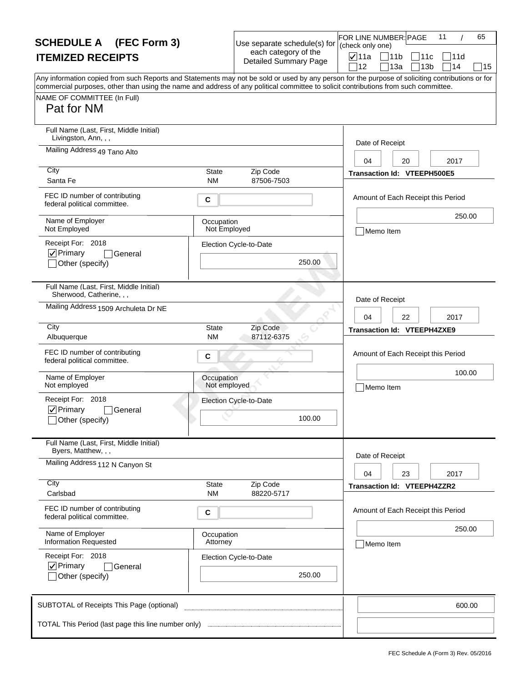| <b>SCHEDULE A</b> (FEC Form 3)                                                                                                                                                                                                                                                                                                       |                            | Use separate schedule(s) for                         | FOR LINE NUMBER: PAGE<br>(check only one) |                                    | 11                                    | 65     |
|--------------------------------------------------------------------------------------------------------------------------------------------------------------------------------------------------------------------------------------------------------------------------------------------------------------------------------------|----------------------------|------------------------------------------------------|-------------------------------------------|------------------------------------|---------------------------------------|--------|
| <b>ITEMIZED RECEIPTS</b>                                                                                                                                                                                                                                                                                                             |                            | each category of the<br><b>Detailed Summary Page</b> | $\nabla$ 11a<br>12                        | 11b<br>13a                         | 11c<br> 11d<br>714<br>13 <sub>b</sub> | 15     |
| Any information copied from such Reports and Statements may not be sold or used by any person for the purpose of soliciting contributions or for<br>commercial purposes, other than using the name and address of any political committee to solicit contributions from such committee.<br>NAME OF COMMITTEE (In Full)<br>Pat for NM |                            |                                                      |                                           |                                    |                                       |        |
| Full Name (Last, First, Middle Initial)<br>Livingston, Ann, , ,<br>Mailing Address 49 Tano Alto                                                                                                                                                                                                                                      |                            |                                                      | Date of Receipt<br>04                     | 20                                 | 2017                                  |        |
| City<br>Santa Fe                                                                                                                                                                                                                                                                                                                     | <b>State</b><br><b>NM</b>  | Zip Code<br>87506-7503                               |                                           | Transaction Id: VTEEPH500E5        |                                       |        |
| FEC ID number of contributing<br>federal political committee.                                                                                                                                                                                                                                                                        | C                          |                                                      |                                           | Amount of Each Receipt this Period |                                       |        |
| Name of Employer<br>Not Employed                                                                                                                                                                                                                                                                                                     | Occupation<br>Not Employed |                                                      | Memo Item                                 |                                    |                                       | 250.00 |
| Receipt For: 2018<br>$ $ $\checkmark$ Primary<br>General<br>Other (specify)                                                                                                                                                                                                                                                          |                            | Election Cycle-to-Date<br>250.00                     |                                           |                                    |                                       |        |
| Full Name (Last, First, Middle Initial)<br>Sherwood, Catherine, , ,                                                                                                                                                                                                                                                                  |                            |                                                      | Date of Receipt                           |                                    |                                       |        |
| Mailing Address 1509 Archuleta Dr NE                                                                                                                                                                                                                                                                                                 |                            |                                                      | 04                                        | 22                                 | 2017                                  |        |
| City<br>Albuquerque                                                                                                                                                                                                                                                                                                                  | <b>State</b><br>ΝM         | Zip Code<br>87112-6375                               |                                           | <b>Transaction Id: VTEEPH4ZXE9</b> |                                       |        |
| FEC ID number of contributing<br>federal political committee.                                                                                                                                                                                                                                                                        | C                          |                                                      |                                           | Amount of Each Receipt this Period |                                       |        |
| Name of Employer<br>Not employed                                                                                                                                                                                                                                                                                                     | Occupation<br>Not employed |                                                      | Memo Item                                 |                                    |                                       | 100.00 |
| Receipt For: 2018<br>$\nabla$ Primary<br>General<br>_lOther (specify)                                                                                                                                                                                                                                                                |                            | Election Cycle-to-Date<br>100.00                     |                                           |                                    |                                       |        |
| Full Name (Last, First, Middle Initial)<br>Byers, Matthew, , ,                                                                                                                                                                                                                                                                       |                            |                                                      |                                           |                                    |                                       |        |
| Mailing Address 112 N Canyon St                                                                                                                                                                                                                                                                                                      |                            |                                                      | Date of Receipt<br>04                     | 23                                 | 2017                                  |        |
| City<br>Carlsbad                                                                                                                                                                                                                                                                                                                     | State<br><b>NM</b>         | Zip Code<br>88220-5717                               |                                           | Transaction Id: VTEEPH4ZZR2        |                                       |        |
| FEC ID number of contributing<br>federal political committee.                                                                                                                                                                                                                                                                        | С                          |                                                      |                                           | Amount of Each Receipt this Period |                                       |        |
| Name of Employer<br><b>Information Requested</b>                                                                                                                                                                                                                                                                                     | Occupation<br>Attorney     |                                                      | Memo Item                                 |                                    |                                       | 250.00 |
| Receipt For: 2018<br>$\nabla$ Primary<br>General<br>Other (specify)                                                                                                                                                                                                                                                                  |                            | Election Cycle-to-Date<br>250.00                     |                                           |                                    |                                       |        |
| SUBTOTAL of Receipts This Page (optional)                                                                                                                                                                                                                                                                                            |                            |                                                      |                                           |                                    |                                       | 600.00 |
| TOTAL This Period (last page this line number only)                                                                                                                                                                                                                                                                                  |                            |                                                      |                                           |                                    |                                       |        |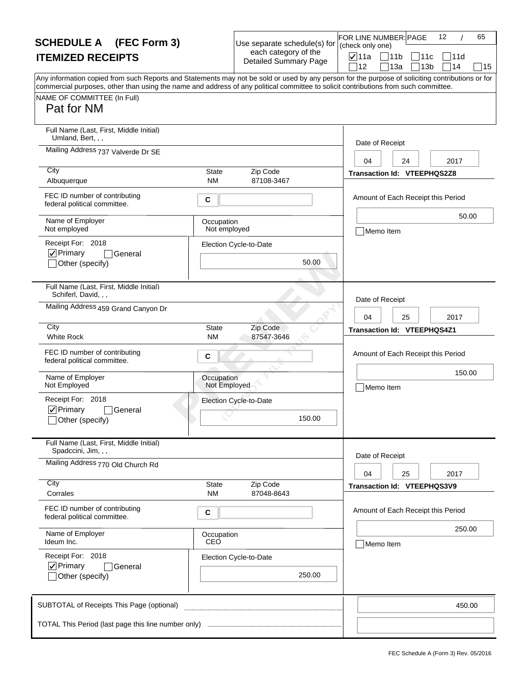| <b>SCHEDULE A</b> (FEC Form 3)                                                                                                                                                                                                                                                                                                       |                            | Use separate schedule(s) for                         | FOR LINE NUMBER: PAGE<br>(check only one) |                                    | 12                    | 65     |
|--------------------------------------------------------------------------------------------------------------------------------------------------------------------------------------------------------------------------------------------------------------------------------------------------------------------------------------|----------------------------|------------------------------------------------------|-------------------------------------------|------------------------------------|-----------------------|--------|
| <b>ITEMIZED RECEIPTS</b>                                                                                                                                                                                                                                                                                                             |                            | each category of the<br><b>Detailed Summary Page</b> | <b>⊽</b> ∣11a                             | 711b<br> 11c                       | 111d                  |        |
| Any information copied from such Reports and Statements may not be sold or used by any person for the purpose of soliciting contributions or for<br>commercial purposes, other than using the name and address of any political committee to solicit contributions from such committee.<br>NAME OF COMMITTEE (In Full)<br>Pat for NM |                            |                                                      | 12                                        | 13a                                | 14<br>13 <sub>b</sub> | 15     |
| Full Name (Last, First, Middle Initial)<br>Umland, Bert, , ,<br>Mailing Address 737 Valverde Dr SE                                                                                                                                                                                                                                   |                            |                                                      | Date of Receipt                           |                                    |                       |        |
| City                                                                                                                                                                                                                                                                                                                                 |                            |                                                      | 04                                        | 24                                 | 2017                  |        |
| Albuquerque                                                                                                                                                                                                                                                                                                                          | State<br><b>NM</b>         | Zip Code<br>87108-3467                               |                                           | Transaction Id: VTEEPHQS2Z8        |                       |        |
| FEC ID number of contributing<br>federal political committee.                                                                                                                                                                                                                                                                        | C                          |                                                      |                                           | Amount of Each Receipt this Period |                       |        |
| Name of Employer<br>Not employed                                                                                                                                                                                                                                                                                                     | Occupation<br>Not employed |                                                      | Memo Item                                 |                                    |                       | 50.00  |
| Receipt For: 2018<br>$ $ V Primary<br>General<br>Other (specify)                                                                                                                                                                                                                                                                     |                            | Election Cycle-to-Date<br>50.00                      |                                           |                                    |                       |        |
| Full Name (Last, First, Middle Initial)<br>Schiferl, David, , ,                                                                                                                                                                                                                                                                      |                            |                                                      | Date of Receipt                           |                                    |                       |        |
| Mailing Address 459 Grand Canyon Dr                                                                                                                                                                                                                                                                                                  |                            |                                                      | 04                                        | 25                                 | 2017                  |        |
| City<br><b>White Rock</b>                                                                                                                                                                                                                                                                                                            | <b>State</b><br><b>NM</b>  | Zip Code<br>87547-3646                               |                                           | Transaction Id: VTEEPHQS4Z1        |                       |        |
| FEC ID number of contributing<br>federal political committee.                                                                                                                                                                                                                                                                        | C                          |                                                      |                                           | Amount of Each Receipt this Period |                       |        |
| Name of Employer<br>Not Employed                                                                                                                                                                                                                                                                                                     | Occupation<br>Not Employed |                                                      | Memo Item                                 |                                    |                       | 150.00 |
| Receipt For: 2018<br>$\nabla$ Primary<br><b>General</b><br>_lOther (specify)                                                                                                                                                                                                                                                         |                            | Election Cycle-to-Date<br>150.00                     |                                           |                                    |                       |        |
| Full Name (Last, First, Middle Initial)<br>Spadccini, Jim, , ,                                                                                                                                                                                                                                                                       |                            |                                                      | Date of Receipt                           |                                    |                       |        |
| Mailing Address 770 Old Church Rd                                                                                                                                                                                                                                                                                                    |                            |                                                      | 04                                        | 25                                 | 2017                  |        |
| City<br>Corrales                                                                                                                                                                                                                                                                                                                     | State<br><b>NM</b>         | Zip Code<br>87048-8643                               |                                           | Transaction Id: VTEEPHQS3V9        |                       |        |
| FEC ID number of contributing<br>federal political committee.                                                                                                                                                                                                                                                                        | С                          |                                                      |                                           | Amount of Each Receipt this Period |                       |        |
| Name of Employer<br>Ideum Inc.                                                                                                                                                                                                                                                                                                       | Occupation<br>CEO          |                                                      | Memo Item                                 |                                    |                       | 250.00 |
| Receipt For: 2018<br>$\nabla$ Primary<br>General<br>Other (specify)                                                                                                                                                                                                                                                                  |                            | Election Cycle-to-Date<br>250.00                     |                                           |                                    |                       |        |
| SUBTOTAL of Receipts This Page (optional)                                                                                                                                                                                                                                                                                            |                            |                                                      |                                           |                                    |                       | 450.00 |
| TOTAL This Period (last page this line number only)                                                                                                                                                                                                                                                                                  |                            |                                                      |                                           |                                    |                       |        |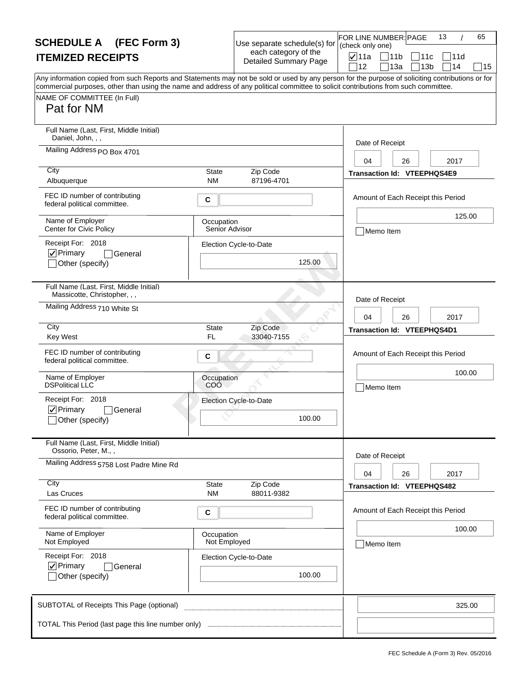| <b>SCHEDULE A</b> (FEC Form 3)                                                                                                                                                                                                                                                                                                       |                              | Use separate schedule(s) for                         | FOR LINE NUMBER: PAGE<br>(check only one) |                                    | 65<br>13 |    |
|--------------------------------------------------------------------------------------------------------------------------------------------------------------------------------------------------------------------------------------------------------------------------------------------------------------------------------------|------------------------------|------------------------------------------------------|-------------------------------------------|------------------------------------|----------|----|
| <b>ITEMIZED RECEIPTS</b>                                                                                                                                                                                                                                                                                                             |                              | each category of the<br><b>Detailed Summary Page</b> | <b>⊽</b> 11a                              | 11b<br>111с                        | 111d     |    |
| Any information copied from such Reports and Statements may not be sold or used by any person for the purpose of soliciting contributions or for<br>commercial purposes, other than using the name and address of any political committee to solicit contributions from such committee.<br>NAME OF COMMITTEE (In Full)<br>Pat for NM |                              |                                                      | 12                                        | 13a<br>13 <sub>b</sub>             | 14       | 15 |
| Full Name (Last, First, Middle Initial)<br>Daniel, John, , ,<br>Mailing Address PO Box 4701                                                                                                                                                                                                                                          |                              |                                                      | Date of Receipt                           |                                    |          |    |
| City<br>Albuquerque                                                                                                                                                                                                                                                                                                                  | <b>State</b><br><b>NM</b>    | Zip Code<br>87196-4701                               | 04                                        | 26<br>Transaction Id: VTEEPHQS4E9  | 2017     |    |
| FEC ID number of contributing<br>federal political committee.                                                                                                                                                                                                                                                                        | С                            |                                                      |                                           | Amount of Each Receipt this Period |          |    |
| Name of Employer<br>Center for Civic Policy                                                                                                                                                                                                                                                                                          | Occupation<br>Senior Advisor |                                                      | Memo Item                                 |                                    | 125.00   |    |
| Receipt For: 2018<br>$\nabla$ Primary<br>General<br>Other (specify)                                                                                                                                                                                                                                                                  |                              | Election Cycle-to-Date<br>125.00                     |                                           |                                    |          |    |
| Full Name (Last, First, Middle Initial)<br>Massicotte, Christopher, , ,                                                                                                                                                                                                                                                              |                              |                                                      | Date of Receipt                           |                                    |          |    |
| Mailing Address 710 White St                                                                                                                                                                                                                                                                                                         |                              |                                                      | 04                                        | 26                                 | 2017     |    |
| City<br><b>Key West</b>                                                                                                                                                                                                                                                                                                              | <b>State</b><br>FL           | Zip Code<br>33040-7155                               |                                           | Transaction Id: VTEEPHQS4D1        |          |    |
| FEC ID number of contributing<br>federal political committee.                                                                                                                                                                                                                                                                        | С                            |                                                      |                                           | Amount of Each Receipt this Period |          |    |
| Name of Employer<br><b>DSPolitical LLC</b>                                                                                                                                                                                                                                                                                           | Occupation<br>COO            |                                                      | Memo Item                                 |                                    | 100.00   |    |
| Receipt For: 2018<br>$\nabla$ Primary<br>General<br>_lOther (specify)                                                                                                                                                                                                                                                                |                              | Election Cycle-to-Date<br>100.00                     |                                           |                                    |          |    |
| Full Name (Last, First, Middle Initial)<br>Ossorio, Peter, M.,,                                                                                                                                                                                                                                                                      |                              |                                                      |                                           |                                    |          |    |
| Mailing Address 5758 Lost Padre Mine Rd                                                                                                                                                                                                                                                                                              |                              |                                                      | Date of Receipt<br>04                     | 26                                 | 2017     |    |
| City<br>Las Cruces                                                                                                                                                                                                                                                                                                                   | <b>State</b><br><b>NM</b>    | Zip Code<br>88011-9382                               |                                           | <b>Transaction Id: VTEEPHQS482</b> |          |    |
| FEC ID number of contributing<br>federal political committee.                                                                                                                                                                                                                                                                        | С                            |                                                      |                                           | Amount of Each Receipt this Period |          |    |
| Name of Employer<br>Not Employed                                                                                                                                                                                                                                                                                                     | Occupation<br>Not Employed   |                                                      | Memo Item                                 |                                    | 100.00   |    |
| Receipt For: 2018<br>$\nabla$ Primary<br>General<br>Other (specify)                                                                                                                                                                                                                                                                  |                              | Election Cycle-to-Date<br>100.00                     |                                           |                                    |          |    |
| SUBTOTAL of Receipts This Page (optional)                                                                                                                                                                                                                                                                                            |                              |                                                      |                                           |                                    | 325.00   |    |
|                                                                                                                                                                                                                                                                                                                                      |                              |                                                      |                                           |                                    |          |    |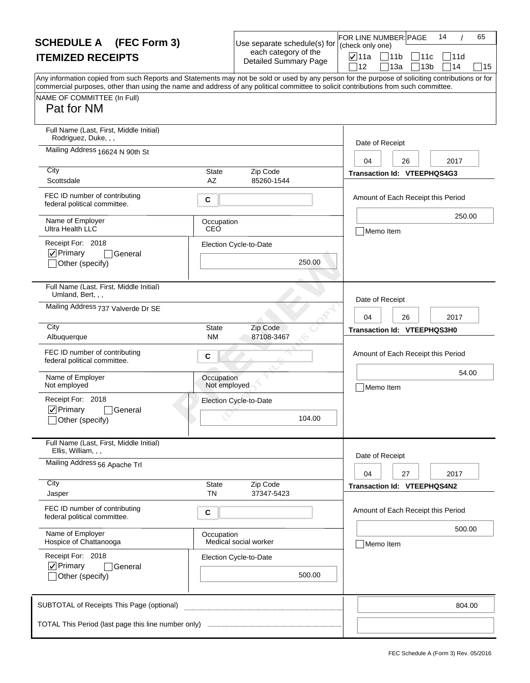| <b>SCHEDULE A</b> (FEC Form 3)                                                                                                                                                                                                                                                                                                       |                            | Use separate schedule(s) for                         | FOR LINE NUMBER: PAGE<br>(check only one) | 65<br>14                           |
|--------------------------------------------------------------------------------------------------------------------------------------------------------------------------------------------------------------------------------------------------------------------------------------------------------------------------------------|----------------------------|------------------------------------------------------|-------------------------------------------|------------------------------------|
| <b>ITEMIZED RECEIPTS</b>                                                                                                                                                                                                                                                                                                             |                            | each category of the<br><b>Detailed Summary Page</b> | <b>⊽</b> ∣11a                             | $\Box$ 11b<br> 11c<br>111d         |
| Any information copied from such Reports and Statements may not be sold or used by any person for the purpose of soliciting contributions or for<br>commercial purposes, other than using the name and address of any political committee to solicit contributions from such committee.<br>NAME OF COMMITTEE (In Full)<br>Pat for NM |                            |                                                      | 12                                        | 14<br>13a<br>13 <sub>b</sub><br>15 |
| Full Name (Last, First, Middle Initial)<br>Rodriguez, Duke, , ,                                                                                                                                                                                                                                                                      |                            |                                                      | Date of Receipt                           |                                    |
| Mailing Address 16624 N 90th St                                                                                                                                                                                                                                                                                                      |                            |                                                      | 04                                        | 2017<br>26                         |
| City<br>Scottsdale                                                                                                                                                                                                                                                                                                                   | State<br>AZ                | Zip Code<br>85260-1544                               |                                           | Transaction Id: VTEEPHQS4G3        |
| FEC ID number of contributing<br>federal political committee.                                                                                                                                                                                                                                                                        | C                          |                                                      |                                           | Amount of Each Receipt this Period |
| Name of Employer<br>Ultra Health LLC                                                                                                                                                                                                                                                                                                 | Occupation<br>CEO          |                                                      | Memo Item                                 | 250.00                             |
| Receipt For: 2018<br>$ $ $\checkmark$ Primary<br> General<br>Other (specify)                                                                                                                                                                                                                                                         |                            | Election Cycle-to-Date<br>250.00                     |                                           |                                    |
| Full Name (Last, First, Middle Initial)<br>Umland, Bert, , ,                                                                                                                                                                                                                                                                         |                            |                                                      | Date of Receipt                           |                                    |
| Mailing Address 737 Valverde Dr SE                                                                                                                                                                                                                                                                                                   |                            |                                                      | 04                                        | 2017<br>26                         |
| City<br>Albuquerque                                                                                                                                                                                                                                                                                                                  | <b>State</b><br><b>NM</b>  | Zip Code<br>87108-3467                               |                                           | Transaction Id: VTEEPHQS3H0        |
| FEC ID number of contributing<br>federal political committee.                                                                                                                                                                                                                                                                        | C                          |                                                      |                                           | Amount of Each Receipt this Period |
| Name of Employer<br>Not employed                                                                                                                                                                                                                                                                                                     | Occupation<br>Not employed |                                                      | Memo Item                                 | 54.00                              |
| Receipt For: 2018<br>$\nabla$ Primary<br>General<br>_lOther (specify)                                                                                                                                                                                                                                                                |                            | Election Cycle-to-Date<br>104.00                     |                                           |                                    |
| Full Name (Last, First, Middle Initial)<br>Ellis, William, , ,                                                                                                                                                                                                                                                                       |                            |                                                      | Date of Receipt                           |                                    |
| Mailing Address 56 Apache Trl                                                                                                                                                                                                                                                                                                        |                            |                                                      | 04                                        | 27<br>2017                         |
| City<br>Jasper                                                                                                                                                                                                                                                                                                                       | State<br><b>TN</b>         | Zip Code<br>37347-5423                               |                                           | Transaction Id: VTEEPHQS4N2        |
| FEC ID number of contributing<br>federal political committee.                                                                                                                                                                                                                                                                        | С                          |                                                      |                                           | Amount of Each Receipt this Period |
| Name of Employer<br>Hospice of Chattanooga                                                                                                                                                                                                                                                                                           | Occupation                 | Medical social worker                                | Memo Item                                 | 500.00                             |
| Receipt For: 2018<br>$\nabla$ Primary<br>General<br>Other (specify)                                                                                                                                                                                                                                                                  |                            | Election Cycle-to-Date<br>500.00                     |                                           |                                    |
| SUBTOTAL of Receipts This Page (optional)                                                                                                                                                                                                                                                                                            |                            |                                                      |                                           | 804.00                             |
| TOTAL This Period (last page this line number only)                                                                                                                                                                                                                                                                                  |                            |                                                      |                                           |                                    |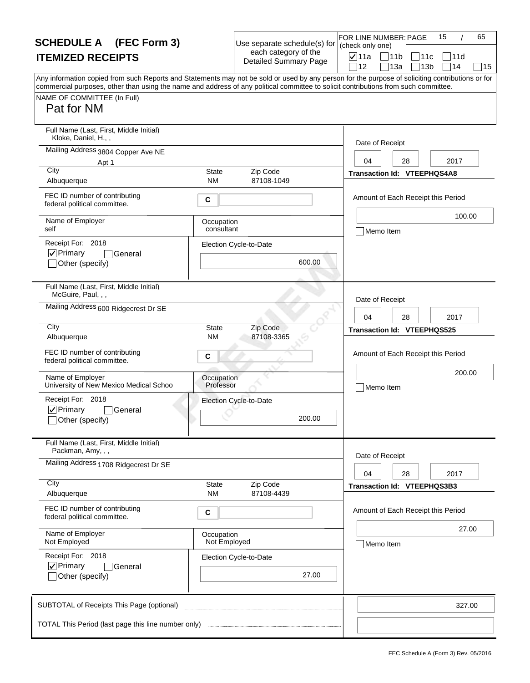| <b>SCHEDULE A</b> (FEC Form 3)                                                                                                                                                                                                                                                                                                       |                            | Use separate schedule(s) for                         | FOR LINE NUMBER: PAGE<br>(check only one) |                                      | 15         | 65    |
|--------------------------------------------------------------------------------------------------------------------------------------------------------------------------------------------------------------------------------------------------------------------------------------------------------------------------------------|----------------------------|------------------------------------------------------|-------------------------------------------|--------------------------------------|------------|-------|
| <b>ITEMIZED RECEIPTS</b>                                                                                                                                                                                                                                                                                                             |                            | each category of the<br><b>Detailed Summary Page</b> | $\nabla$ 11a<br>12                        | 11b<br>11c<br>13a<br>13 <sub>b</sub> | 11d<br>714 | 15    |
| Any information copied from such Reports and Statements may not be sold or used by any person for the purpose of soliciting contributions or for<br>commercial purposes, other than using the name and address of any political committee to solicit contributions from such committee.<br>NAME OF COMMITTEE (In Full)<br>Pat for NM |                            |                                                      |                                           |                                      |            |       |
| Full Name (Last, First, Middle Initial)<br>Kloke, Daniel, H.,,                                                                                                                                                                                                                                                                       |                            |                                                      | Date of Receipt                           |                                      |            |       |
| Mailing Address 3804 Copper Ave NE<br>Apt 1                                                                                                                                                                                                                                                                                          |                            |                                                      | 04                                        | 28                                   | 2017       |       |
| City<br>Albuquerque                                                                                                                                                                                                                                                                                                                  | <b>State</b><br><b>NM</b>  | Zip Code<br>87108-1049                               |                                           | Transaction Id: VTEEPHQS4A8          |            |       |
| FEC ID number of contributing<br>federal political committee.                                                                                                                                                                                                                                                                        | C                          |                                                      |                                           | Amount of Each Receipt this Period   |            |       |
| Name of Employer<br>self                                                                                                                                                                                                                                                                                                             | Occupation<br>consultant   |                                                      | Memo Item                                 |                                      | 100.00     |       |
| Receipt For: 2018<br>$\nabla$ Primary<br>General<br>Other (specify)                                                                                                                                                                                                                                                                  |                            | Election Cycle-to-Date<br>600.00                     |                                           |                                      |            |       |
| Full Name (Last, First, Middle Initial)<br>McGuire, Paul, , ,                                                                                                                                                                                                                                                                        |                            |                                                      | Date of Receipt                           |                                      |            |       |
| Mailing Address 600 Ridgecrest Dr SE                                                                                                                                                                                                                                                                                                 |                            |                                                      | 04                                        | 28                                   | 2017       |       |
| City<br>Albuquerque                                                                                                                                                                                                                                                                                                                  | <b>State</b><br>ΝM         | Zip Code<br>87108-3365                               |                                           | Transaction Id: VTEEPHQS525          |            |       |
| FEC ID number of contributing<br>federal political committee.                                                                                                                                                                                                                                                                        | C                          |                                                      |                                           | Amount of Each Receipt this Period   |            |       |
| Name of Employer<br>University of New Mexico Medical Schoo                                                                                                                                                                                                                                                                           | Occupation<br>Professor    |                                                      | Memo Item                                 |                                      | 200.00     |       |
| Receipt For: 2018<br>$\nabla$ Primary<br>General<br>_lOther (specify)                                                                                                                                                                                                                                                                |                            | Election Cycle-to-Date<br>200.00                     |                                           |                                      |            |       |
| Full Name (Last, First, Middle Initial)<br>Packman, Amy, , ,                                                                                                                                                                                                                                                                         |                            |                                                      |                                           |                                      |            |       |
| Mailing Address 1708 Ridgecrest Dr SE                                                                                                                                                                                                                                                                                                |                            |                                                      | Date of Receipt<br>04                     | 28                                   | 2017       |       |
| City<br>Albuquerque                                                                                                                                                                                                                                                                                                                  | State<br><b>NM</b>         | Zip Code<br>87108-4439                               |                                           | Transaction Id: VTEEPHQS3B3          |            |       |
| FEC ID number of contributing<br>federal political committee.                                                                                                                                                                                                                                                                        | С                          |                                                      |                                           | Amount of Each Receipt this Period   |            |       |
| Name of Employer<br>Not Employed                                                                                                                                                                                                                                                                                                     | Occupation<br>Not Employed |                                                      | Memo Item                                 |                                      |            | 27.00 |
| Receipt For: 2018<br>$\nabla$ Primary<br>General<br>Other (specify)                                                                                                                                                                                                                                                                  |                            | Election Cycle-to-Date<br>27.00                      |                                           |                                      |            |       |
| SUBTOTAL of Receipts This Page (optional)                                                                                                                                                                                                                                                                                            |                            |                                                      |                                           |                                      | 327.00     |       |
| TOTAL This Period (last page this line number only)                                                                                                                                                                                                                                                                                  |                            |                                                      |                                           |                                      |            |       |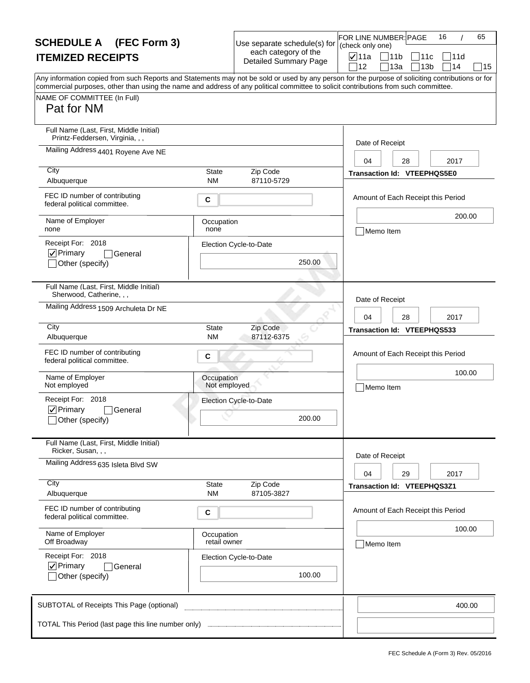| <b>SCHEDULE A</b> (FEC Form 3)                                                                                                                                                                                                                                                                                                       |                            | Use separate schedule(s) for                         | FOR LINE NUMBER: PAGE<br>(check only one) |                                      | 16         | 65 |
|--------------------------------------------------------------------------------------------------------------------------------------------------------------------------------------------------------------------------------------------------------------------------------------------------------------------------------------|----------------------------|------------------------------------------------------|-------------------------------------------|--------------------------------------|------------|----|
| <b>ITEMIZED RECEIPTS</b>                                                                                                                                                                                                                                                                                                             |                            | each category of the<br><b>Detailed Summary Page</b> | $\nabla$ 11a<br>12                        | 11b<br>11c<br>13a<br>13 <sub>b</sub> | 11d<br>714 | 15 |
| Any information copied from such Reports and Statements may not be sold or used by any person for the purpose of soliciting contributions or for<br>commercial purposes, other than using the name and address of any political committee to solicit contributions from such committee.<br>NAME OF COMMITTEE (In Full)<br>Pat for NM |                            |                                                      |                                           |                                      |            |    |
| Full Name (Last, First, Middle Initial)<br>Printz-Feddersen, Virginia, , ,                                                                                                                                                                                                                                                           |                            |                                                      | Date of Receipt                           |                                      |            |    |
| Mailing Address 4401 Royene Ave NE                                                                                                                                                                                                                                                                                                   |                            |                                                      | 04                                        | 28                                   | 2017       |    |
| City<br>Albuquerque                                                                                                                                                                                                                                                                                                                  | State<br><b>NM</b>         | Zip Code<br>87110-5729                               |                                           | <b>Transaction Id: VTEEPHQS5E0</b>   |            |    |
| FEC ID number of contributing<br>federal political committee.                                                                                                                                                                                                                                                                        | C                          |                                                      |                                           | Amount of Each Receipt this Period   |            |    |
| Name of Employer<br>none                                                                                                                                                                                                                                                                                                             | Occupation<br>none         |                                                      | Memo Item                                 |                                      | 200.00     |    |
| Receipt For: 2018<br>$ $ $\checkmark$ Primary<br>General<br>Other (specify)                                                                                                                                                                                                                                                          |                            | Election Cycle-to-Date<br>250.00                     |                                           |                                      |            |    |
| Full Name (Last, First, Middle Initial)<br>Sherwood, Catherine, , ,                                                                                                                                                                                                                                                                  |                            |                                                      | Date of Receipt                           |                                      |            |    |
| Mailing Address 1509 Archuleta Dr NE                                                                                                                                                                                                                                                                                                 |                            |                                                      | 04                                        | 28                                   | 2017       |    |
| City<br>Albuquerque                                                                                                                                                                                                                                                                                                                  | <b>State</b><br>ΝM         | Zip Code<br>87112-6375                               |                                           | Transaction Id: VTEEPHQS533          |            |    |
| FEC ID number of contributing<br>federal political committee.                                                                                                                                                                                                                                                                        | C                          |                                                      |                                           | Amount of Each Receipt this Period   |            |    |
| Name of Employer<br>Not employed                                                                                                                                                                                                                                                                                                     | Occupation<br>Not employed |                                                      | Memo Item                                 |                                      | 100.00     |    |
| Receipt For: 2018<br>$\nabla$ Primary<br>General<br>_lOther (specify)                                                                                                                                                                                                                                                                |                            | Election Cycle-to-Date<br>200.00                     |                                           |                                      |            |    |
| Full Name (Last, First, Middle Initial)<br>Ricker, Susan, , ,                                                                                                                                                                                                                                                                        |                            |                                                      | Date of Receipt                           |                                      |            |    |
| Mailing Address 635 Isleta Blvd SW                                                                                                                                                                                                                                                                                                   |                            |                                                      | 04                                        | 29                                   | 2017       |    |
| City<br>Albuquerque                                                                                                                                                                                                                                                                                                                  | State<br><b>NM</b>         | Zip Code<br>87105-3827                               |                                           | Transaction Id: VTEEPHQS3Z1          |            |    |
| FEC ID number of contributing<br>federal political committee.                                                                                                                                                                                                                                                                        | С                          |                                                      |                                           | Amount of Each Receipt this Period   |            |    |
| Name of Employer<br>Off Broadway                                                                                                                                                                                                                                                                                                     | Occupation<br>retail owner |                                                      | Memo Item                                 |                                      | 100.00     |    |
| Receipt For: 2018<br>$\nabla$ Primary<br>General<br>Other (specify)                                                                                                                                                                                                                                                                  |                            | Election Cycle-to-Date<br>100.00                     |                                           |                                      |            |    |
| SUBTOTAL of Receipts This Page (optional)                                                                                                                                                                                                                                                                                            |                            |                                                      |                                           |                                      | 400.00     |    |
|                                                                                                                                                                                                                                                                                                                                      |                            |                                                      |                                           |                                      |            |    |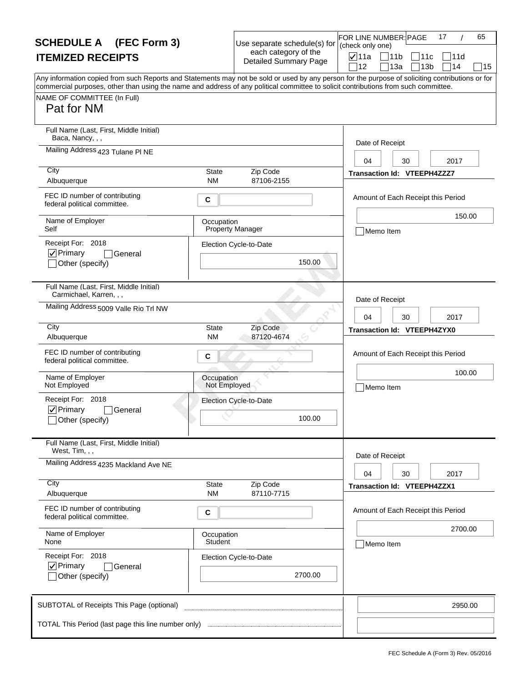| <b>SCHEDULE A</b> (FEC Form 3)                                                                                                                                                                                                                                                                                                       |                            | Use separate schedule(s) for                         | (check only one)      | FOR LINE NUMBER: PAGE                  | 17         | 65 |
|--------------------------------------------------------------------------------------------------------------------------------------------------------------------------------------------------------------------------------------------------------------------------------------------------------------------------------------|----------------------------|------------------------------------------------------|-----------------------|----------------------------------------|------------|----|
| <b>ITEMIZED RECEIPTS</b>                                                                                                                                                                                                                                                                                                             |                            | each category of the<br><b>Detailed Summary Page</b> | $\nabla$ 11a<br>12    | 11b<br> 11c <br>13a<br>13 <sub>b</sub> | 11d<br>714 | 15 |
| Any information copied from such Reports and Statements may not be sold or used by any person for the purpose of soliciting contributions or for<br>commercial purposes, other than using the name and address of any political committee to solicit contributions from such committee.<br>NAME OF COMMITTEE (In Full)<br>Pat for NM |                            |                                                      |                       |                                        |            |    |
| Full Name (Last, First, Middle Initial)<br>Baca, Nancy, , ,<br>Mailing Address 423 Tulane PI NE                                                                                                                                                                                                                                      |                            |                                                      | Date of Receipt       |                                        |            |    |
| City<br>Albuquerque                                                                                                                                                                                                                                                                                                                  | State<br><b>NM</b>         | Zip Code<br>87106-2155                               | 04                    | 30<br>Transaction Id: VTEEPH4ZZZ7      | 2017       |    |
| FEC ID number of contributing<br>federal political committee.                                                                                                                                                                                                                                                                        | C                          |                                                      |                       | Amount of Each Receipt this Period     |            |    |
| Name of Employer<br>Self                                                                                                                                                                                                                                                                                                             | Occupation                 | <b>Property Manager</b>                              | Memo Item             |                                        | 150.00     |    |
| Receipt For: 2018<br>$\nabla$ Primary<br>General<br>Other (specify)                                                                                                                                                                                                                                                                  |                            | Election Cycle-to-Date<br>150.00                     |                       |                                        |            |    |
| Full Name (Last, First, Middle Initial)<br>Carmichael, Karren, , ,                                                                                                                                                                                                                                                                   |                            |                                                      | Date of Receipt       |                                        |            |    |
| Mailing Address 5009 Valle Rio Trl NW                                                                                                                                                                                                                                                                                                |                            |                                                      | 04                    | 30                                     | 2017       |    |
| City<br>Albuquerque                                                                                                                                                                                                                                                                                                                  | <b>State</b><br>ΝM         | Zip Code<br>87120-4674                               |                       | Transaction Id: VTEEPH4ZYX0            |            |    |
| FEC ID number of contributing<br>federal political committee.                                                                                                                                                                                                                                                                        | C                          |                                                      |                       | Amount of Each Receipt this Period     |            |    |
| Name of Employer<br>Not Employed                                                                                                                                                                                                                                                                                                     | Occupation<br>Not Employed |                                                      | Memo Item             |                                        | 100.00     |    |
| Receipt For: 2018<br>$\nabla$ Primary<br>General<br>_lOther (specify)                                                                                                                                                                                                                                                                |                            | Election Cycle-to-Date<br>100.00                     |                       |                                        |            |    |
| Full Name (Last, First, Middle Initial)<br>West, Tim, , ,                                                                                                                                                                                                                                                                            |                            |                                                      |                       |                                        |            |    |
| Mailing Address 4235 Mackland Ave NE                                                                                                                                                                                                                                                                                                 |                            |                                                      | Date of Receipt<br>04 | 30                                     | 2017       |    |
| City<br>Albuquerque                                                                                                                                                                                                                                                                                                                  | State<br><b>NM</b>         | Zip Code<br>87110-7715                               |                       | <b>Transaction Id: VTEEPH4ZZX1</b>     |            |    |
| FEC ID number of contributing<br>federal political committee.                                                                                                                                                                                                                                                                        | С                          |                                                      |                       | Amount of Each Receipt this Period     |            |    |
| Name of Employer<br>None                                                                                                                                                                                                                                                                                                             | Occupation<br>Student      |                                                      | Memo Item             |                                        | 2700.00    |    |
| Receipt For: 2018<br>$\nabla$ Primary<br>General<br>Other (specify)                                                                                                                                                                                                                                                                  |                            | Election Cycle-to-Date<br>2700.00                    |                       |                                        |            |    |
| SUBTOTAL of Receipts This Page (optional)                                                                                                                                                                                                                                                                                            |                            |                                                      |                       |                                        | 2950.00    |    |
|                                                                                                                                                                                                                                                                                                                                      |                            |                                                      |                       |                                        |            |    |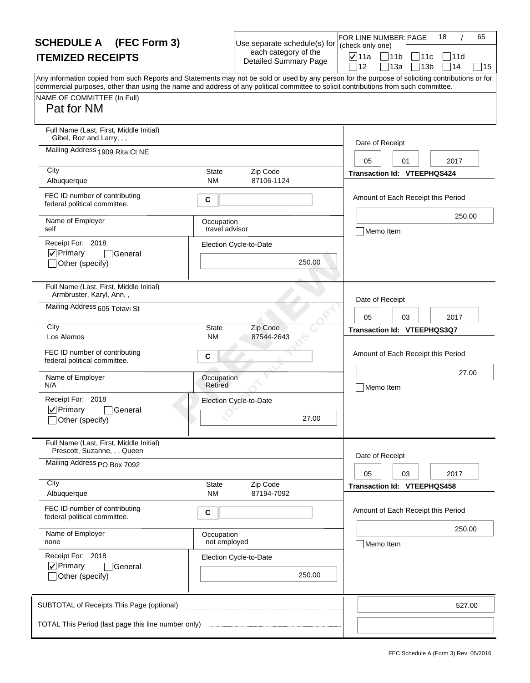| <b>SCHEDULE A</b> (FEC Form 3)                                                                                                                                                                                                                                                                                                       |                              | Use separate schedule(s) for                         | 65<br>FOR LINE NUMBER: PAGE<br>18<br>(check only one) |
|--------------------------------------------------------------------------------------------------------------------------------------------------------------------------------------------------------------------------------------------------------------------------------------------------------------------------------------|------------------------------|------------------------------------------------------|-------------------------------------------------------|
| <b>ITEMIZED RECEIPTS</b>                                                                                                                                                                                                                                                                                                             |                              | each category of the<br><b>Detailed Summary Page</b> | <b>⊽</b> 11a<br> 11b<br>111с<br>111d                  |
| Any information copied from such Reports and Statements may not be sold or used by any person for the purpose of soliciting contributions or for<br>commercial purposes, other than using the name and address of any political committee to solicit contributions from such committee.<br>NAME OF COMMITTEE (In Full)<br>Pat for NM |                              |                                                      | 14<br>12<br>13a<br>13 <sub>b</sub><br>15              |
| Full Name (Last, First, Middle Initial)<br>Gibel, Roz and Larry, , ,                                                                                                                                                                                                                                                                 |                              |                                                      | Date of Receipt                                       |
| Mailing Address 1909 Rita Ct NE                                                                                                                                                                                                                                                                                                      |                              |                                                      | 2017<br>05<br>01                                      |
| City<br>Albuquerque                                                                                                                                                                                                                                                                                                                  | <b>State</b><br><b>NM</b>    | Zip Code<br>87106-1124                               | <b>Transaction Id: VTEEPHQS424</b>                    |
| FEC ID number of contributing<br>federal political committee.                                                                                                                                                                                                                                                                        | С                            |                                                      | Amount of Each Receipt this Period                    |
| Name of Employer<br>self                                                                                                                                                                                                                                                                                                             | Occupation<br>travel advisor |                                                      | 250.00<br>Memo Item                                   |
| Receipt For: 2018<br>$\nabla$ Primary<br>General<br>Other (specify)                                                                                                                                                                                                                                                                  |                              | Election Cycle-to-Date<br>250.00                     |                                                       |
| Full Name (Last, First, Middle Initial)<br>Armbruster, Karyl, Ann,,                                                                                                                                                                                                                                                                  |                              |                                                      | Date of Receipt                                       |
| Mailing Address 605 Totavi St                                                                                                                                                                                                                                                                                                        |                              |                                                      | 2017<br>05<br>03                                      |
| City<br>Los Alamos                                                                                                                                                                                                                                                                                                                   | <b>State</b><br><b>NM</b>    | Zip Code<br>87544-2643                               | Transaction Id: VTEEPHQS3Q7                           |
| FEC ID number of contributing<br>federal political committee.                                                                                                                                                                                                                                                                        | С                            |                                                      | Amount of Each Receipt this Period                    |
| Name of Employer<br>N/A                                                                                                                                                                                                                                                                                                              | Occupation<br>Retired        |                                                      | 27.00<br>Memo Item                                    |
| Receipt For: 2018<br>$\nabla$ Primary<br>General<br>_lOther (specify)                                                                                                                                                                                                                                                                |                              | Election Cycle-to-Date<br>27.00                      |                                                       |
| Full Name (Last, First, Middle Initial)<br>Prescott, Suzanne, , , Queen                                                                                                                                                                                                                                                              |                              |                                                      |                                                       |
| Mailing Address PO Box 7092                                                                                                                                                                                                                                                                                                          |                              |                                                      | Date of Receipt<br>05<br>03<br>2017                   |
| City<br>Albuquerque                                                                                                                                                                                                                                                                                                                  | State<br><b>NM</b>           | Zip Code<br>87194-7092                               | Transaction Id: VTEEPHQS458                           |
| FEC ID number of contributing<br>federal political committee.                                                                                                                                                                                                                                                                        | С                            |                                                      | Amount of Each Receipt this Period                    |
| Name of Employer<br>none                                                                                                                                                                                                                                                                                                             | Occupation<br>not employed   |                                                      | 250.00<br>Memo Item                                   |
| Receipt For: 2018<br>$\nabla$ Primary<br>General                                                                                                                                                                                                                                                                                     |                              | Election Cycle-to-Date                               |                                                       |
| Other (specify)                                                                                                                                                                                                                                                                                                                      |                              | 250.00                                               |                                                       |
| SUBTOTAL of Receipts This Page (optional)                                                                                                                                                                                                                                                                                            |                              |                                                      | 527.00                                                |
|                                                                                                                                                                                                                                                                                                                                      |                              |                                                      |                                                       |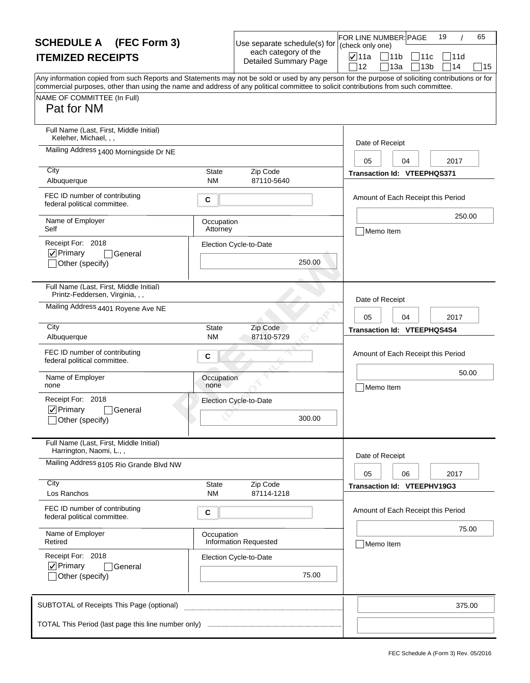| <b>SCHEDULE A</b> (FEC Form 3)                                                                                                                                                                                                                                                          |                           | Use separate schedule(s) for                         | FOR LINE NUMBER: PAGE<br>(check only one) | 65<br>19                           |
|-----------------------------------------------------------------------------------------------------------------------------------------------------------------------------------------------------------------------------------------------------------------------------------------|---------------------------|------------------------------------------------------|-------------------------------------------|------------------------------------|
| <b>ITEMIZED RECEIPTS</b>                                                                                                                                                                                                                                                                |                           | each category of the<br><b>Detailed Summary Page</b> | <b>⊽</b> ∣11a<br>$\bigcap 11b$            | 11c<br>111d                        |
| Any information copied from such Reports and Statements may not be sold or used by any person for the purpose of soliciting contributions or for<br>commercial purposes, other than using the name and address of any political committee to solicit contributions from such committee. |                           |                                                      | 12                                        | 14<br>13a<br>13 <sub>b</sub><br>15 |
| NAME OF COMMITTEE (In Full)<br>Pat for NM                                                                                                                                                                                                                                               |                           |                                                      |                                           |                                    |
| Full Name (Last, First, Middle Initial)<br>Keleher, Michael, , ,                                                                                                                                                                                                                        |                           |                                                      | Date of Receipt                           |                                    |
| Mailing Address 1400 Morningside Dr NE                                                                                                                                                                                                                                                  |                           |                                                      | 05                                        | 2017<br>04                         |
| City<br>Albuquerque                                                                                                                                                                                                                                                                     | State<br><b>NM</b>        | Zip Code<br>87110-5640                               |                                           | <b>Transaction Id: VTEEPHQS371</b> |
| FEC ID number of contributing<br>federal political committee.                                                                                                                                                                                                                           | C                         |                                                      |                                           | Amount of Each Receipt this Period |
| Name of Employer<br>Self                                                                                                                                                                                                                                                                | Occupation<br>Attorney    |                                                      | Memo Item                                 | 250.00                             |
| Receipt For: 2018<br>$ $ $\checkmark$ Primary<br> General                                                                                                                                                                                                                               |                           | Election Cycle-to-Date                               |                                           |                                    |
| Other (specify)                                                                                                                                                                                                                                                                         |                           | 250.00                                               |                                           |                                    |
| Full Name (Last, First, Middle Initial)<br>Printz-Feddersen, Virginia, , ,                                                                                                                                                                                                              |                           |                                                      | Date of Receipt                           |                                    |
| Mailing Address 4401 Royene Ave NE                                                                                                                                                                                                                                                      |                           |                                                      | 05                                        | 2017<br>04                         |
| City<br>Albuquerque                                                                                                                                                                                                                                                                     | <b>State</b><br><b>NM</b> | Zip Code<br>87110-5729                               |                                           | Transaction Id: VTEEPHQS4S4        |
| FEC ID number of contributing<br>federal political committee.                                                                                                                                                                                                                           | C                         |                                                      |                                           | Amount of Each Receipt this Period |
| Name of Employer<br>none                                                                                                                                                                                                                                                                | Occupation<br>none        |                                                      | Memo Item                                 | 50.00                              |
| Receipt For: 2018<br>$\nabla$ Primary<br>l General                                                                                                                                                                                                                                      |                           | Election Cycle-to-Date                               |                                           |                                    |
| _lOther (specify)                                                                                                                                                                                                                                                                       |                           | 300.00                                               |                                           |                                    |
| Full Name (Last, First, Middle Initial)<br>Harrington, Naomi, L.,,                                                                                                                                                                                                                      |                           |                                                      | Date of Receipt                           |                                    |
| Mailing Address 8105 Rio Grande Blvd NW                                                                                                                                                                                                                                                 |                           |                                                      | 05                                        | 06<br>2017                         |
| City<br>Los Ranchos                                                                                                                                                                                                                                                                     | State<br><b>NM</b>        | Zip Code<br>87114-1218                               |                                           | Transaction Id: VTEEPHV19G3        |
| FEC ID number of contributing<br>federal political committee.                                                                                                                                                                                                                           | С                         |                                                      |                                           | Amount of Each Receipt this Period |
| Name of Employer<br>Retired                                                                                                                                                                                                                                                             | Occupation                | <b>Information Requested</b>                         | Memo Item                                 | 75.00                              |
| Receipt For: 2018<br>$\nabla$ Primary<br><b>General</b>                                                                                                                                                                                                                                 |                           | Election Cycle-to-Date                               |                                           |                                    |
| Other (specify)                                                                                                                                                                                                                                                                         |                           | 75.00                                                |                                           |                                    |
| SUBTOTAL of Receipts This Page (optional)                                                                                                                                                                                                                                               |                           |                                                      |                                           | 375.00                             |
|                                                                                                                                                                                                                                                                                         |                           |                                                      |                                           |                                    |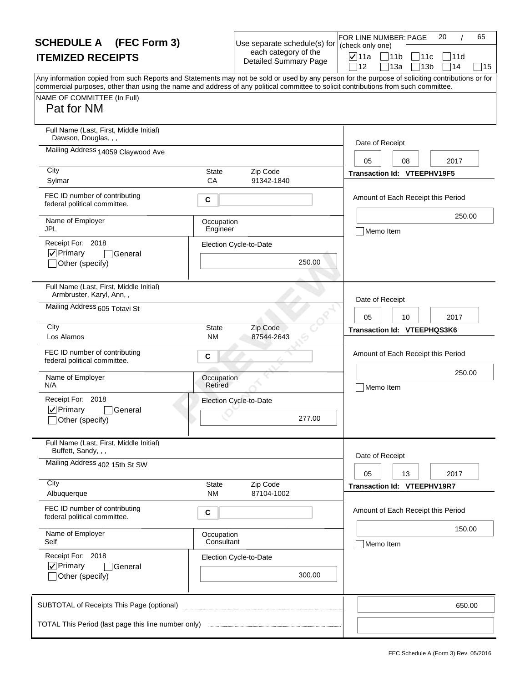| <b>SCHEDULE A</b> (FEC Form 3)                                                                                                                                                                                                                                                                                                       |                          | Use separate schedule(s) for                         | 65<br>FOR LINE NUMBER: PAGE<br>20<br>(check only one)                             |
|--------------------------------------------------------------------------------------------------------------------------------------------------------------------------------------------------------------------------------------------------------------------------------------------------------------------------------------|--------------------------|------------------------------------------------------|-----------------------------------------------------------------------------------|
| <b>ITEMIZED RECEIPTS</b>                                                                                                                                                                                                                                                                                                             |                          | each category of the<br><b>Detailed Summary Page</b> | $\nabla$ 11a<br> 11b<br> 11d<br>11c<br>714<br>12<br>13a<br>13 <sub>b</sub><br> 15 |
| Any information copied from such Reports and Statements may not be sold or used by any person for the purpose of soliciting contributions or for<br>commercial purposes, other than using the name and address of any political committee to solicit contributions from such committee.<br>NAME OF COMMITTEE (In Full)<br>Pat for NM |                          |                                                      |                                                                                   |
| Full Name (Last, First, Middle Initial)<br>Dawson, Douglas, , ,                                                                                                                                                                                                                                                                      |                          |                                                      | Date of Receipt                                                                   |
| Mailing Address 14059 Claywood Ave                                                                                                                                                                                                                                                                                                   |                          |                                                      | 2017<br>05<br>08                                                                  |
| City<br>Sylmar                                                                                                                                                                                                                                                                                                                       | State<br>CA              | Zip Code<br>91342-1840                               | Transaction Id: VTEEPHV19F5                                                       |
| FEC ID number of contributing<br>federal political committee.                                                                                                                                                                                                                                                                        | C                        |                                                      | Amount of Each Receipt this Period                                                |
| Name of Employer<br><b>JPL</b>                                                                                                                                                                                                                                                                                                       | Occupation<br>Engineer   |                                                      | 250.00<br>Memo Item                                                               |
| Receipt For: 2018<br>$ $ $\checkmark$ Primary<br>General<br>Other (specify)                                                                                                                                                                                                                                                          |                          | Election Cycle-to-Date<br>250.00                     |                                                                                   |
| Full Name (Last, First, Middle Initial)<br>Armbruster, Karyl, Ann,,                                                                                                                                                                                                                                                                  |                          |                                                      | Date of Receipt                                                                   |
| Mailing Address 605 Totavi St                                                                                                                                                                                                                                                                                                        |                          |                                                      | 05<br>10<br>2017                                                                  |
| City<br>Los Alamos                                                                                                                                                                                                                                                                                                                   | <b>State</b><br>NM       | Zip Code<br>87544-2643                               | Transaction Id: VTEEPHQS3K6                                                       |
| FEC ID number of contributing<br>federal political committee.                                                                                                                                                                                                                                                                        | C                        |                                                      | Amount of Each Receipt this Period                                                |
| Name of Employer<br>N/A                                                                                                                                                                                                                                                                                                              | Occupation<br>Retired    |                                                      | 250.00<br>Memo Item                                                               |
| Receipt For: 2018<br>$\nabla$ Primary<br>General<br>_lOther (specify)                                                                                                                                                                                                                                                                |                          | Election Cycle-to-Date<br>277.00                     |                                                                                   |
| Full Name (Last, First, Middle Initial)<br>Buffett, Sandy, , ,                                                                                                                                                                                                                                                                       |                          |                                                      | Date of Receipt                                                                   |
| Mailing Address 402 15th St SW                                                                                                                                                                                                                                                                                                       |                          |                                                      | 13<br>2017<br>05                                                                  |
| City<br>Albuquerque                                                                                                                                                                                                                                                                                                                  | State<br><b>NM</b>       | Zip Code<br>87104-1002                               | Transaction Id: VTEEPHV19R7                                                       |
| FEC ID number of contributing<br>federal political committee.                                                                                                                                                                                                                                                                        | С                        |                                                      | Amount of Each Receipt this Period                                                |
| Name of Employer<br>Self                                                                                                                                                                                                                                                                                                             | Occupation<br>Consultant |                                                      | 150.00<br>Memo Item                                                               |
| Receipt For: 2018<br>$\nabla$ Primary<br>General<br>Other (specify)                                                                                                                                                                                                                                                                  |                          | Election Cycle-to-Date<br>300.00                     |                                                                                   |
| SUBTOTAL of Receipts This Page (optional)                                                                                                                                                                                                                                                                                            |                          |                                                      | 650.00                                                                            |
| TOTAL This Period (last page this line number only)                                                                                                                                                                                                                                                                                  |                          |                                                      |                                                                                   |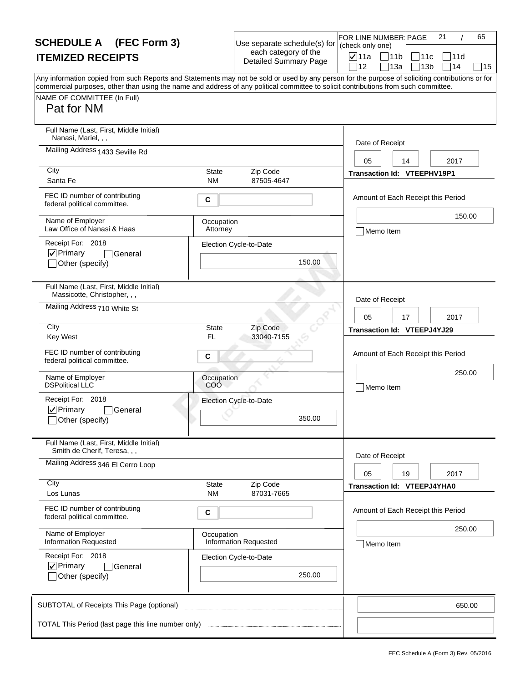| <b>SCHEDULE A</b> (FEC Form 3)                                                                                                                                     |                           | Use separate schedule(s) for                         | FOR LINE NUMBER: PAGE<br>(check only one) |                                          | 21<br>65              |    |
|--------------------------------------------------------------------------------------------------------------------------------------------------------------------|---------------------------|------------------------------------------------------|-------------------------------------------|------------------------------------------|-----------------------|----|
| <b>ITEMIZED RECEIPTS</b>                                                                                                                                           |                           | each category of the<br><b>Detailed Summary Page</b> | <b>⊽</b> 11a                              | 11b<br>111c                              | 111d                  |    |
| Any information copied from such Reports and Statements may not be sold or used by any person for the purpose of soliciting contributions or for                   |                           |                                                      | 12                                        | 13a                                      | 14<br>13 <sub>b</sub> | 15 |
| commercial purposes, other than using the name and address of any political committee to solicit contributions from such committee.<br>NAME OF COMMITTEE (In Full) |                           |                                                      |                                           |                                          |                       |    |
| Pat for NM                                                                                                                                                         |                           |                                                      |                                           |                                          |                       |    |
| Full Name (Last, First, Middle Initial)<br>Nanasi, Mariel,                                                                                                         |                           |                                                      | Date of Receipt                           |                                          |                       |    |
| Mailing Address 1433 Seville Rd                                                                                                                                    |                           |                                                      | 05                                        | 14                                       | 2017                  |    |
| City<br>Santa Fe                                                                                                                                                   | <b>State</b><br><b>NM</b> | Zip Code<br>87505-4647                               |                                           | Transaction Id: VTEEPHV19P1              |                       |    |
| FEC ID number of contributing<br>federal political committee.                                                                                                      | С                         |                                                      |                                           | Amount of Each Receipt this Period       |                       |    |
| Name of Employer<br>Law Office of Nanasi & Haas                                                                                                                    | Occupation<br>Attorney    |                                                      | Memo Item                                 |                                          | 150.00                |    |
| Receipt For: 2018                                                                                                                                                  |                           | Election Cycle-to-Date                               |                                           |                                          |                       |    |
| $\nabla$ Primary<br>General<br>Other (specify)                                                                                                                     |                           | 150.00                                               |                                           |                                          |                       |    |
| Full Name (Last, First, Middle Initial)<br>Massicotte, Christopher, , ,                                                                                            |                           |                                                      | Date of Receipt                           |                                          |                       |    |
| Mailing Address 710 White St                                                                                                                                       |                           |                                                      | 05                                        | 17                                       | 2017                  |    |
| City<br><b>Key West</b>                                                                                                                                            | <b>State</b><br>FL        | Zip Code<br>33040-7155                               |                                           | Transaction Id: VTEEPJ4YJ29              |                       |    |
| FEC ID number of contributing                                                                                                                                      | С                         |                                                      |                                           | Amount of Each Receipt this Period       |                       |    |
| federal political committee.                                                                                                                                       |                           |                                                      |                                           |                                          | 250.00                |    |
| Name of Employer<br><b>DSPolitical LLC</b>                                                                                                                         | Occupation<br>COO         |                                                      | Memo Item                                 |                                          |                       |    |
| Receipt For: 2018<br>$\nabla$ Primary<br>General                                                                                                                   |                           | Election Cycle-to-Date                               |                                           |                                          |                       |    |
| _lOther (specify)                                                                                                                                                  |                           | 350.00                                               |                                           |                                          |                       |    |
| Full Name (Last, First, Middle Initial)<br>Smith de Cherif, Teresa, , ,                                                                                            |                           |                                                      | Date of Receipt                           |                                          |                       |    |
| Mailing Address 346 El Cerro Loop                                                                                                                                  |                           |                                                      |                                           |                                          |                       |    |
| City                                                                                                                                                               | <b>State</b>              | Zip Code                                             | 05                                        | 19<br><b>Transaction Id: VTEEPJ4YHA0</b> | 2017                  |    |
| Los Lunas                                                                                                                                                          | <b>NM</b>                 | 87031-7665                                           |                                           |                                          |                       |    |
| FEC ID number of contributing<br>federal political committee.                                                                                                      | С                         |                                                      |                                           | Amount of Each Receipt this Period       | 250.00                |    |
| Name of Employer<br><b>Information Requested</b>                                                                                                                   | Occupation                | <b>Information Requested</b>                         | Memo Item                                 |                                          |                       |    |
| Receipt For: 2018                                                                                                                                                  |                           | Election Cycle-to-Date                               |                                           |                                          |                       |    |
| $\nabla$ Primary<br>General<br>Other (specify)                                                                                                                     |                           | 250.00                                               |                                           |                                          |                       |    |
| SUBTOTAL of Receipts This Page (optional)                                                                                                                          |                           |                                                      |                                           |                                          | 650.00                |    |
| TOTAL This Period (last page this line number only)                                                                                                                |                           |                                                      |                                           |                                          |                       |    |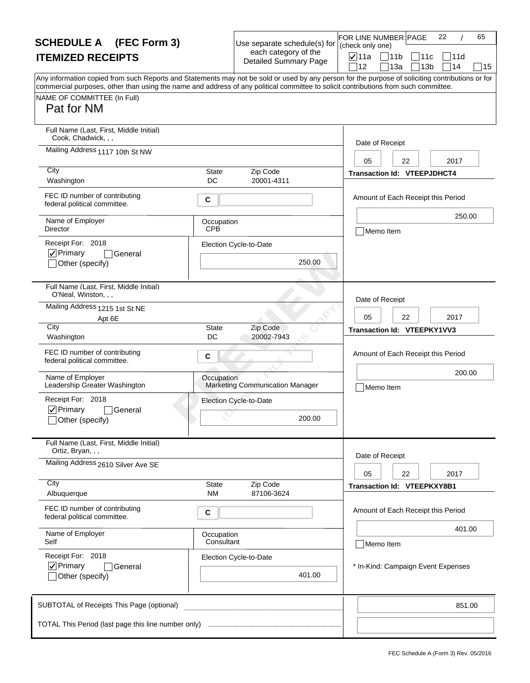| <b>SCHEDULE A</b> (FEC Form 3)                                                                                                                                                                                                                                                                                         |                           | Use separate schedule(s) for                         | (check only one) | 22<br>65<br>FOR LINE NUMBER: PAGE  |
|------------------------------------------------------------------------------------------------------------------------------------------------------------------------------------------------------------------------------------------------------------------------------------------------------------------------|---------------------------|------------------------------------------------------|------------------|------------------------------------|
| <b>ITEMIZED RECEIPTS</b>                                                                                                                                                                                                                                                                                               |                           | each category of the<br><b>Detailed Summary Page</b> | <b>⊽</b> ∣11a    | 11b<br>111c<br>111d                |
| Any information copied from such Reports and Statements may not be sold or used by any person for the purpose of soliciting contributions or for<br>commercial purposes, other than using the name and address of any political committee to solicit contributions from such committee.<br>NAME OF COMMITTEE (In Full) |                           |                                                      | 12               | 14<br>13a<br>13 <sub>b</sub><br>15 |
| Pat for NM                                                                                                                                                                                                                                                                                                             |                           |                                                      |                  |                                    |
| Full Name (Last, First, Middle Initial)<br>Cook, Chadwick, , ,                                                                                                                                                                                                                                                         |                           |                                                      | Date of Receipt  |                                    |
| Mailing Address 1117 10th St NW                                                                                                                                                                                                                                                                                        |                           |                                                      | 05               | 2017<br>22                         |
| City<br>Washington                                                                                                                                                                                                                                                                                                     | <b>State</b><br>DC        | Zip Code<br>20001-4311                               |                  | <b>Transaction Id: VTEEPJDHCT4</b> |
| FEC ID number of contributing<br>federal political committee.                                                                                                                                                                                                                                                          | С                         |                                                      |                  | Amount of Each Receipt this Period |
| Name of Employer<br>Director                                                                                                                                                                                                                                                                                           | Occupation<br><b>CPB</b>  |                                                      |                  | 250.00<br>Memo Item                |
| Receipt For: 2018<br> √ Primary<br>General                                                                                                                                                                                                                                                                             |                           | Election Cycle-to-Date                               |                  |                                    |
| Other (specify)                                                                                                                                                                                                                                                                                                        |                           | 250.00                                               |                  |                                    |
| Full Name (Last, First, Middle Initial)<br>O'Neal, Winston, , ,                                                                                                                                                                                                                                                        |                           |                                                      | Date of Receipt  |                                    |
| Mailing Address 1215 1st St NE<br>Apt 6E                                                                                                                                                                                                                                                                               |                           |                                                      | 05               | 2017<br>22                         |
| City<br>Washington                                                                                                                                                                                                                                                                                                     | <b>State</b><br>DC        | Zip Code<br>20002-7943                               |                  | Transaction Id: VTEEPKY1VV3        |
| FEC ID number of contributing<br>federal political committee.                                                                                                                                                                                                                                                          | С                         |                                                      |                  | Amount of Each Receipt this Period |
| Name of Employer<br>Leadership Greater Washington                                                                                                                                                                                                                                                                      | Occupation                | <b>Marketing Communication Manager</b>               |                  | 200.00<br>Memo Item                |
| Receipt For: 2018<br>$\nabla$ Primary<br>General                                                                                                                                                                                                                                                                       |                           | Election Cycle-to-Date                               |                  |                                    |
| _lOther (specify)                                                                                                                                                                                                                                                                                                      |                           | 200.00                                               |                  |                                    |
| Full Name (Last, First, Middle Initial)<br>Ortiz, Bryan, , ,                                                                                                                                                                                                                                                           |                           |                                                      | Date of Receipt  |                                    |
| Mailing Address 2610 Silver Ave SE                                                                                                                                                                                                                                                                                     |                           |                                                      | 05               | 2017<br>22                         |
| City<br>Albuquerque                                                                                                                                                                                                                                                                                                    | <b>State</b><br><b>NM</b> | Zip Code<br>87106-3624                               |                  | Transaction Id: VTEEPKXY8B1        |
| FEC ID number of contributing<br>federal political committee.                                                                                                                                                                                                                                                          | С                         |                                                      |                  | Amount of Each Receipt this Period |
| Name of Employer<br>Self                                                                                                                                                                                                                                                                                               | Occupation<br>Consultant  |                                                      |                  | 401.00<br>Memo Item                |
| Receipt For: 2018<br>$\nabla$ Primary                                                                                                                                                                                                                                                                                  |                           | Election Cycle-to-Date                               |                  |                                    |
| General<br>Other (specify)                                                                                                                                                                                                                                                                                             |                           | 401.00                                               |                  | * In-Kind: Campaign Event Expenses |
| SUBTOTAL of Receipts This Page (optional)                                                                                                                                                                                                                                                                              |                           |                                                      |                  | 851.00                             |
| TOTAL This Period (last page this line number only)                                                                                                                                                                                                                                                                    |                           |                                                      |                  |                                    |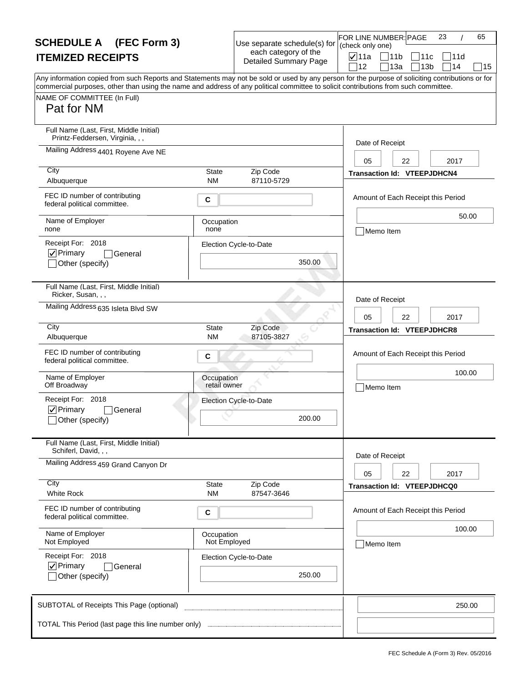| <b>SCHEDULE A</b> (FEC Form 3)                                                                                                                                                                                                                                                                                                       |                            | Use separate schedule(s) for                         | FOR LINE NUMBER: PAGE<br>(check only one) | 23<br>65                                     |
|--------------------------------------------------------------------------------------------------------------------------------------------------------------------------------------------------------------------------------------------------------------------------------------------------------------------------------------|----------------------------|------------------------------------------------------|-------------------------------------------|----------------------------------------------|
| <b>ITEMIZED RECEIPTS</b>                                                                                                                                                                                                                                                                                                             |                            | each category of the<br><b>Detailed Summary Page</b> | $\nabla$ 11a<br> 11b<br>12<br>13a         | 11c<br> 11d<br>]14<br>13 <sub>b</sub><br> 15 |
| Any information copied from such Reports and Statements may not be sold or used by any person for the purpose of soliciting contributions or for<br>commercial purposes, other than using the name and address of any political committee to solicit contributions from such committee.<br>NAME OF COMMITTEE (In Full)<br>Pat for NM |                            |                                                      |                                           |                                              |
| Full Name (Last, First, Middle Initial)<br>Printz-Feddersen, Virginia, , ,                                                                                                                                                                                                                                                           |                            |                                                      | Date of Receipt                           |                                              |
| Mailing Address 4401 Royene Ave NE                                                                                                                                                                                                                                                                                                   |                            |                                                      | 05                                        | 22<br>2017                                   |
| City<br>Albuquerque                                                                                                                                                                                                                                                                                                                  | State<br><b>NM</b>         | Zip Code<br>87110-5729                               | <b>Transaction Id: VTEEPJDHCN4</b>        |                                              |
| FEC ID number of contributing<br>federal political committee.                                                                                                                                                                                                                                                                        | C                          |                                                      |                                           | Amount of Each Receipt this Period           |
| Name of Employer<br>none                                                                                                                                                                                                                                                                                                             | Occupation<br>none         |                                                      | Memo Item                                 | 50.00                                        |
| Receipt For: 2018<br>$\nabla$ Primary<br>General<br>Other (specify)                                                                                                                                                                                                                                                                  |                            | Election Cycle-to-Date<br>350.00                     |                                           |                                              |
| Full Name (Last, First, Middle Initial)<br>Ricker, Susan, , ,                                                                                                                                                                                                                                                                        |                            |                                                      | Date of Receipt                           |                                              |
| Mailing Address 635 Isleta Blvd SW                                                                                                                                                                                                                                                                                                   |                            |                                                      | 05                                        | 22<br>2017                                   |
| City<br>Albuquerque                                                                                                                                                                                                                                                                                                                  | <b>State</b><br>ΝM         | Zip Code<br>87105-3827                               | <b>Transaction Id: VTEEPJDHCR8</b>        |                                              |
| FEC ID number of contributing<br>federal political committee.                                                                                                                                                                                                                                                                        | C                          |                                                      |                                           | Amount of Each Receipt this Period           |
| Name of Employer<br>Off Broadway                                                                                                                                                                                                                                                                                                     | Occupation<br>retail owner |                                                      | Memo Item                                 | 100.00                                       |
| Receipt For: 2018<br>$\nabla$ Primary<br>General<br>_lOther (specify)                                                                                                                                                                                                                                                                |                            | Election Cycle-to-Date<br>200.00                     |                                           |                                              |
| Full Name (Last, First, Middle Initial)<br>Schiferl, David, , ,                                                                                                                                                                                                                                                                      |                            |                                                      |                                           |                                              |
| Mailing Address 459 Grand Canyon Dr                                                                                                                                                                                                                                                                                                  |                            |                                                      | Date of Receipt<br>05                     | 22<br>2017                                   |
| City<br><b>White Rock</b>                                                                                                                                                                                                                                                                                                            | State<br><b>NM</b>         | Zip Code<br>87547-3646                               | Transaction Id: VTEEPJDHCQ0               |                                              |
| FEC ID number of contributing<br>federal political committee.                                                                                                                                                                                                                                                                        | С                          |                                                      |                                           | Amount of Each Receipt this Period           |
| Name of Employer<br>Not Employed                                                                                                                                                                                                                                                                                                     | Occupation<br>Not Employed |                                                      | Memo Item                                 | 100.00                                       |
| Receipt For: 2018<br>$\nabla$ Primary<br>General<br>Other (specify)                                                                                                                                                                                                                                                                  |                            | Election Cycle-to-Date<br>250.00                     |                                           |                                              |
| SUBTOTAL of Receipts This Page (optional)                                                                                                                                                                                                                                                                                            |                            |                                                      |                                           | 250.00                                       |
| TOTAL This Period (last page this line number only)                                                                                                                                                                                                                                                                                  |                            |                                                      |                                           |                                              |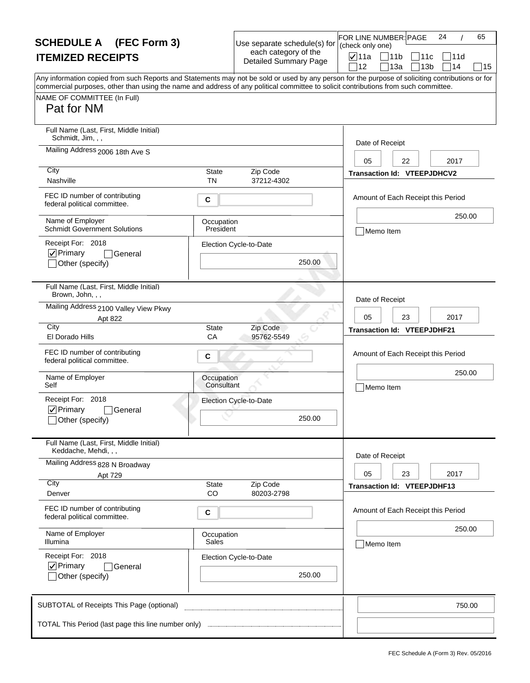| <b>SCHEDULE A</b> (FEC Form 3)                                                                                                                                                                                                                                                                                                       |                          | Use separate schedule(s) for                         | 24<br>65<br>FOR LINE NUMBER: PAGE<br>(check only one) |
|--------------------------------------------------------------------------------------------------------------------------------------------------------------------------------------------------------------------------------------------------------------------------------------------------------------------------------------|--------------------------|------------------------------------------------------|-------------------------------------------------------|
| <b>ITEMIZED RECEIPTS</b>                                                                                                                                                                                                                                                                                                             |                          | each category of the<br><b>Detailed Summary Page</b> | <b>⊽</b> ∣11a<br>711b<br> 11c<br>111d                 |
| Any information copied from such Reports and Statements may not be sold or used by any person for the purpose of soliciting contributions or for<br>commercial purposes, other than using the name and address of any political committee to solicit contributions from such committee.<br>NAME OF COMMITTEE (In Full)<br>Pat for NM |                          |                                                      | 14<br>12<br>13a<br>13 <sub>b</sub><br>15              |
| Full Name (Last, First, Middle Initial)<br>Schmidt, Jim, , ,                                                                                                                                                                                                                                                                         |                          |                                                      | Date of Receipt                                       |
| Mailing Address 2006 18th Ave S<br>City                                                                                                                                                                                                                                                                                              |                          |                                                      | 2017<br>05<br>22                                      |
| Nashville                                                                                                                                                                                                                                                                                                                            | State<br><b>TN</b>       | Zip Code<br>37212-4302                               | <b>Transaction Id: VTEEPJDHCV2</b>                    |
| FEC ID number of contributing<br>federal political committee.                                                                                                                                                                                                                                                                        | C                        |                                                      | Amount of Each Receipt this Period                    |
| Name of Employer<br><b>Schmidt Government Solutions</b>                                                                                                                                                                                                                                                                              | Occupation<br>President  |                                                      | 250.00<br>Memo Item                                   |
| Receipt For: 2018<br>$ $ V Primary<br> General<br>Other (specify)                                                                                                                                                                                                                                                                    |                          | Election Cycle-to-Date<br>250.00                     |                                                       |
| Full Name (Last, First, Middle Initial)<br>Brown, John, , ,                                                                                                                                                                                                                                                                          |                          |                                                      | Date of Receipt                                       |
| Mailing Address 2100 Valley View Pkwy<br>Apt 822                                                                                                                                                                                                                                                                                     |                          |                                                      | 2017<br>05<br>23                                      |
| City<br>El Dorado Hills                                                                                                                                                                                                                                                                                                              | <b>State</b><br>CA       | Zip Code<br>95762-5549                               | <b>Transaction Id: VTEEPJDHF21</b>                    |
| FEC ID number of contributing<br>federal political committee.                                                                                                                                                                                                                                                                        | C                        |                                                      | Amount of Each Receipt this Period                    |
| Name of Employer<br>Self                                                                                                                                                                                                                                                                                                             | Occupation<br>Consultant |                                                      | 250.00<br>Memo Item                                   |
| Receipt For: 2018<br>$\nabla$ Primary<br>l General<br>_lOther (specify)                                                                                                                                                                                                                                                              |                          | Election Cycle-to-Date<br>250.00                     |                                                       |
| Full Name (Last, First, Middle Initial)<br>Keddache, Mehdi, , ,                                                                                                                                                                                                                                                                      |                          |                                                      | Date of Receipt                                       |
| Mailing Address 828 N Broadway<br>Apt 729                                                                                                                                                                                                                                                                                            |                          |                                                      | 05<br>23<br>2017                                      |
| City<br>Denver                                                                                                                                                                                                                                                                                                                       | State<br>CO              | Zip Code<br>80203-2798                               | <b>Transaction Id: VTEEPJDHF13</b>                    |
| FEC ID number of contributing<br>federal political committee.                                                                                                                                                                                                                                                                        | C                        |                                                      | Amount of Each Receipt this Period                    |
| Name of Employer<br>Illumina                                                                                                                                                                                                                                                                                                         | Occupation<br>Sales      |                                                      | 250.00<br>Memo Item                                   |
| Receipt For: 2018<br>$\nabla$ Primary<br>General<br>Other (specify)                                                                                                                                                                                                                                                                  |                          | Election Cycle-to-Date<br>250.00                     |                                                       |
| SUBTOTAL of Receipts This Page (optional)                                                                                                                                                                                                                                                                                            |                          |                                                      | 750.00                                                |
| TOTAL This Period (last page this line number only)                                                                                                                                                                                                                                                                                  |                          |                                                      |                                                       |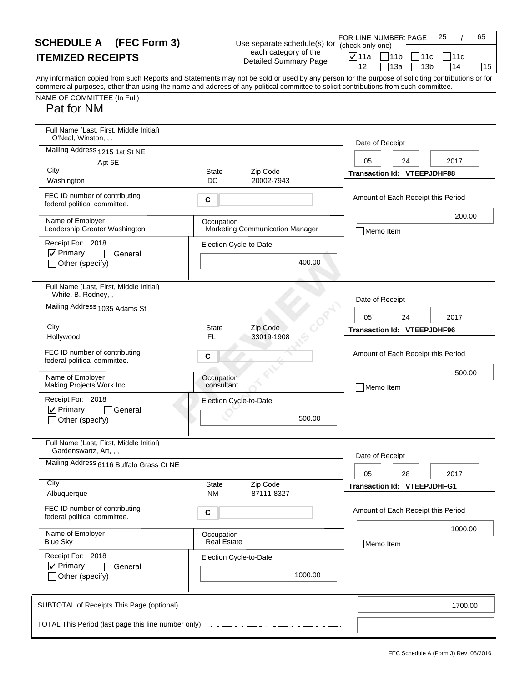| <b>SCHEDULE A</b> (FEC Form 3)                                                                                                                                                                                                                                                          |                                  | Use separate schedule(s) for                         | (check only one) | FOR LINE NUMBER: PAGE              | 25<br>65                    |
|-----------------------------------------------------------------------------------------------------------------------------------------------------------------------------------------------------------------------------------------------------------------------------------------|----------------------------------|------------------------------------------------------|------------------|------------------------------------|-----------------------------|
| <b>ITEMIZED RECEIPTS</b>                                                                                                                                                                                                                                                                |                                  | each category of the<br><b>Detailed Summary Page</b> | <b>⊽</b> 11a     | 11b                                | 111c<br>111d                |
| Any information copied from such Reports and Statements may not be sold or used by any person for the purpose of soliciting contributions or for<br>commercial purposes, other than using the name and address of any political committee to solicit contributions from such committee. |                                  |                                                      | 12               | 13a                                | 14<br>13 <sub>b</sub><br>15 |
| NAME OF COMMITTEE (In Full)<br>Pat for NM                                                                                                                                                                                                                                               |                                  |                                                      |                  |                                    |                             |
| Full Name (Last, First, Middle Initial)<br>O'Neal, Winston, , ,                                                                                                                                                                                                                         |                                  |                                                      |                  | Date of Receipt                    |                             |
| Mailing Address 1215 1st St NE<br>Apt 6E                                                                                                                                                                                                                                                |                                  |                                                      | 05               | 24                                 | 2017                        |
| City<br>Washington                                                                                                                                                                                                                                                                      | <b>State</b><br>DC               | Zip Code<br>20002-7943                               |                  | <b>Transaction Id: VTEEPJDHF88</b> |                             |
| FEC ID number of contributing<br>federal political committee.                                                                                                                                                                                                                           | С                                |                                                      |                  | Amount of Each Receipt this Period |                             |
| Name of Employer<br>Leadership Greater Washington                                                                                                                                                                                                                                       | Occupation                       | <b>Marketing Communication Manager</b>               |                  | Memo Item                          | 200.00                      |
| Receipt For: 2018                                                                                                                                                                                                                                                                       |                                  | Election Cycle-to-Date                               |                  |                                    |                             |
| $\nabla$ Primary<br>General<br>Other (specify)                                                                                                                                                                                                                                          |                                  | 400.00                                               |                  |                                    |                             |
| Full Name (Last, First, Middle Initial)<br>White, B. Rodney, , ,                                                                                                                                                                                                                        |                                  |                                                      |                  | Date of Receipt                    |                             |
| Mailing Address 1035 Adams St                                                                                                                                                                                                                                                           |                                  |                                                      | 05               | 24                                 | 2017                        |
| City<br>Hollywood                                                                                                                                                                                                                                                                       | <b>State</b><br>FL               | Zip Code<br>33019-1908                               |                  | Transaction Id: VTEEPJDHF96        |                             |
| FEC ID number of contributing<br>federal political committee.                                                                                                                                                                                                                           | С                                |                                                      |                  | Amount of Each Receipt this Period |                             |
| Name of Employer<br>Making Projects Work Inc.                                                                                                                                                                                                                                           | Occupation<br>consultant         |                                                      |                  | Memo Item                          | 500.00                      |
| Receipt For: 2018                                                                                                                                                                                                                                                                       |                                  | Election Cycle-to-Date                               |                  |                                    |                             |
| $\nabla$ Primary<br>General<br>_lOther (specify)                                                                                                                                                                                                                                        |                                  | 500.00                                               |                  |                                    |                             |
| Full Name (Last, First, Middle Initial)<br>Gardenswartz, Art, , ,                                                                                                                                                                                                                       |                                  |                                                      |                  |                                    |                             |
| Mailing Address 6116 Buffalo Grass Ct NE                                                                                                                                                                                                                                                |                                  |                                                      | 05               | Date of Receipt<br>28              | 2017                        |
| City<br>Albuquerque                                                                                                                                                                                                                                                                     | State<br><b>NM</b>               | Zip Code<br>87111-8327                               |                  | <b>Transaction Id: VTEEPJDHFG1</b> |                             |
| FEC ID number of contributing<br>federal political committee.                                                                                                                                                                                                                           | С                                |                                                      |                  | Amount of Each Receipt this Period |                             |
| Name of Employer<br><b>Blue Sky</b>                                                                                                                                                                                                                                                     | Occupation<br><b>Real Estate</b> |                                                      |                  | Memo Item                          | 1000.00                     |
| Receipt For: 2018                                                                                                                                                                                                                                                                       |                                  | Election Cycle-to-Date                               |                  |                                    |                             |
| $\nabla$ Primary<br>General<br>Other (specify)                                                                                                                                                                                                                                          |                                  | 1000.00                                              |                  |                                    |                             |
| SUBTOTAL of Receipts This Page (optional)                                                                                                                                                                                                                                               |                                  |                                                      |                  |                                    | 1700.00                     |
| TOTAL This Period (last page this line number only)                                                                                                                                                                                                                                     |                                  |                                                      |                  |                                    |                             |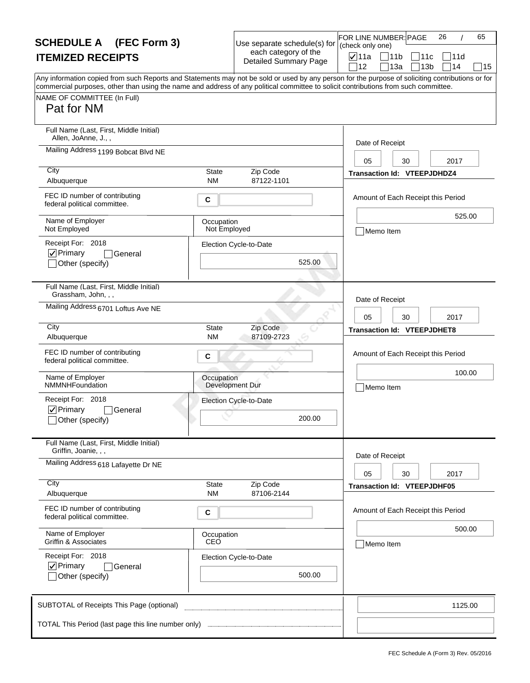| <b>SCHEDULE A</b> (FEC Form 3)                                                                                                                                                                                                                                                                                                       |                            | Use separate schedule(s) for                         | FOR LINE NUMBER: PAGE<br>(check only one) | 26<br>65                           |
|--------------------------------------------------------------------------------------------------------------------------------------------------------------------------------------------------------------------------------------------------------------------------------------------------------------------------------------|----------------------------|------------------------------------------------------|-------------------------------------------|------------------------------------|
| <b>ITEMIZED RECEIPTS</b>                                                                                                                                                                                                                                                                                                             |                            | each category of the<br><b>Detailed Summary Page</b> | <b>⊽</b> ∣11a<br>711b                     | 11c<br>111d                        |
| Any information copied from such Reports and Statements may not be sold or used by any person for the purpose of soliciting contributions or for<br>commercial purposes, other than using the name and address of any political committee to solicit contributions from such committee.<br>NAME OF COMMITTEE (In Full)<br>Pat for NM |                            |                                                      | 12                                        | 14<br>13a<br>13 <sub>b</sub><br>15 |
| Full Name (Last, First, Middle Initial)<br>Allen, JoAnne, J.,,                                                                                                                                                                                                                                                                       |                            |                                                      | Date of Receipt                           |                                    |
| Mailing Address 1199 Bobcat Blvd NE<br>City                                                                                                                                                                                                                                                                                          |                            |                                                      | 05                                        | 2017<br>30                         |
| Albuquerque                                                                                                                                                                                                                                                                                                                          | State<br><b>NM</b>         | Zip Code<br>87122-1101                               |                                           | <b>Transaction Id: VTEEPJDHDZ4</b> |
| FEC ID number of contributing<br>federal political committee.                                                                                                                                                                                                                                                                        | C                          |                                                      |                                           | Amount of Each Receipt this Period |
| Name of Employer<br>Not Employed                                                                                                                                                                                                                                                                                                     | Occupation<br>Not Employed |                                                      | Memo Item                                 | 525.00                             |
| Receipt For: 2018<br>$ $ V Primary<br>General<br>Other (specify)                                                                                                                                                                                                                                                                     |                            | Election Cycle-to-Date<br>525.00                     |                                           |                                    |
| Full Name (Last, First, Middle Initial)<br>Grassham, John, , ,                                                                                                                                                                                                                                                                       |                            |                                                      | Date of Receipt                           |                                    |
| Mailing Address 6701 Loftus Ave NE                                                                                                                                                                                                                                                                                                   |                            |                                                      | 05                                        | 2017<br>30                         |
| City<br>Albuquerque                                                                                                                                                                                                                                                                                                                  | <b>State</b><br><b>NM</b>  | Zip Code<br>87109-2723                               |                                           | <b>Transaction Id: VTEEPJDHET8</b> |
| FEC ID number of contributing<br>federal political committee.                                                                                                                                                                                                                                                                        | C                          |                                                      |                                           | Amount of Each Receipt this Period |
| Name of Employer<br>NMMNHFoundation                                                                                                                                                                                                                                                                                                  | Occupation                 | Development Dur                                      | Memo Item                                 | 100.00                             |
| Receipt For: 2018<br>$\nabla$ Primary<br><b>General</b><br>_lOther (specify)                                                                                                                                                                                                                                                         |                            | Election Cycle-to-Date<br>200.00                     |                                           |                                    |
| Full Name (Last, First, Middle Initial)<br>Griffin, Joanie, , ,                                                                                                                                                                                                                                                                      |                            |                                                      |                                           |                                    |
| Mailing Address 618 Lafayette Dr NE                                                                                                                                                                                                                                                                                                  |                            |                                                      | Date of Receipt<br>05                     | 30<br>2017                         |
| City<br>Albuquerque                                                                                                                                                                                                                                                                                                                  | State<br><b>NM</b>         | Zip Code<br>87106-2144                               |                                           | <b>Transaction Id: VTEEPJDHF05</b> |
| FEC ID number of contributing<br>federal political committee.                                                                                                                                                                                                                                                                        | С                          |                                                      |                                           | Amount of Each Receipt this Period |
| Name of Employer<br><b>Griffin &amp; Associates</b>                                                                                                                                                                                                                                                                                  | Occupation<br>CEO          |                                                      | Memo Item                                 | 500.00                             |
| Receipt For: 2018<br>$\nabla$ Primary<br>General<br>Other (specify)                                                                                                                                                                                                                                                                  |                            | Election Cycle-to-Date<br>500.00                     |                                           |                                    |
| SUBTOTAL of Receipts This Page (optional)                                                                                                                                                                                                                                                                                            |                            |                                                      |                                           | 1125.00                            |
|                                                                                                                                                                                                                                                                                                                                      |                            |                                                      |                                           |                                    |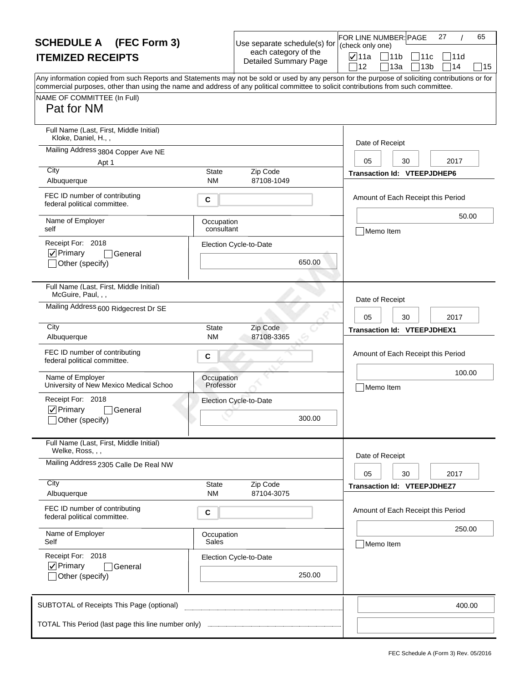| <b>SCHEDULE A</b> (FEC Form 3)                                                                                                                                                                                                                                                                                                       |                                | Use separate schedule(s) for                         | 27<br>65<br>FOR LINE NUMBER: PAGE<br>(check only one)                                                           |
|--------------------------------------------------------------------------------------------------------------------------------------------------------------------------------------------------------------------------------------------------------------------------------------------------------------------------------------|--------------------------------|------------------------------------------------------|-----------------------------------------------------------------------------------------------------------------|
| <b>ITEMIZED RECEIPTS</b>                                                                                                                                                                                                                                                                                                             |                                | each category of the<br><b>Detailed Summary Page</b> | <b>⊽</b> ∣11a<br>711b<br> 11c<br>111d                                                                           |
| Any information copied from such Reports and Statements may not be sold or used by any person for the purpose of soliciting contributions or for<br>commercial purposes, other than using the name and address of any political committee to solicit contributions from such committee.<br>NAME OF COMMITTEE (In Full)<br>Pat for NM |                                |                                                      | 14<br>12<br>13a<br>13 <sub>b</sub><br>15                                                                        |
| Full Name (Last, First, Middle Initial)<br>Kloke, Daniel, H.,,<br>Mailing Address 3804 Copper Ave NE<br>Apt 1<br>City<br>Albuquerque<br>FEC ID number of contributing<br>federal political committee.                                                                                                                                | <b>State</b><br><b>NM</b><br>C | Zip Code<br>87108-1049                               | Date of Receipt<br>2017<br>05<br>30<br><b>Transaction Id: VTEEPJDHEP6</b><br>Amount of Each Receipt this Period |
| Name of Employer<br>self<br>Receipt For: 2018<br>$ $ V Primary<br>General<br>Other (specify)                                                                                                                                                                                                                                         | Occupation<br>consultant       | Election Cycle-to-Date<br>650.00                     | 50.00<br>Memo Item                                                                                              |
| Full Name (Last, First, Middle Initial)<br>McGuire, Paul, , ,<br>Mailing Address 600 Ridgecrest Dr SE<br>City                                                                                                                                                                                                                        |                                |                                                      | Date of Receipt<br>2017<br>05<br>30                                                                             |
| Albuquerque                                                                                                                                                                                                                                                                                                                          | <b>State</b><br><b>NM</b>      | Zip Code<br>87108-3365                               | <b>Transaction Id: VTEEPJDHEX1</b>                                                                              |
| FEC ID number of contributing<br>federal political committee.                                                                                                                                                                                                                                                                        | C                              |                                                      | Amount of Each Receipt this Period                                                                              |
| Name of Employer<br>University of New Mexico Medical Schoo                                                                                                                                                                                                                                                                           | Occupation<br>Professor        |                                                      | 100.00<br>Memo Item                                                                                             |
| Receipt For: 2018<br>$\nabla$ Primary<br><b>General</b><br>_lOther (specify)                                                                                                                                                                                                                                                         |                                | Election Cycle-to-Date<br>300.00                     |                                                                                                                 |
| Full Name (Last, First, Middle Initial)<br>Welke, Ross, , ,                                                                                                                                                                                                                                                                          |                                |                                                      |                                                                                                                 |
| Mailing Address 2305 Calle De Real NW                                                                                                                                                                                                                                                                                                |                                |                                                      | Date of Receipt<br>30<br>2017<br>05                                                                             |
| City<br>Albuquerque                                                                                                                                                                                                                                                                                                                  | State<br><b>NM</b>             | Zip Code<br>87104-3075                               | <b>Transaction Id: VTEEPJDHEZ7</b>                                                                              |
| FEC ID number of contributing<br>federal political committee.                                                                                                                                                                                                                                                                        | С                              |                                                      | Amount of Each Receipt this Period                                                                              |
| Name of Employer<br>Self                                                                                                                                                                                                                                                                                                             | Occupation<br>Sales            |                                                      | 250.00<br>Memo Item                                                                                             |
| Receipt For: 2018<br>$\nabla$ Primary<br> General<br>Other (specify)                                                                                                                                                                                                                                                                 |                                | Election Cycle-to-Date<br>250.00                     |                                                                                                                 |
| SUBTOTAL of Receipts This Page (optional)                                                                                                                                                                                                                                                                                            |                                |                                                      | 400.00                                                                                                          |
| TOTAL This Period (last page this line number only)                                                                                                                                                                                                                                                                                  |                                |                                                      |                                                                                                                 |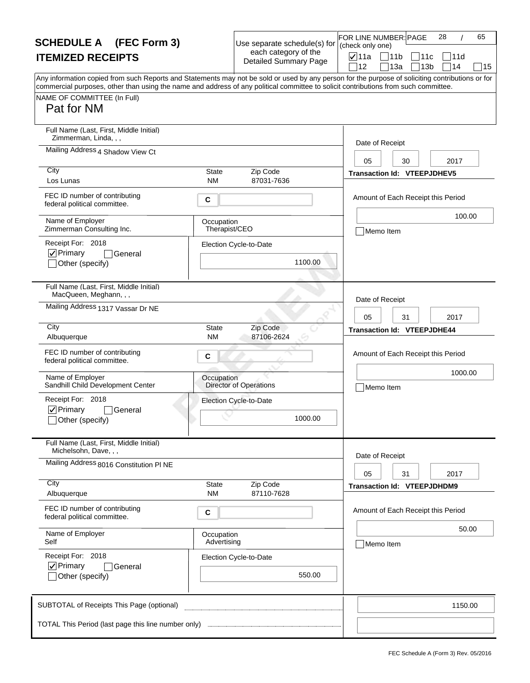| <b>SCHEDULE A</b> (FEC Form 3)                                                                                                                                                                                                                                                          |                             | Use separate schedule(s) for                         | FOR LINE NUMBER: PAGE<br>(check only one) | 28<br>65                                                          |
|-----------------------------------------------------------------------------------------------------------------------------------------------------------------------------------------------------------------------------------------------------------------------------------------|-----------------------------|------------------------------------------------------|-------------------------------------------|-------------------------------------------------------------------|
| <b>ITEMIZED RECEIPTS</b>                                                                                                                                                                                                                                                                |                             | each category of the<br><b>Detailed Summary Page</b> | <b>⊽</b> ∣11a<br>12                       | $\sqrt{11}$<br>711c<br> 11d<br>13a<br>13 <sub>b</sub><br>14<br>15 |
| Any information copied from such Reports and Statements may not be sold or used by any person for the purpose of soliciting contributions or for<br>commercial purposes, other than using the name and address of any political committee to solicit contributions from such committee. |                             |                                                      |                                           |                                                                   |
| NAME OF COMMITTEE (In Full)                                                                                                                                                                                                                                                             |                             |                                                      |                                           |                                                                   |
| Pat for NM                                                                                                                                                                                                                                                                              |                             |                                                      |                                           |                                                                   |
| Full Name (Last, First, Middle Initial)<br>Zimmerman, Linda, , ,                                                                                                                                                                                                                        |                             |                                                      | Date of Receipt                           |                                                                   |
| Mailing Address 4 Shadow View Ct                                                                                                                                                                                                                                                        |                             |                                                      | 05                                        | 30<br>2017                                                        |
| City<br>Los Lunas                                                                                                                                                                                                                                                                       | State<br><b>NM</b>          | Zip Code<br>87031-7636                               |                                           | <b>Transaction Id: VTEEPJDHEV5</b>                                |
| FEC ID number of contributing<br>federal political committee.                                                                                                                                                                                                                           | C                           |                                                      |                                           | Amount of Each Receipt this Period                                |
| Name of Employer<br>Zimmerman Consulting Inc.                                                                                                                                                                                                                                           | Occupation<br>Therapist/CEO |                                                      | Memo Item                                 | 100.00                                                            |
| Receipt For: 2018                                                                                                                                                                                                                                                                       |                             | Election Cycle-to-Date                               |                                           |                                                                   |
| $ $ $\checkmark$ Primary<br>General<br>Other (specify)                                                                                                                                                                                                                                  |                             | 1100.00                                              |                                           |                                                                   |
| Full Name (Last, First, Middle Initial)<br>MacQueen, Meghann, , ,                                                                                                                                                                                                                       |                             |                                                      | Date of Receipt                           |                                                                   |
| Mailing Address 1317 Vassar Dr NE                                                                                                                                                                                                                                                       |                             |                                                      | 05                                        | 31<br>2017                                                        |
| City<br>Albuquerque                                                                                                                                                                                                                                                                     | <b>State</b><br><b>NM</b>   | Zip Code<br>87106-2624                               |                                           | <b>Transaction Id: VTEEPJDHE44</b>                                |
| FEC ID number of contributing<br>federal political committee.                                                                                                                                                                                                                           | С                           |                                                      |                                           | Amount of Each Receipt this Period                                |
| Name of Employer<br>Sandhill Child Development Center                                                                                                                                                                                                                                   | Occupation                  | <b>Director of Operations</b>                        | Memo Item                                 | 1000.00                                                           |
| Receipt For: 2018                                                                                                                                                                                                                                                                       |                             | Election Cycle-to-Date                               |                                           |                                                                   |
| $\nabla$ Primary<br>General<br>Other (specify)                                                                                                                                                                                                                                          |                             | 1000.00                                              |                                           |                                                                   |
| Full Name (Last, First, Middle Initial)<br>Michelsohn, Dave, , ,                                                                                                                                                                                                                        |                             |                                                      | Date of Receipt                           |                                                                   |
| Mailing Address 8016 Constitution PI NE                                                                                                                                                                                                                                                 |                             |                                                      | 05                                        | 2017<br>31                                                        |
| City<br>Albuquerque                                                                                                                                                                                                                                                                     | State<br>NΜ                 | Zip Code<br>87110-7628                               |                                           | <b>Transaction Id: VTEEPJDHDM9</b>                                |
| FEC ID number of contributing<br>federal political committee.                                                                                                                                                                                                                           | C                           |                                                      |                                           | Amount of Each Receipt this Period                                |
| Name of Employer<br>Self                                                                                                                                                                                                                                                                | Occupation<br>Advertising   |                                                      | Memo Item                                 | 50.00                                                             |
| Receipt For: 2018                                                                                                                                                                                                                                                                       |                             | Election Cycle-to-Date                               |                                           |                                                                   |
| $\nabla$ Primary<br>General<br>Other (specify)                                                                                                                                                                                                                                          |                             | 550.00                                               |                                           |                                                                   |
| SUBTOTAL of Receipts This Page (optional)                                                                                                                                                                                                                                               |                             |                                                      |                                           | 1150.00                                                           |
|                                                                                                                                                                                                                                                                                         |                             |                                                      |                                           |                                                                   |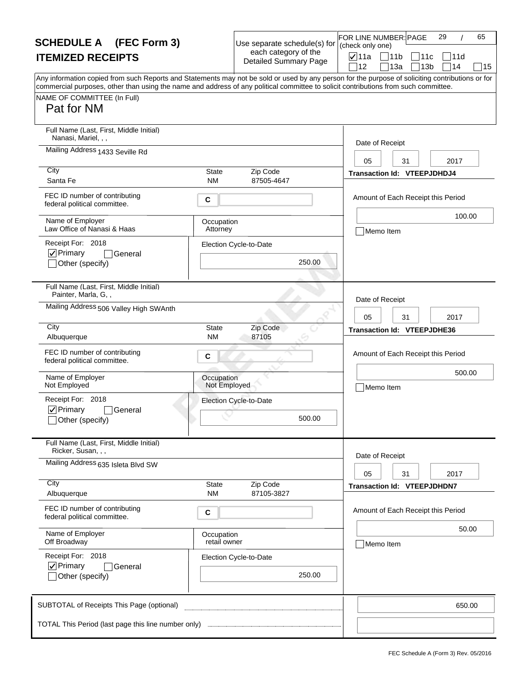| <b>SCHEDULE A</b> (FEC Form 3)                                                                                                                                                                                                                                                                                                       |                            | Use separate schedule(s) for                         | (check only one)      | FOR LINE NUMBER: PAGE                    | 29<br>65 |    |
|--------------------------------------------------------------------------------------------------------------------------------------------------------------------------------------------------------------------------------------------------------------------------------------------------------------------------------------|----------------------------|------------------------------------------------------|-----------------------|------------------------------------------|----------|----|
| <b>ITEMIZED RECEIPTS</b>                                                                                                                                                                                                                                                                                                             |                            | each category of the<br><b>Detailed Summary Page</b> | <b>⊽</b> 11a          | 11b<br>111с                              | 111d     |    |
| Any information copied from such Reports and Statements may not be sold or used by any person for the purpose of soliciting contributions or for<br>commercial purposes, other than using the name and address of any political committee to solicit contributions from such committee.<br>NAME OF COMMITTEE (In Full)<br>Pat for NM |                            |                                                      | 12                    | 13a<br>13 <sub>b</sub>                   | 14       | 15 |
| Full Name (Last, First, Middle Initial)<br>Nanasi, Mariel, , ,<br>Mailing Address 1433 Seville Rd<br>City<br>Santa Fe                                                                                                                                                                                                                | <b>State</b><br><b>NM</b>  | Zip Code<br>87505-4647                               | Date of Receipt<br>05 | 31<br><b>Transaction Id: VTEEPJDHDJ4</b> | 2017     |    |
| FEC ID number of contributing<br>federal political committee.<br>Name of Employer                                                                                                                                                                                                                                                    | С                          |                                                      |                       | Amount of Each Receipt this Period       | 100.00   |    |
| Law Office of Nanasi & Haas<br>Receipt For: 2018<br>$\nabla$ Primary<br>General<br>Other (specify)                                                                                                                                                                                                                                   | Occupation<br>Attorney     | Election Cycle-to-Date<br>250.00                     | Memo Item             |                                          |          |    |
| Full Name (Last, First, Middle Initial)<br>Painter, Marla, G,,<br>Mailing Address 506 Valley High SWAnth                                                                                                                                                                                                                             |                            |                                                      | Date of Receipt       |                                          |          |    |
|                                                                                                                                                                                                                                                                                                                                      |                            |                                                      | 05                    | 31                                       | 2017     |    |
| City<br>Albuquerque                                                                                                                                                                                                                                                                                                                  | <b>State</b><br><b>NM</b>  | Zip Code<br>87105                                    |                       | <b>Transaction Id: VTEEPJDHE36</b>       |          |    |
| FEC ID number of contributing<br>federal political committee.                                                                                                                                                                                                                                                                        | С                          |                                                      |                       | Amount of Each Receipt this Period       |          |    |
| Name of Employer<br>Not Employed                                                                                                                                                                                                                                                                                                     | Occupation<br>Not Employed |                                                      | Memo Item             |                                          | 500.00   |    |
| Receipt For: 2018<br>$\nabla$ Primary<br>General<br>_lOther (specify)                                                                                                                                                                                                                                                                |                            | Election Cycle-to-Date<br>500.00                     |                       |                                          |          |    |
| Full Name (Last, First, Middle Initial)<br>Ricker, Susan, , ,                                                                                                                                                                                                                                                                        |                            |                                                      |                       |                                          |          |    |
| Mailing Address 635 Isleta Blvd SW                                                                                                                                                                                                                                                                                                   |                            |                                                      | Date of Receipt<br>05 | 31                                       | 2017     |    |
| City<br>Albuquerque                                                                                                                                                                                                                                                                                                                  | <b>State</b><br><b>NM</b>  | Zip Code<br>87105-3827                               |                       | <b>Transaction Id: VTEEPJDHDN7</b>       |          |    |
| FEC ID number of contributing<br>federal political committee.                                                                                                                                                                                                                                                                        | С                          |                                                      |                       | Amount of Each Receipt this Period       |          |    |
| Name of Employer<br>Off Broadway                                                                                                                                                                                                                                                                                                     | Occupation<br>retail owner |                                                      | Memo Item             |                                          | 50.00    |    |
| Receipt For: 2018<br>$\nabla$ Primary<br>General<br>Other (specify)                                                                                                                                                                                                                                                                  |                            | Election Cycle-to-Date<br>250.00                     |                       |                                          |          |    |
| SUBTOTAL of Receipts This Page (optional)                                                                                                                                                                                                                                                                                            |                            |                                                      |                       |                                          | 650.00   |    |
| TOTAL This Period (last page this line number only)                                                                                                                                                                                                                                                                                  |                            |                                                      |                       |                                          |          |    |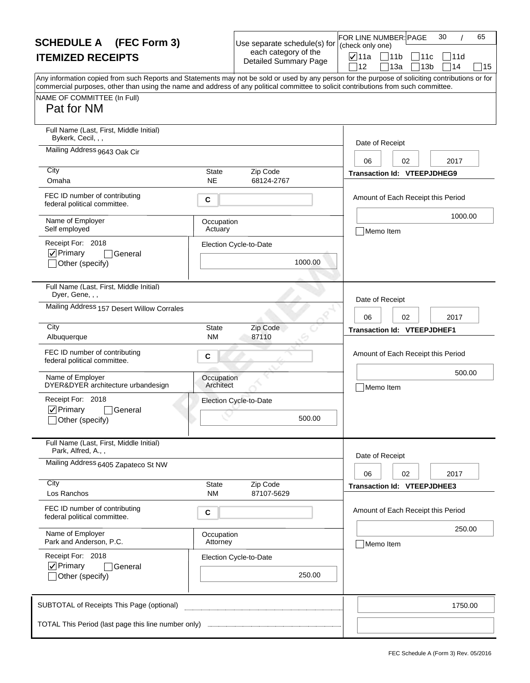| <b>SCHEDULE A</b> (FEC Form 3)                                                                                                                                                                                                                                                                                                       |                           | Use separate schedule(s) for                         | FOR LINE NUMBER: PAGE<br>(check only one) | 30                                 | 65 |
|--------------------------------------------------------------------------------------------------------------------------------------------------------------------------------------------------------------------------------------------------------------------------------------------------------------------------------------|---------------------------|------------------------------------------------------|-------------------------------------------|------------------------------------|----|
| <b>ITEMIZED RECEIPTS</b>                                                                                                                                                                                                                                                                                                             |                           | each category of the<br><b>Detailed Summary Page</b> | <b>⊽</b> ∣11a                             | $\bigcap 11b$<br> 11c<br>111d      |    |
| Any information copied from such Reports and Statements may not be sold or used by any person for the purpose of soliciting contributions or for<br>commercial purposes, other than using the name and address of any political committee to solicit contributions from such committee.<br>NAME OF COMMITTEE (In Full)<br>Pat for NM |                           |                                                      | 12                                        | 14<br>13a<br>13 <sub>b</sub>       | 15 |
| Full Name (Last, First, Middle Initial)<br>Bykerk, Cecil, , ,                                                                                                                                                                                                                                                                        |                           |                                                      | Date of Receipt                           |                                    |    |
| Mailing Address 9643 Oak Cir                                                                                                                                                                                                                                                                                                         |                           |                                                      | 06                                        | 2017<br>02                         |    |
| City<br>Omaha                                                                                                                                                                                                                                                                                                                        | State<br><b>NE</b>        | Zip Code<br>68124-2767                               |                                           | <b>Transaction Id: VTEEPJDHEG9</b> |    |
| FEC ID number of contributing<br>federal political committee.                                                                                                                                                                                                                                                                        | C                         |                                                      |                                           | Amount of Each Receipt this Period |    |
| Name of Employer<br>Self employed                                                                                                                                                                                                                                                                                                    | Occupation<br>Actuary     |                                                      | Memo Item                                 | 1000.00                            |    |
| Receipt For: 2018<br>$ $ V Primary<br>General<br>Other (specify)                                                                                                                                                                                                                                                                     |                           | Election Cycle-to-Date<br>1000.00                    |                                           |                                    |    |
| Full Name (Last, First, Middle Initial)<br>Dyer, Gene, , ,                                                                                                                                                                                                                                                                           |                           |                                                      | Date of Receipt                           |                                    |    |
| Mailing Address 157 Desert Willow Corrales                                                                                                                                                                                                                                                                                           |                           |                                                      | 06                                        | 2017<br>02                         |    |
| City<br>Albuquerque                                                                                                                                                                                                                                                                                                                  | <b>State</b><br><b>NM</b> | Zip Code<br>87110                                    |                                           | <b>Transaction Id: VTEEPJDHEF1</b> |    |
| FEC ID number of contributing<br>federal political committee.                                                                                                                                                                                                                                                                        | C                         |                                                      |                                           | Amount of Each Receipt this Period |    |
| Name of Employer<br>DYER&DYER architecture urbandesign                                                                                                                                                                                                                                                                               | Occupation<br>Architect   |                                                      | Memo Item                                 | 500.00                             |    |
| Receipt For: 2018<br>$\nabla$ Primary<br>General<br>_lOther (specify)                                                                                                                                                                                                                                                                |                           | Election Cycle-to-Date<br>500.00                     |                                           |                                    |    |
| Full Name (Last, First, Middle Initial)<br>Park, Alfred, A.,,                                                                                                                                                                                                                                                                        |                           |                                                      |                                           |                                    |    |
| Mailing Address 6405 Zapateco St NW                                                                                                                                                                                                                                                                                                  |                           |                                                      | Date of Receipt<br>06                     | 2017<br>02                         |    |
| City<br>Los Ranchos                                                                                                                                                                                                                                                                                                                  | State<br><b>NM</b>        | Zip Code<br>87107-5629                               |                                           | <b>Transaction Id: VTEEPJDHEE3</b> |    |
| FEC ID number of contributing<br>federal political committee.                                                                                                                                                                                                                                                                        | С                         |                                                      |                                           | Amount of Each Receipt this Period |    |
| Name of Employer<br>Park and Anderson, P.C.                                                                                                                                                                                                                                                                                          | Occupation<br>Attorney    |                                                      | Memo Item                                 | 250.00                             |    |
| Receipt For: 2018<br>$\nabla$ Primary<br>General<br>Other (specify)                                                                                                                                                                                                                                                                  |                           | Election Cycle-to-Date<br>250.00                     |                                           |                                    |    |
| SUBTOTAL of Receipts This Page (optional)                                                                                                                                                                                                                                                                                            |                           |                                                      |                                           | 1750.00                            |    |
|                                                                                                                                                                                                                                                                                                                                      |                           |                                                      |                                           |                                    |    |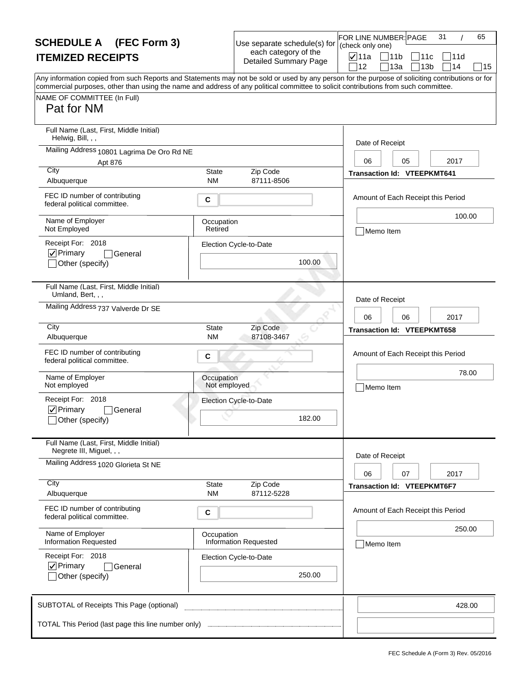| <b>SCHEDULE A</b> (FEC Form 3)                                                                                                                                                                                                                                                          |                            | Use separate schedule(s) for                         | FOR LINE NUMBER: PAGE<br>(check only one) |           | 31<br>65                                     |
|-----------------------------------------------------------------------------------------------------------------------------------------------------------------------------------------------------------------------------------------------------------------------------------------|----------------------------|------------------------------------------------------|-------------------------------------------|-----------|----------------------------------------------|
| <b>ITEMIZED RECEIPTS</b>                                                                                                                                                                                                                                                                |                            | each category of the<br><b>Detailed Summary Page</b> | <b>⊽</b> 11a<br>12                        | 11<br>13a | ∃11c<br>111d<br>13 <sub>b</sub><br>114<br>15 |
| Any information copied from such Reports and Statements may not be sold or used by any person for the purpose of soliciting contributions or for<br>commercial purposes, other than using the name and address of any political committee to solicit contributions from such committee. |                            |                                                      |                                           |           |                                              |
| NAME OF COMMITTEE (In Full)<br>Pat for NM                                                                                                                                                                                                                                               |                            |                                                      |                                           |           |                                              |
| Full Name (Last, First, Middle Initial)<br>Helwig, Bill, , ,                                                                                                                                                                                                                            |                            |                                                      | Date of Receipt                           |           |                                              |
| Mailing Address 10801 Lagrima De Oro Rd NE                                                                                                                                                                                                                                              |                            |                                                      |                                           |           | 2017                                         |
| Apt 876<br>City                                                                                                                                                                                                                                                                         | State                      | Zip Code                                             | 06<br><b>Transaction Id: VTEEPKMT641</b>  | 05        |                                              |
| Albuquerque                                                                                                                                                                                                                                                                             | <b>NM</b>                  | 87111-8506                                           |                                           |           |                                              |
| FEC ID number of contributing<br>federal political committee.                                                                                                                                                                                                                           | С                          |                                                      |                                           |           | Amount of Each Receipt this Period           |
| Name of Employer<br>Not Employed                                                                                                                                                                                                                                                        | Occupation<br>Retired      |                                                      | Memo Item                                 |           | 100.00                                       |
| Receipt For: 2018                                                                                                                                                                                                                                                                       |                            | Election Cycle-to-Date                               |                                           |           |                                              |
| $\nabla$ Primary<br>General<br>Other (specify)                                                                                                                                                                                                                                          |                            | 100.00                                               |                                           |           |                                              |
| Full Name (Last, First, Middle Initial)<br>Umland, Bert, , ,                                                                                                                                                                                                                            |                            |                                                      | Date of Receipt                           |           |                                              |
| Mailing Address 737 Valverde Dr SE                                                                                                                                                                                                                                                      |                            |                                                      | 06                                        | 06        | 2017                                         |
| City<br>Albuquerque                                                                                                                                                                                                                                                                     | <b>State</b><br>NM.        | Zip Code<br>87108-3467                               | <b>Transaction Id: VTEEPKMT658</b>        |           |                                              |
| FEC ID number of contributing<br>federal political committee.                                                                                                                                                                                                                           | С                          |                                                      |                                           |           | Amount of Each Receipt this Period           |
| Name of Employer<br>Not employed                                                                                                                                                                                                                                                        | Occupation<br>Not employed |                                                      | Memo Item                                 |           | 78.00                                        |
| Receipt For: 2018                                                                                                                                                                                                                                                                       |                            | Election Cycle-to-Date                               |                                           |           |                                              |
| $\nabla$ Primary<br>General<br>Other (specify)                                                                                                                                                                                                                                          |                            | 182.00                                               |                                           |           |                                              |
| Full Name (Last, First, Middle Initial)<br>Negrete III, Miguel, , ,                                                                                                                                                                                                                     |                            |                                                      |                                           |           |                                              |
| Mailing Address 1020 Glorieta St NE                                                                                                                                                                                                                                                     |                            |                                                      | Date of Receipt<br>06                     | 07        | 2017                                         |
| City                                                                                                                                                                                                                                                                                    | State                      | Zip Code                                             | <b>Transaction Id: VTEEPKMT6F7</b>        |           |                                              |
| Albuquerque                                                                                                                                                                                                                                                                             | <b>NM</b>                  | 87112-5228                                           |                                           |           |                                              |
| FEC ID number of contributing<br>federal political committee.                                                                                                                                                                                                                           | C                          |                                                      |                                           |           | Amount of Each Receipt this Period           |
| Name of Employer<br><b>Information Requested</b>                                                                                                                                                                                                                                        | Occupation                 | <b>Information Requested</b>                         | Memo Item                                 |           | 250.00                                       |
| Receipt For: 2018                                                                                                                                                                                                                                                                       |                            | Election Cycle-to-Date                               |                                           |           |                                              |
| $\nabla$ Primary<br>General<br>Other (specify)                                                                                                                                                                                                                                          |                            | 250.00                                               |                                           |           |                                              |
| SUBTOTAL of Receipts This Page (optional)                                                                                                                                                                                                                                               |                            |                                                      |                                           |           | 428.00                                       |
| TOTAL This Period (last page this line number only) <b>TOTAL</b> This Period (last page this line number only)                                                                                                                                                                          |                            |                                                      |                                           |           |                                              |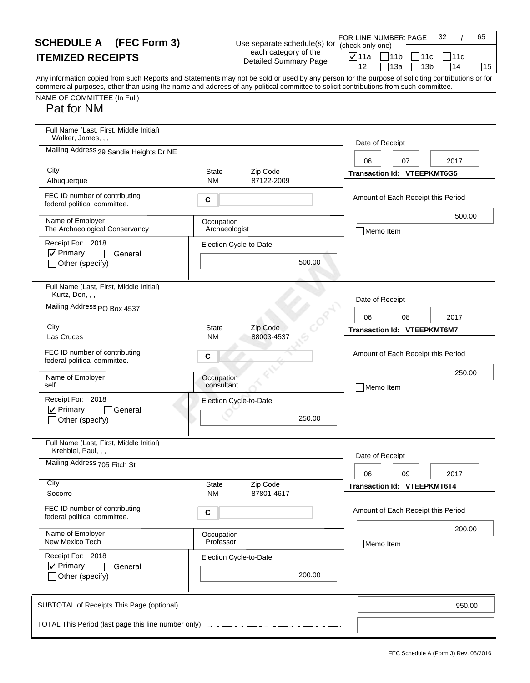| <b>SCHEDULE A</b> (FEC Form 3)                                                                                                                                                                                                                                                          |                             | Use separate schedule(s) for                         | 32<br>65<br>FOR LINE NUMBER: PAGE<br>(check only one)                             |
|-----------------------------------------------------------------------------------------------------------------------------------------------------------------------------------------------------------------------------------------------------------------------------------------|-----------------------------|------------------------------------------------------|-----------------------------------------------------------------------------------|
| <b>ITEMIZED RECEIPTS</b>                                                                                                                                                                                                                                                                |                             | each category of the<br><b>Detailed Summary Page</b> | <b>⊽</b> ∣11a<br> 11b<br>11c<br> 11d<br>12<br>13a<br>13 <sub>b</sub><br>14]<br>15 |
| Any information copied from such Reports and Statements may not be sold or used by any person for the purpose of soliciting contributions or for<br>commercial purposes, other than using the name and address of any political committee to solicit contributions from such committee. |                             |                                                      |                                                                                   |
| NAME OF COMMITTEE (In Full)<br>Pat for NM                                                                                                                                                                                                                                               |                             |                                                      |                                                                                   |
| Full Name (Last, First, Middle Initial)<br>Walker, James, , ,                                                                                                                                                                                                                           |                             |                                                      | Date of Receipt                                                                   |
| Mailing Address 29 Sandia Heights Dr NE                                                                                                                                                                                                                                                 |                             |                                                      | 06<br>07<br>2017                                                                  |
| City<br>Albuquerque                                                                                                                                                                                                                                                                     | State<br><b>NM</b>          | Zip Code<br>87122-2009                               | <b>Transaction Id: VTEEPKMT6G5</b>                                                |
| FEC ID number of contributing<br>federal political committee.                                                                                                                                                                                                                           | С                           |                                                      | Amount of Each Receipt this Period                                                |
| Name of Employer<br>The Archaeological Conservancy                                                                                                                                                                                                                                      | Occupation<br>Archaeologist |                                                      | 500.00<br>Memo Item                                                               |
| Receipt For: 2018<br>$\nabla$ Primary<br>General<br>Other (specify)                                                                                                                                                                                                                     |                             | Election Cycle-to-Date<br>500.00                     |                                                                                   |
| Full Name (Last, First, Middle Initial)<br>Kurtz, Don, , ,                                                                                                                                                                                                                              |                             |                                                      | Date of Receipt                                                                   |
| Mailing Address PO Box 4537                                                                                                                                                                                                                                                             |                             |                                                      | 06<br>08<br>2017                                                                  |
| City<br>Las Cruces                                                                                                                                                                                                                                                                      | <b>State</b><br><b>NM</b>   | Zip Code<br>88003-4537                               | <b>Transaction Id: VTEEPKMT6M7</b>                                                |
| FEC ID number of contributing<br>federal political committee.                                                                                                                                                                                                                           | С                           |                                                      | Amount of Each Receipt this Period                                                |
| Name of Employer<br>self                                                                                                                                                                                                                                                                | Occupation<br>consultant    |                                                      | 250.00<br>Memo Item                                                               |
| Receipt For: 2018<br>$\nabla$ Primary<br>General<br>Other (specify)                                                                                                                                                                                                                     |                             | Election Cycle-to-Date<br>250.00                     |                                                                                   |
| Full Name (Last, First, Middle Initial)<br>Krehbiel, Paul, , ,                                                                                                                                                                                                                          |                             |                                                      | Date of Receipt                                                                   |
| Mailing Address 705 Fitch St                                                                                                                                                                                                                                                            |                             |                                                      | 06<br>09<br>2017                                                                  |
| City<br>Socorro                                                                                                                                                                                                                                                                         | State<br><b>NM</b>          | Zip Code<br>87801-4617                               | <b>Transaction Id: VTEEPKMT6T4</b>                                                |
| FEC ID number of contributing<br>federal political committee.                                                                                                                                                                                                                           | С                           |                                                      | Amount of Each Receipt this Period                                                |
| Name of Employer<br>New Mexico Tech                                                                                                                                                                                                                                                     | Occupation<br>Professor     |                                                      | 200.00<br>Memo Item                                                               |
| Receipt For: 2018<br>$\nabla$ Primary<br>General<br>Other (specify)                                                                                                                                                                                                                     |                             | Election Cycle-to-Date<br>200.00                     |                                                                                   |
| SUBTOTAL of Receipts This Page (optional)                                                                                                                                                                                                                                               |                             |                                                      | 950.00                                                                            |
|                                                                                                                                                                                                                                                                                         |                             |                                                      |                                                                                   |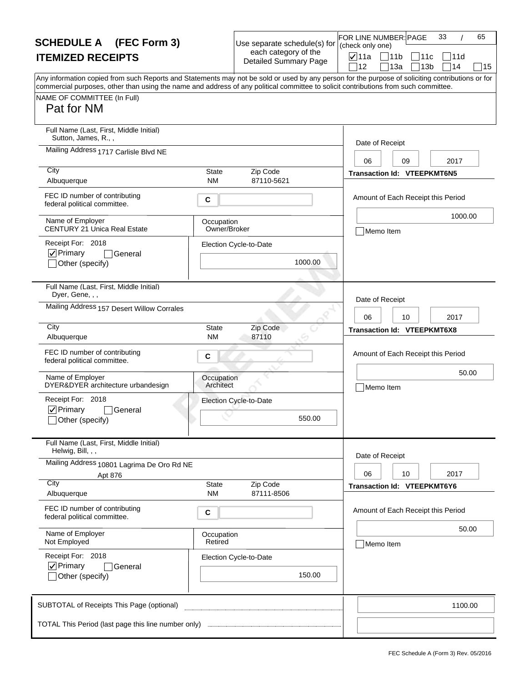| <b>SCHEDULE A</b> (FEC Form 3)                                                                                                                                                                                                                                                                                                       |                            | Use separate schedule(s) for                         | FOR LINE NUMBER: PAGE<br>(check only one) |                                      | 33<br>65          |  |
|--------------------------------------------------------------------------------------------------------------------------------------------------------------------------------------------------------------------------------------------------------------------------------------------------------------------------------------|----------------------------|------------------------------------------------------|-------------------------------------------|--------------------------------------|-------------------|--|
| <b>ITEMIZED RECEIPTS</b>                                                                                                                                                                                                                                                                                                             |                            | each category of the<br><b>Detailed Summary Page</b> | $\nabla$ 11a<br>12                        | 11b<br>11c<br>13a<br>13 <sub>b</sub> | 11d<br>14⊺<br> 15 |  |
| Any information copied from such Reports and Statements may not be sold or used by any person for the purpose of soliciting contributions or for<br>commercial purposes, other than using the name and address of any political committee to solicit contributions from such committee.<br>NAME OF COMMITTEE (In Full)<br>Pat for NM |                            |                                                      |                                           |                                      |                   |  |
| Full Name (Last, First, Middle Initial)<br>Sutton, James, R.,,                                                                                                                                                                                                                                                                       |                            |                                                      | Date of Receipt                           |                                      |                   |  |
| Mailing Address 1717 Carlisle Blvd NE                                                                                                                                                                                                                                                                                                |                            |                                                      | 06                                        | 09                                   | 2017              |  |
| City<br>Albuquerque                                                                                                                                                                                                                                                                                                                  | State<br><b>NM</b>         | Zip Code<br>87110-5621                               |                                           | <b>Transaction Id: VTEEPKMT6N5</b>   |                   |  |
| FEC ID number of contributing<br>federal political committee.                                                                                                                                                                                                                                                                        | C                          |                                                      |                                           | Amount of Each Receipt this Period   |                   |  |
| Name of Employer<br><b>CENTURY 21 Unica Real Estate</b>                                                                                                                                                                                                                                                                              | Occupation<br>Owner/Broker |                                                      | Memo Item                                 |                                      | 1000.00           |  |
| Receipt For: 2018<br>$\nabla$ Primary<br>General<br>Other (specify)                                                                                                                                                                                                                                                                  |                            | Election Cycle-to-Date<br>1000.00                    |                                           |                                      |                   |  |
| Full Name (Last, First, Middle Initial)<br>Dyer, Gene, , ,                                                                                                                                                                                                                                                                           |                            |                                                      | Date of Receipt                           |                                      |                   |  |
| Mailing Address 157 Desert Willow Corrales                                                                                                                                                                                                                                                                                           |                            |                                                      | 06                                        | 10                                   | 2017              |  |
| City<br>Albuquerque                                                                                                                                                                                                                                                                                                                  | <b>State</b><br>ΝM         | Zip Code<br>87110                                    |                                           | <b>Transaction Id: VTEEPKMT6X8</b>   |                   |  |
| FEC ID number of contributing<br>federal political committee.                                                                                                                                                                                                                                                                        | C                          |                                                      |                                           | Amount of Each Receipt this Period   |                   |  |
| Name of Employer<br>DYER&DYER architecture urbandesign                                                                                                                                                                                                                                                                               | Occupation<br>Architect    |                                                      | Memo Item                                 |                                      | 50.00             |  |
| Receipt For: 2018<br>$\nabla$ Primary<br>General<br>_lOther (specify)                                                                                                                                                                                                                                                                |                            | Election Cycle-to-Date<br>550.00                     |                                           |                                      |                   |  |
| Full Name (Last, First, Middle Initial)<br>Helwig, Bill, , ,                                                                                                                                                                                                                                                                         |                            |                                                      |                                           |                                      |                   |  |
| Mailing Address 10801 Lagrima De Oro Rd NE<br>Apt 876                                                                                                                                                                                                                                                                                |                            |                                                      | Date of Receipt<br>06                     | 10                                   | 2017              |  |
| City<br>Albuquerque                                                                                                                                                                                                                                                                                                                  | State<br><b>NM</b>         | Zip Code<br>87111-8506                               |                                           | <b>Transaction Id: VTEEPKMT6Y6</b>   |                   |  |
| FEC ID number of contributing<br>federal political committee.                                                                                                                                                                                                                                                                        | С                          |                                                      |                                           | Amount of Each Receipt this Period   |                   |  |
| Name of Employer<br>Not Employed                                                                                                                                                                                                                                                                                                     | Occupation<br>Retired      |                                                      | Memo Item                                 |                                      | 50.00             |  |
| Receipt For: 2018<br>$\nabla$ Primary<br>General<br>Other (specify)                                                                                                                                                                                                                                                                  |                            | Election Cycle-to-Date<br>150.00                     |                                           |                                      |                   |  |
| SUBTOTAL of Receipts This Page (optional)                                                                                                                                                                                                                                                                                            |                            |                                                      |                                           |                                      | 1100.00           |  |
| TOTAL This Period (last page this line number only)                                                                                                                                                                                                                                                                                  |                            |                                                      |                                           |                                      |                   |  |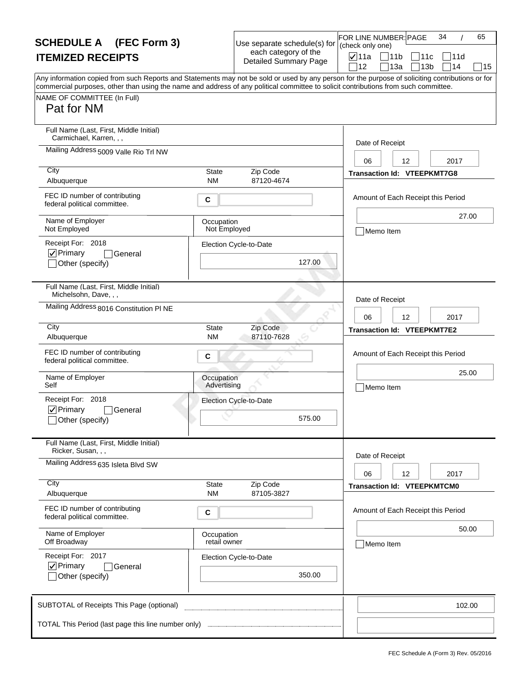| <b>SCHEDULE A</b> (FEC Form 3)                                                                                                                                                                                                                                                          |                            | Use separate schedule(s) for                         | 34<br>65<br>FOR LINE NUMBER: PAGE<br>(check only one)                                    |
|-----------------------------------------------------------------------------------------------------------------------------------------------------------------------------------------------------------------------------------------------------------------------------------------|----------------------------|------------------------------------------------------|------------------------------------------------------------------------------------------|
| <b>ITEMIZED RECEIPTS</b>                                                                                                                                                                                                                                                                |                            | each category of the<br><b>Detailed Summary Page</b> | <b>⊽</b> ∣11a<br>$\sqrt{11}$<br> 11c<br> 11d<br>12<br>13a<br>13 <sub>b</sub><br>14<br>15 |
| Any information copied from such Reports and Statements may not be sold or used by any person for the purpose of soliciting contributions or for<br>commercial purposes, other than using the name and address of any political committee to solicit contributions from such committee. |                            |                                                      |                                                                                          |
| NAME OF COMMITTEE (In Full)<br>Pat for NM                                                                                                                                                                                                                                               |                            |                                                      |                                                                                          |
| Full Name (Last, First, Middle Initial)<br>Carmichael, Karren, , ,                                                                                                                                                                                                                      |                            |                                                      | Date of Receipt                                                                          |
| Mailing Address 5009 Valle Rio Trl NW                                                                                                                                                                                                                                                   |                            |                                                      | 06<br>12<br>2017                                                                         |
| City<br>Albuquerque                                                                                                                                                                                                                                                                     | State<br><b>NM</b>         | Zip Code<br>87120-4674                               | <b>Transaction Id: VTEEPKMT7G8</b>                                                       |
| FEC ID number of contributing<br>federal political committee.                                                                                                                                                                                                                           | C                          |                                                      | Amount of Each Receipt this Period                                                       |
| Name of Employer<br>Not Employed                                                                                                                                                                                                                                                        | Occupation<br>Not Employed |                                                      | 27.00<br>Memo Item                                                                       |
| Receipt For: 2018<br>$\nabla$ Primary<br>General<br>Other (specify)                                                                                                                                                                                                                     |                            | Election Cycle-to-Date<br>127.00                     |                                                                                          |
| Full Name (Last, First, Middle Initial)<br>Michelsohn, Dave, , ,                                                                                                                                                                                                                        |                            |                                                      | Date of Receipt                                                                          |
| Mailing Address 8016 Constitution PI NE                                                                                                                                                                                                                                                 |                            |                                                      | 06<br>12<br>2017                                                                         |
| City<br>Albuquerque                                                                                                                                                                                                                                                                     | <b>State</b><br><b>NM</b>  | Zip Code<br>87110-7628                               | <b>Transaction Id: VTEEPKMT7E2</b>                                                       |
| FEC ID number of contributing<br>federal political committee.                                                                                                                                                                                                                           | С                          |                                                      | Amount of Each Receipt this Period                                                       |
| Name of Employer<br>Self                                                                                                                                                                                                                                                                | Occupation<br>Advertising  |                                                      | 25.00<br>Memo Item                                                                       |
| Receipt For: 2018<br>$\nabla$ Primary<br>General<br>Other (specify)                                                                                                                                                                                                                     |                            | Election Cycle-to-Date<br>575.00                     |                                                                                          |
| Full Name (Last, First, Middle Initial)<br>Ricker, Susan, , ,                                                                                                                                                                                                                           |                            |                                                      |                                                                                          |
| Mailing Address 635 Isleta Blvd SW                                                                                                                                                                                                                                                      |                            |                                                      | Date of Receipt<br>2017<br>06<br>12                                                      |
| City<br>Albuquerque                                                                                                                                                                                                                                                                     | State<br><b>NM</b>         | Zip Code<br>87105-3827                               | <b>Transaction Id: VTEEPKMTCM0</b>                                                       |
| FEC ID number of contributing<br>federal political committee.                                                                                                                                                                                                                           | C                          |                                                      | Amount of Each Receipt this Period                                                       |
| Name of Employer<br>Off Broadway                                                                                                                                                                                                                                                        | Occupation<br>retail owner |                                                      | 50.00<br>Memo Item                                                                       |
| Receipt For: 2017<br>$\nabla$ Primary<br>General<br>Other (specify)                                                                                                                                                                                                                     |                            | Election Cycle-to-Date<br>350.00                     |                                                                                          |
| SUBTOTAL of Receipts This Page (optional)                                                                                                                                                                                                                                               |                            |                                                      | 102.00                                                                                   |
|                                                                                                                                                                                                                                                                                         |                            |                                                      |                                                                                          |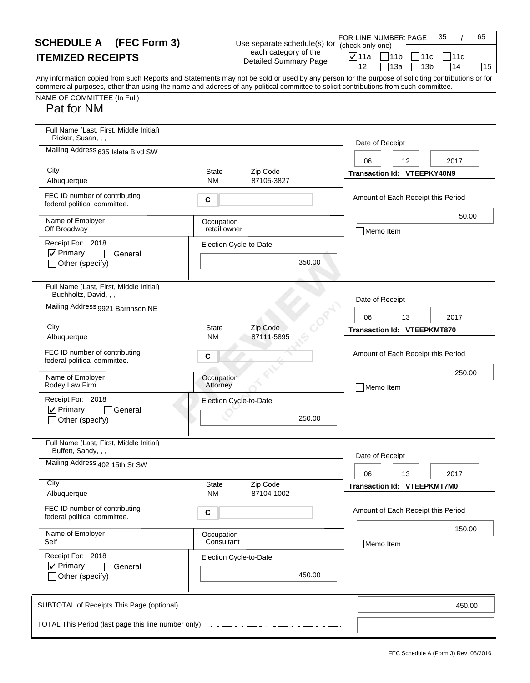| <b>SCHEDULE A</b> (FEC Form 3)                                                                                                                                                                                                                                                                                                       |                                          | Use separate schedule(s) for                         | 35<br>65<br>FOR LINE NUMBER: PAGE<br>(check only one)                                                    |
|--------------------------------------------------------------------------------------------------------------------------------------------------------------------------------------------------------------------------------------------------------------------------------------------------------------------------------------|------------------------------------------|------------------------------------------------------|----------------------------------------------------------------------------------------------------------|
| <b>ITEMIZED RECEIPTS</b>                                                                                                                                                                                                                                                                                                             |                                          | each category of the<br><b>Detailed Summary Page</b> | <b>⊽</b> ∣11a<br>$\bigcap 11b$<br> 11c<br>111d                                                           |
| Any information copied from such Reports and Statements may not be sold or used by any person for the purpose of soliciting contributions or for<br>commercial purposes, other than using the name and address of any political committee to solicit contributions from such committee.<br>NAME OF COMMITTEE (In Full)<br>Pat for NM |                                          |                                                      | 14<br>12<br>13a<br>13 <sub>b</sub><br>15                                                                 |
| Full Name (Last, First, Middle Initial)<br>Ricker, Susan, , ,<br>Mailing Address 635 Isleta Blvd SW<br>City<br>Albuquerque<br>FEC ID number of contributing                                                                                                                                                                          | State<br><b>NM</b><br>C                  | Zip Code<br>87105-3827                               | Date of Receipt<br>12<br>2017<br>06<br>Transaction Id: VTEEPKY40N9<br>Amount of Each Receipt this Period |
| federal political committee.<br>Name of Employer<br>Off Broadway<br>Receipt For: 2018<br>$ $ V Primary<br> General<br>Other (specify)                                                                                                                                                                                                | Occupation<br>retail owner               | Election Cycle-to-Date<br>350.00                     | 50.00<br>Memo Item                                                                                       |
| Full Name (Last, First, Middle Initial)<br>Buchholtz, David, , ,<br>Mailing Address 9921 Barrinson NE<br>City                                                                                                                                                                                                                        | <b>State</b>                             | Zip Code                                             | Date of Receipt<br>2017<br>06<br>13<br><b>Transaction Id: VTEEPKMT870</b>                                |
| Albuquerque<br>FEC ID number of contributing<br>federal political committee.<br>Name of Employer<br>Rodey Law Firm<br>Receipt For: 2018<br>$\nabla$ Primary<br>General<br>_lOther (specify)                                                                                                                                          | <b>NM</b><br>C<br>Occupation<br>Attorney | 87111-5895<br>Election Cycle-to-Date<br>250.00       | Amount of Each Receipt this Period<br>250.00<br>Memo Item                                                |
| Full Name (Last, First, Middle Initial)<br>Buffett, Sandy, , ,<br>Mailing Address 402 15th St SW<br>City<br>Albuquerque                                                                                                                                                                                                              | State<br><b>NM</b>                       | Zip Code<br>87104-1002                               | Date of Receipt<br>06<br>13<br>2017<br>Transaction Id: VTEEPKMT7M0                                       |
| FEC ID number of contributing<br>federal political committee.<br>Name of Employer<br>Self<br>Receipt For: 2018<br>$\nabla$ Primary<br> General<br>Other (specify)                                                                                                                                                                    | С<br>Occupation<br>Consultant            | Election Cycle-to-Date<br>450.00                     | Amount of Each Receipt this Period<br>150.00<br>Memo Item                                                |
| SUBTOTAL of Receipts This Page (optional)                                                                                                                                                                                                                                                                                            |                                          |                                                      | 450.00                                                                                                   |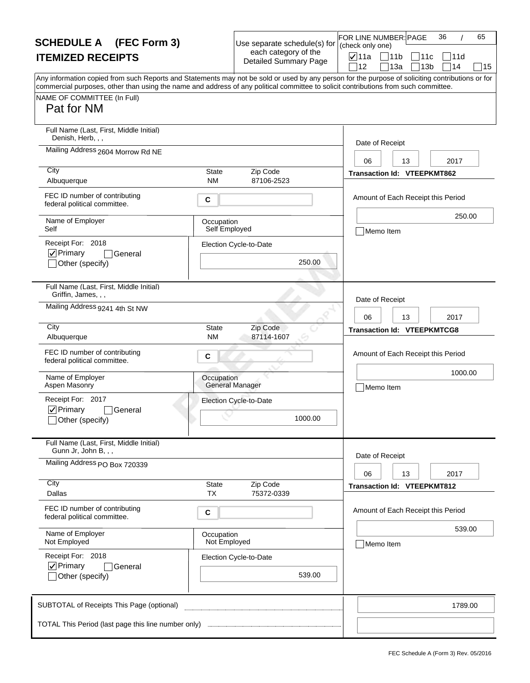| <b>SCHEDULE A</b> (FEC Form 3)                                                                                                                                                                                                                                                                                                       |                             | Use separate schedule(s) for                         | 36<br>65<br>FOR LINE NUMBER: PAGE<br>(check only one)                                   |
|--------------------------------------------------------------------------------------------------------------------------------------------------------------------------------------------------------------------------------------------------------------------------------------------------------------------------------------|-----------------------------|------------------------------------------------------|-----------------------------------------------------------------------------------------|
| <b>ITEMIZED RECEIPTS</b>                                                                                                                                                                                                                                                                                                             |                             | each category of the<br><b>Detailed Summary Page</b> | $\nabla$ 11a<br>$\Box$ 11b<br>11c<br> 11d<br>714<br>12<br>13a<br>13 <sub>b</sub><br> 15 |
| Any information copied from such Reports and Statements may not be sold or used by any person for the purpose of soliciting contributions or for<br>commercial purposes, other than using the name and address of any political committee to solicit contributions from such committee.<br>NAME OF COMMITTEE (In Full)<br>Pat for NM |                             |                                                      |                                                                                         |
| Full Name (Last, First, Middle Initial)<br>Denish, Herb, , ,                                                                                                                                                                                                                                                                         |                             |                                                      | Date of Receipt                                                                         |
| Mailing Address 2604 Morrow Rd NE                                                                                                                                                                                                                                                                                                    |                             |                                                      | 2017<br>06<br>13                                                                        |
| City<br>Albuquerque                                                                                                                                                                                                                                                                                                                  | State<br><b>NM</b>          | Zip Code<br>87106-2523                               | <b>Transaction Id: VTEEPKMT862</b>                                                      |
| FEC ID number of contributing<br>federal political committee.                                                                                                                                                                                                                                                                        | C                           |                                                      | Amount of Each Receipt this Period                                                      |
| Name of Employer<br>Self                                                                                                                                                                                                                                                                                                             | Occupation<br>Self Employed |                                                      | 250.00<br>Memo Item                                                                     |
| Receipt For: 2018<br>$\nabla$ Primary<br>General<br>Other (specify)                                                                                                                                                                                                                                                                  |                             | Election Cycle-to-Date<br>250.00                     |                                                                                         |
| Full Name (Last, First, Middle Initial)<br>Griffin, James, , ,                                                                                                                                                                                                                                                                       |                             |                                                      | Date of Receipt                                                                         |
| Mailing Address 9241 4th St NW                                                                                                                                                                                                                                                                                                       |                             |                                                      | 06<br>13<br>2017                                                                        |
| City<br>Albuquerque                                                                                                                                                                                                                                                                                                                  | <b>State</b><br>ΝM          | Zip Code<br>87114-1607                               | <b>Transaction Id: VTEEPKMTCG8</b>                                                      |
| FEC ID number of contributing<br>federal political committee.                                                                                                                                                                                                                                                                        | C                           |                                                      | Amount of Each Receipt this Period                                                      |
| Name of Employer<br>Aspen Masonry                                                                                                                                                                                                                                                                                                    | Occupation                  | <b>General Manager</b>                               | 1000.00<br>Memo Item                                                                    |
| Receipt For: 2017<br>$\nabla$ Primary<br>General<br>_lOther (specify)                                                                                                                                                                                                                                                                |                             | Election Cycle-to-Date<br>1000.00                    |                                                                                         |
| Full Name (Last, First, Middle Initial)<br>Gunn Jr, John B, , ,                                                                                                                                                                                                                                                                      |                             |                                                      |                                                                                         |
| Mailing Address PO Box 720339                                                                                                                                                                                                                                                                                                        |                             |                                                      | Date of Receipt<br>2017<br>06<br>13                                                     |
| City<br>Dallas                                                                                                                                                                                                                                                                                                                       | State<br><b>TX</b>          | Zip Code<br>75372-0339                               | <b>Transaction Id: VTEEPKMT812</b>                                                      |
| FEC ID number of contributing<br>federal political committee.                                                                                                                                                                                                                                                                        | С                           |                                                      | Amount of Each Receipt this Period                                                      |
| Name of Employer<br>Not Employed                                                                                                                                                                                                                                                                                                     | Occupation<br>Not Employed  |                                                      | 539.00<br>Memo Item                                                                     |
| Receipt For: 2018<br>$\nabla$ Primary<br>General<br>Other (specify)                                                                                                                                                                                                                                                                  |                             | Election Cycle-to-Date<br>539.00                     |                                                                                         |
| SUBTOTAL of Receipts This Page (optional)                                                                                                                                                                                                                                                                                            |                             |                                                      | 1789.00                                                                                 |
|                                                                                                                                                                                                                                                                                                                                      |                             |                                                      |                                                                                         |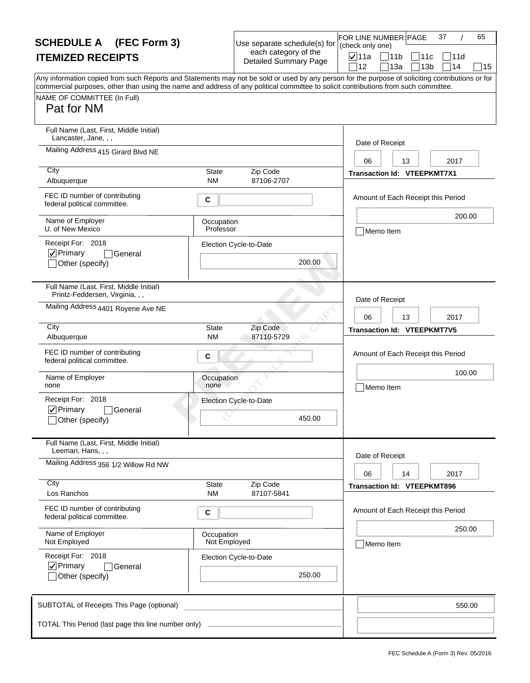| <b>SCHEDULE A</b> (FEC Form 3)                                                                                                                                     |                            | Use separate schedule(s) for                         | (check only one) | FOR LINE NUMBER: PAGE                    | 37<br>65                    |
|--------------------------------------------------------------------------------------------------------------------------------------------------------------------|----------------------------|------------------------------------------------------|------------------|------------------------------------------|-----------------------------|
| <b>ITEMIZED RECEIPTS</b>                                                                                                                                           |                            | each category of the<br><b>Detailed Summary Page</b> | <b>⊽</b> 11a     | 11b<br>111с                              | 111d                        |
| Any information copied from such Reports and Statements may not be sold or used by any person for the purpose of soliciting contributions or for                   |                            |                                                      | 12               | 13a                                      | 14<br>13 <sub>b</sub><br>15 |
| commercial purposes, other than using the name and address of any political committee to solicit contributions from such committee.<br>NAME OF COMMITTEE (In Full) |                            |                                                      |                  |                                          |                             |
| Pat for NM                                                                                                                                                         |                            |                                                      |                  |                                          |                             |
| Full Name (Last, First, Middle Initial)<br>Lancaster, Jane, , ,                                                                                                    |                            |                                                      | Date of Receipt  |                                          |                             |
| Mailing Address 415 Girard Blvd NE                                                                                                                                 |                            |                                                      | 06               | 13                                       | 2017                        |
| City<br>Albuquerque                                                                                                                                                | <b>State</b><br><b>NM</b>  | Zip Code<br>87106-2707                               |                  | <b>Transaction Id: VTEEPKMT7X1</b>       |                             |
| FEC ID number of contributing<br>federal political committee.                                                                                                      | С                          |                                                      |                  | Amount of Each Receipt this Period       |                             |
| Name of Employer<br>U. of New Mexico                                                                                                                               | Occupation<br>Professor    |                                                      |                  | Memo Item                                | 200.00                      |
| Receipt For: 2018<br>$\nabla$ Primary<br>General                                                                                                                   |                            | Election Cycle-to-Date                               |                  |                                          |                             |
| Other (specify)                                                                                                                                                    |                            | 200.00                                               |                  |                                          |                             |
| Full Name (Last, First, Middle Initial)<br>Printz-Feddersen, Virginia, , ,                                                                                         |                            |                                                      | Date of Receipt  |                                          |                             |
| Mailing Address 4401 Royene Ave NE                                                                                                                                 |                            |                                                      | 06               | 13                                       | 2017                        |
| City                                                                                                                                                               | <b>State</b><br><b>NM</b>  | Zip Code<br>87110-5729                               |                  | <b>Transaction Id: VTEEPKMT7V5</b>       |                             |
| Albuquerque<br>FEC ID number of contributing                                                                                                                       | С                          |                                                      |                  | Amount of Each Receipt this Period       |                             |
| federal political committee.                                                                                                                                       |                            |                                                      |                  |                                          | 100.00                      |
| Name of Employer<br>none                                                                                                                                           | Occupation<br>none         |                                                      |                  | Memo Item                                |                             |
| Receipt For: 2018                                                                                                                                                  |                            | Election Cycle-to-Date                               |                  |                                          |                             |
| $\nabla$ Primary<br>General<br>_lOther (specify)                                                                                                                   |                            | 450.00                                               |                  |                                          |                             |
| Full Name (Last, First, Middle Initial)<br>Leeman, Hans, , ,                                                                                                       |                            |                                                      |                  |                                          |                             |
| Mailing Address 356 1/2 Willow Rd NW                                                                                                                               |                            |                                                      | Date of Receipt  |                                          |                             |
| City                                                                                                                                                               | <b>State</b>               | Zip Code                                             | 06               | 14<br><b>Transaction Id: VTEEPKMT896</b> | 2017                        |
| Los Ranchos                                                                                                                                                        | <b>NM</b>                  | 87107-5841                                           |                  |                                          |                             |
| FEC ID number of contributing<br>federal political committee.                                                                                                      | С                          |                                                      |                  | Amount of Each Receipt this Period       |                             |
| Name of Employer<br>Not Employed                                                                                                                                   | Occupation<br>Not Employed |                                                      |                  | Memo Item                                | 250.00                      |
| Receipt For: 2018                                                                                                                                                  |                            | Election Cycle-to-Date                               |                  |                                          |                             |
| $\nabla$ Primary<br>General<br>Other (specify)                                                                                                                     |                            | 250.00                                               |                  |                                          |                             |
| SUBTOTAL of Receipts This Page (optional)                                                                                                                          |                            |                                                      |                  |                                          | 550.00                      |
|                                                                                                                                                                    |                            |                                                      |                  |                                          |                             |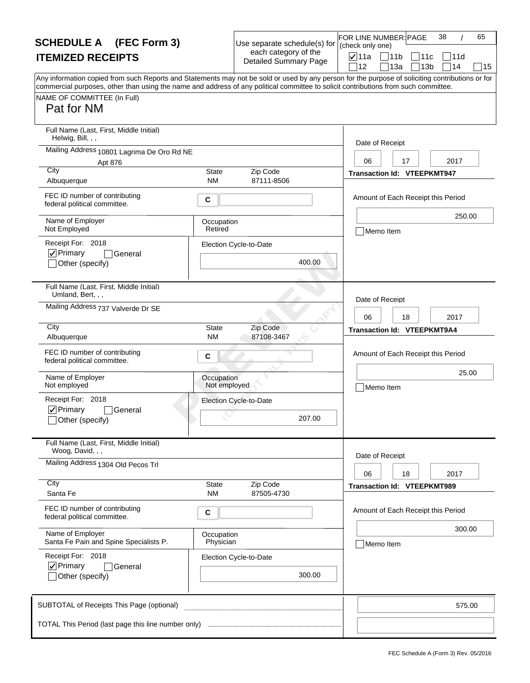| <b>SCHEDULE A</b> (FEC Form 3)                                                                                                                                                                                                                                                          |                            | Use separate schedule(s) for                         | FOR LINE NUMBER: PAGE<br>38<br>65<br>(check only one)                            |
|-----------------------------------------------------------------------------------------------------------------------------------------------------------------------------------------------------------------------------------------------------------------------------------------|----------------------------|------------------------------------------------------|----------------------------------------------------------------------------------|
| <b>ITEMIZED RECEIPTS</b>                                                                                                                                                                                                                                                                |                            | each category of the<br><b>Detailed Summary Page</b> | <b>⊽</b> 11a<br> 11<br>]11c<br> 11d<br>13a<br>13 <sub>b</sub><br>114<br>12<br>15 |
| Any information copied from such Reports and Statements may not be sold or used by any person for the purpose of soliciting contributions or for<br>commercial purposes, other than using the name and address of any political committee to solicit contributions from such committee. |                            |                                                      |                                                                                  |
| NAME OF COMMITTEE (In Full)<br>Pat for NM                                                                                                                                                                                                                                               |                            |                                                      |                                                                                  |
| Full Name (Last, First, Middle Initial)<br>Helwig, Bill, , ,                                                                                                                                                                                                                            |                            |                                                      | Date of Receipt                                                                  |
| Mailing Address 10801 Lagrima De Oro Rd NE                                                                                                                                                                                                                                              |                            |                                                      |                                                                                  |
| Apt 876<br>City                                                                                                                                                                                                                                                                         | State                      | Zip Code                                             | 06<br>17<br>2017<br><b>Transaction Id: VTEEPKMT947</b>                           |
| Albuquerque                                                                                                                                                                                                                                                                             | <b>NM</b>                  | 87111-8506                                           |                                                                                  |
| FEC ID number of contributing<br>federal political committee.                                                                                                                                                                                                                           | С                          |                                                      | Amount of Each Receipt this Period                                               |
| Name of Employer<br>Not Employed                                                                                                                                                                                                                                                        | Occupation<br>Retired      |                                                      | 250.00<br>Memo Item                                                              |
| Receipt For: 2018                                                                                                                                                                                                                                                                       |                            | Election Cycle-to-Date                               |                                                                                  |
| $\nabla$ Primary<br>General<br>Other (specify)                                                                                                                                                                                                                                          |                            | 400.00                                               |                                                                                  |
| Full Name (Last, First, Middle Initial)<br>Umland, Bert, , ,                                                                                                                                                                                                                            |                            |                                                      | Date of Receipt                                                                  |
| Mailing Address 737 Valverde Dr SE                                                                                                                                                                                                                                                      |                            |                                                      | 06<br>18<br>2017                                                                 |
| City                                                                                                                                                                                                                                                                                    | <b>State</b>               | Zip Code                                             | <b>Transaction Id: VTEEPKMT9A4</b>                                               |
| Albuquerque                                                                                                                                                                                                                                                                             | NM.                        | 87108-3467                                           |                                                                                  |
| FEC ID number of contributing<br>federal political committee.                                                                                                                                                                                                                           | С                          |                                                      | Amount of Each Receipt this Period                                               |
| Name of Employer<br>Not employed                                                                                                                                                                                                                                                        | Occupation<br>Not employed |                                                      | 25.00<br>Memo Item                                                               |
| Receipt For: 2018                                                                                                                                                                                                                                                                       |                            | Election Cycle-to-Date                               |                                                                                  |
| $\nabla$ Primary<br>General<br>Other (specify)                                                                                                                                                                                                                                          |                            | 207.00                                               |                                                                                  |
| Full Name (Last, First, Middle Initial)<br>Woog, David, , ,                                                                                                                                                                                                                             |                            |                                                      | Date of Receipt                                                                  |
| Mailing Address 1304 Old Pecos Trl                                                                                                                                                                                                                                                      |                            |                                                      | 06<br>18<br>2017                                                                 |
| City<br>Santa Fe                                                                                                                                                                                                                                                                        | State<br><b>NM</b>         | Zip Code<br>87505-4730                               | <b>Transaction Id: VTEEPKMT989</b>                                               |
| FEC ID number of contributing<br>federal political committee.                                                                                                                                                                                                                           | C                          |                                                      | Amount of Each Receipt this Period                                               |
| Name of Employer<br>Santa Fe Pain and Spine Specialists P.                                                                                                                                                                                                                              | Occupation<br>Physician    |                                                      | 300.00<br>Memo Item                                                              |
| Receipt For: 2018                                                                                                                                                                                                                                                                       |                            | Election Cycle-to-Date                               |                                                                                  |
| $\nabla$ Primary<br>General<br>Other (specify)                                                                                                                                                                                                                                          |                            | 300.00                                               |                                                                                  |
| SUBTOTAL of Receipts This Page (optional)                                                                                                                                                                                                                                               |                            |                                                      | 575.00                                                                           |
| TOTAL This Period (last page this line number only)                                                                                                                                                                                                                                     |                            |                                                      |                                                                                  |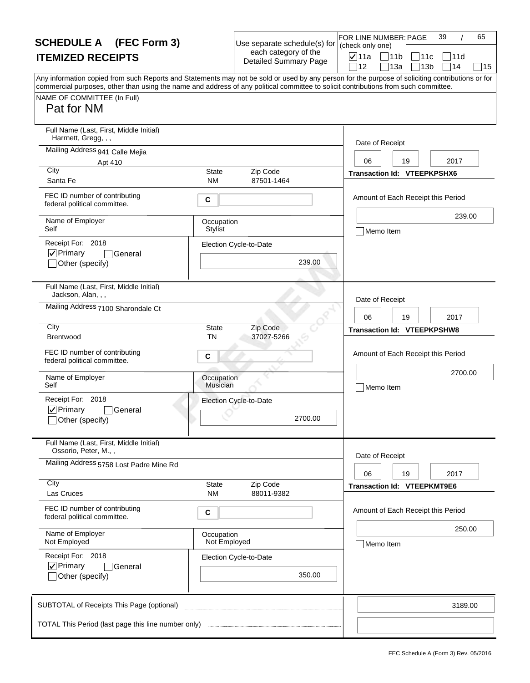| <b>SCHEDULE A</b> (FEC Form 3)                                                                                                                                                                                                                                                                                                       |                               | Use separate schedule(s) for                         | 39<br>FOR LINE NUMBER: PAGE<br>(check only one) | 65 |
|--------------------------------------------------------------------------------------------------------------------------------------------------------------------------------------------------------------------------------------------------------------------------------------------------------------------------------------|-------------------------------|------------------------------------------------------|-------------------------------------------------|----|
| <b>ITEMIZED RECEIPTS</b>                                                                                                                                                                                                                                                                                                             |                               | each category of the<br><b>Detailed Summary Page</b> | <b>⊽</b> ∣11a<br>$\Box$ 11b<br> 11c<br>111d     |    |
| Any information copied from such Reports and Statements may not be sold or used by any person for the purpose of soliciting contributions or for<br>commercial purposes, other than using the name and address of any political committee to solicit contributions from such committee.<br>NAME OF COMMITTEE (In Full)<br>Pat for NM |                               |                                                      | 14<br>12<br>13a<br>13 <sub>b</sub>              | 15 |
| Full Name (Last, First, Middle Initial)<br>Harrnett, Gregg, , ,                                                                                                                                                                                                                                                                      |                               |                                                      |                                                 |    |
| Mailing Address 941 Calle Mejia                                                                                                                                                                                                                                                                                                      |                               |                                                      | Date of Receipt                                 |    |
| Apt 410<br>City                                                                                                                                                                                                                                                                                                                      | State                         | Zip Code                                             | 2017<br>06<br>19<br>Transaction Id: VTEEPKPSHX6 |    |
| Santa Fe                                                                                                                                                                                                                                                                                                                             | <b>NM</b>                     | 87501-1464                                           |                                                 |    |
| FEC ID number of contributing<br>federal political committee.                                                                                                                                                                                                                                                                        | C                             |                                                      | Amount of Each Receipt this Period              |    |
| Name of Employer<br>Self                                                                                                                                                                                                                                                                                                             | Occupation<br><b>Stylist</b>  |                                                      | 239.00<br>Memo Item                             |    |
| Receipt For: 2018<br>$ $ $\checkmark$ Primary<br> General<br>Other (specify)                                                                                                                                                                                                                                                         |                               | Election Cycle-to-Date<br>239.00                     |                                                 |    |
| Full Name (Last, First, Middle Initial)<br>Jackson, Alan, , ,                                                                                                                                                                                                                                                                        |                               |                                                      | Date of Receipt                                 |    |
| Mailing Address 7100 Sharondale Ct                                                                                                                                                                                                                                                                                                   |                               |                                                      | 06<br>19<br>2017                                |    |
| City<br>Brentwood                                                                                                                                                                                                                                                                                                                    | <b>State</b><br>TN            | Zip Code<br>37027-5266                               | <b>Transaction Id: VTEEPKPSHW8</b>              |    |
| FEC ID number of contributing<br>federal political committee.                                                                                                                                                                                                                                                                        | C                             |                                                      | Amount of Each Receipt this Period              |    |
| Name of Employer<br>Self                                                                                                                                                                                                                                                                                                             | Occupation<br><b>Musician</b> |                                                      | 2700.00<br>Memo Item                            |    |
| Receipt For: 2018                                                                                                                                                                                                                                                                                                                    |                               | Election Cycle-to-Date                               |                                                 |    |
| $\nabla$ Primary<br>General<br>_lOther (specify)                                                                                                                                                                                                                                                                                     |                               | 2700.00                                              |                                                 |    |
| Full Name (Last, First, Middle Initial)<br>Ossorio, Peter, M.,,                                                                                                                                                                                                                                                                      |                               |                                                      | Date of Receipt                                 |    |
| Mailing Address 5758 Lost Padre Mine Rd                                                                                                                                                                                                                                                                                              |                               |                                                      | 06<br>19<br>2017                                |    |
| City<br>Las Cruces                                                                                                                                                                                                                                                                                                                   | State<br><b>NM</b>            | Zip Code<br>88011-9382                               | <b>Transaction Id: VTEEPKMT9E6</b>              |    |
| FEC ID number of contributing<br>federal political committee.                                                                                                                                                                                                                                                                        | С                             |                                                      | Amount of Each Receipt this Period              |    |
| Name of Employer<br>Not Employed                                                                                                                                                                                                                                                                                                     | Occupation<br>Not Employed    |                                                      | 250.00<br>Memo Item                             |    |
| Receipt For: 2018<br>$\nabla$ Primary<br><b>General</b><br>Other (specify)                                                                                                                                                                                                                                                           |                               | Election Cycle-to-Date<br>350.00                     |                                                 |    |
| SUBTOTAL of Receipts This Page (optional)                                                                                                                                                                                                                                                                                            |                               |                                                      | 3189.00                                         |    |
|                                                                                                                                                                                                                                                                                                                                      |                               |                                                      |                                                 |    |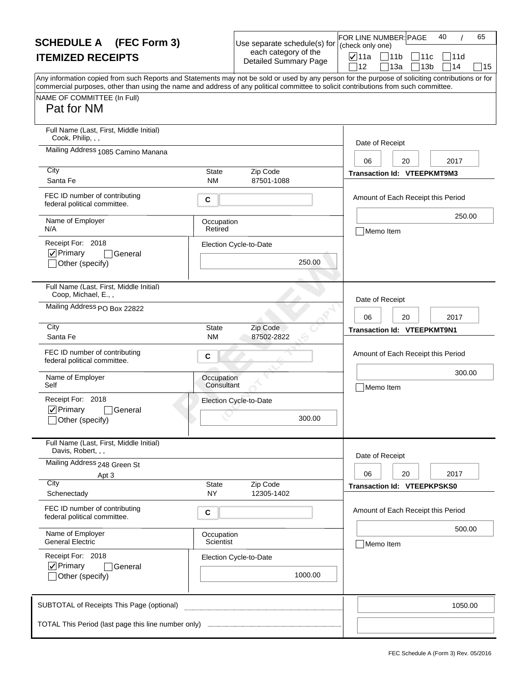| <b>SCHEDULE A</b> (FEC Form 3)                                                                                                                                                                                                                                                          |                           | Use separate schedule(s) for                         | 65<br>FOR LINE NUMBER: PAGE<br>40<br>(check only one)                             |
|-----------------------------------------------------------------------------------------------------------------------------------------------------------------------------------------------------------------------------------------------------------------------------------------|---------------------------|------------------------------------------------------|-----------------------------------------------------------------------------------|
| <b>ITEMIZED RECEIPTS</b>                                                                                                                                                                                                                                                                |                           | each category of the<br><b>Detailed Summary Page</b> | <b>⊽</b> ∣11a<br> 11b<br>11c<br> 11d<br>12<br>13a<br>13 <sub>b</sub><br>∃14<br>15 |
| Any information copied from such Reports and Statements may not be sold or used by any person for the purpose of soliciting contributions or for<br>commercial purposes, other than using the name and address of any political committee to solicit contributions from such committee. |                           |                                                      |                                                                                   |
| NAME OF COMMITTEE (In Full)<br>Pat for NM                                                                                                                                                                                                                                               |                           |                                                      |                                                                                   |
| Full Name (Last, First, Middle Initial)<br>Cook, Philip, , ,                                                                                                                                                                                                                            |                           |                                                      | Date of Receipt                                                                   |
| Mailing Address 1085 Camino Manana                                                                                                                                                                                                                                                      |                           |                                                      | 06<br>20<br>2017                                                                  |
| City<br>Santa Fe                                                                                                                                                                                                                                                                        | State<br><b>NM</b>        | Zip Code<br>87501-1088                               | Transaction Id: VTEEPKMT9M3                                                       |
| FEC ID number of contributing<br>federal political committee.                                                                                                                                                                                                                           | С                         |                                                      | Amount of Each Receipt this Period                                                |
| Name of Employer<br>N/A                                                                                                                                                                                                                                                                 | Occupation<br>Retired     |                                                      | 250.00<br>Memo Item                                                               |
| Receipt For: 2018<br>$ $ $\checkmark$ Primary<br>General                                                                                                                                                                                                                                |                           | Election Cycle-to-Date                               |                                                                                   |
| Other (specify)                                                                                                                                                                                                                                                                         |                           | 250.00                                               |                                                                                   |
| Full Name (Last, First, Middle Initial)<br>Coop, Michael, E.,,                                                                                                                                                                                                                          |                           |                                                      | Date of Receipt                                                                   |
| Mailing Address PO Box 22822                                                                                                                                                                                                                                                            |                           |                                                      | 06<br>20<br>2017                                                                  |
| City<br>Santa Fe                                                                                                                                                                                                                                                                        | <b>State</b><br><b>NM</b> | Zip Code<br>87502-2822                               | <b>Transaction Id: VTEEPKMT9N1</b>                                                |
| FEC ID number of contributing<br>federal political committee.                                                                                                                                                                                                                           | С                         |                                                      | Amount of Each Receipt this Period                                                |
| Name of Employer<br>Self                                                                                                                                                                                                                                                                | Occupation<br>Consultant  |                                                      | 300.00<br>Memo Item                                                               |
| Receipt For: 2018<br>$\nabla$ Primary<br>General                                                                                                                                                                                                                                        |                           | Election Cycle-to-Date                               |                                                                                   |
| Other (specify)                                                                                                                                                                                                                                                                         |                           | 300.00                                               |                                                                                   |
| Full Name (Last, First, Middle Initial)<br>Davis, Robert, , ,                                                                                                                                                                                                                           |                           |                                                      |                                                                                   |
| Mailing Address 248 Green St<br>Apt 3                                                                                                                                                                                                                                                   |                           |                                                      | Date of Receipt<br>2017<br>06<br>20                                               |
| City<br>Schenectady                                                                                                                                                                                                                                                                     | <b>State</b><br><b>NY</b> | Zip Code<br>12305-1402                               | Transaction Id: VTEEPKPSKS0                                                       |
| FEC ID number of contributing<br>federal political committee.                                                                                                                                                                                                                           | С                         |                                                      | Amount of Each Receipt this Period                                                |
| Name of Employer<br><b>General Electric</b>                                                                                                                                                                                                                                             | Occupation<br>Scientist   |                                                      | 500.00<br>Memo Item                                                               |
| Receipt For: 2018<br>$\nabla$ Primary<br>General                                                                                                                                                                                                                                        |                           | Election Cycle-to-Date                               |                                                                                   |
| Other (specify)                                                                                                                                                                                                                                                                         |                           | 1000.00                                              |                                                                                   |
| SUBTOTAL of Receipts This Page (optional)                                                                                                                                                                                                                                               |                           |                                                      | 1050.00                                                                           |
|                                                                                                                                                                                                                                                                                         |                           |                                                      |                                                                                   |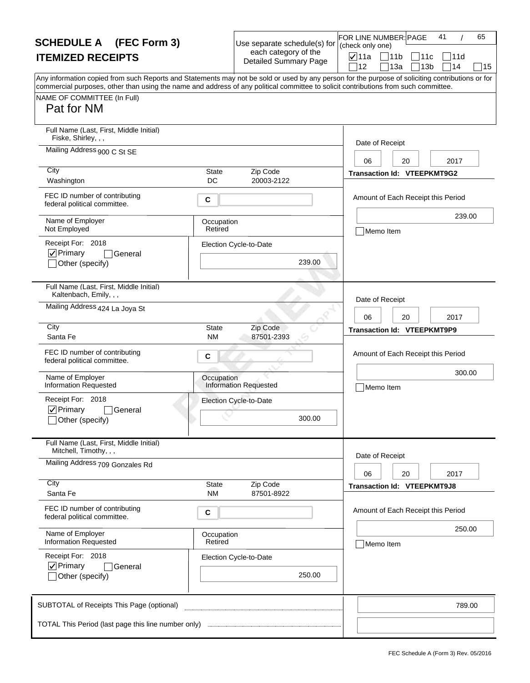| <b>SCHEDULE A</b> (FEC Form 3)                                                                                                                                                                                                                                                          |                           | Use separate schedule(s) for                         | 41<br>65<br>FOR LINE NUMBER: PAGE<br>(check only one)                             |
|-----------------------------------------------------------------------------------------------------------------------------------------------------------------------------------------------------------------------------------------------------------------------------------------|---------------------------|------------------------------------------------------|-----------------------------------------------------------------------------------|
| <b>ITEMIZED RECEIPTS</b>                                                                                                                                                                                                                                                                |                           | each category of the<br><b>Detailed Summary Page</b> | <b>⊽</b> ∣11a<br> 11b<br>11c<br> 11d<br>12<br>13a<br>13 <sub>b</sub><br>∃14<br>15 |
| Any information copied from such Reports and Statements may not be sold or used by any person for the purpose of soliciting contributions or for<br>commercial purposes, other than using the name and address of any political committee to solicit contributions from such committee. |                           |                                                      |                                                                                   |
| NAME OF COMMITTEE (In Full)<br>Pat for NM                                                                                                                                                                                                                                               |                           |                                                      |                                                                                   |
| Full Name (Last, First, Middle Initial)<br>Fiske, Shirley, , ,                                                                                                                                                                                                                          |                           |                                                      | Date of Receipt                                                                   |
| Mailing Address 900 C St SE                                                                                                                                                                                                                                                             |                           |                                                      | 06<br>20<br>2017                                                                  |
| City<br>Washington                                                                                                                                                                                                                                                                      | State<br>DC               | Zip Code<br>20003-2122                               | Transaction Id: VTEEPKMT9G2                                                       |
| FEC ID number of contributing<br>federal political committee.                                                                                                                                                                                                                           | С                         |                                                      | Amount of Each Receipt this Period                                                |
| Name of Employer<br>Not Employed                                                                                                                                                                                                                                                        | Occupation<br>Retired     |                                                      | 239.00<br>Memo Item                                                               |
| Receipt For: 2018<br>$\nabla$ Primary<br>General<br>Other (specify)                                                                                                                                                                                                                     |                           | Election Cycle-to-Date<br>239.00                     |                                                                                   |
| Full Name (Last, First, Middle Initial)<br>Kaltenbach, Emily, , ,                                                                                                                                                                                                                       |                           |                                                      |                                                                                   |
| Mailing Address 424 La Joya St                                                                                                                                                                                                                                                          |                           |                                                      | Date of Receipt<br>06<br>20<br>2017                                               |
| City<br>Santa Fe                                                                                                                                                                                                                                                                        | <b>State</b><br><b>NM</b> | Zip Code<br>87501-2393                               | <b>Transaction Id: VTEEPKMT9P9</b>                                                |
| FEC ID number of contributing<br>federal political committee.                                                                                                                                                                                                                           | C                         |                                                      | Amount of Each Receipt this Period                                                |
| Name of Employer<br><b>Information Requested</b>                                                                                                                                                                                                                                        | Occupation                | <b>Information Requested</b>                         | 300.00<br>Memo Item                                                               |
| Receipt For: 2018<br>$\nabla$ Primary<br>General<br>Other (specify)                                                                                                                                                                                                                     |                           | Election Cycle-to-Date<br>300.00                     |                                                                                   |
| Full Name (Last, First, Middle Initial)<br>Mitchell, Timothy, , ,                                                                                                                                                                                                                       |                           |                                                      | Date of Receipt                                                                   |
| Mailing Address 709 Gonzales Rd                                                                                                                                                                                                                                                         |                           |                                                      | 06<br>20<br>2017                                                                  |
| City<br>Santa Fe                                                                                                                                                                                                                                                                        | State<br>NM.              | Zip Code<br>87501-8922                               | <b>Transaction Id: VTEEPKMT9J8</b>                                                |
| FEC ID number of contributing<br>federal political committee.                                                                                                                                                                                                                           | С                         |                                                      | Amount of Each Receipt this Period                                                |
| Name of Employer<br><b>Information Requested</b>                                                                                                                                                                                                                                        | Occupation<br>Retired     |                                                      | 250.00<br>Memo Item                                                               |
| Receipt For: 2018<br>$\nabla$ Primary<br>General<br>Other (specify)                                                                                                                                                                                                                     |                           | Election Cycle-to-Date<br>250.00                     |                                                                                   |
| SUBTOTAL of Receipts This Page (optional)                                                                                                                                                                                                                                               |                           |                                                      | 789.00                                                                            |
| TOTAL This Period (last page this line number only) <b>Election</b> manuscritic results                                                                                                                                                                                                 |                           |                                                      |                                                                                   |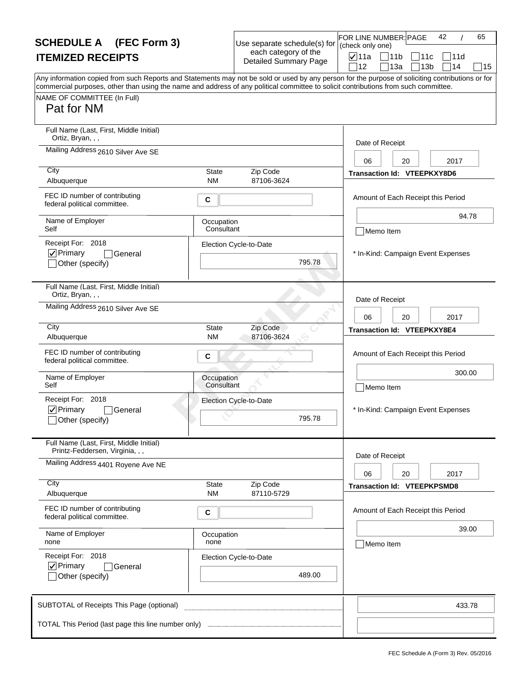| <b>SCHEDULE A</b> (FEC Form 3)                                                                                                                                                                                                                                                                                         |                           | Use separate schedule(s) for                         | FOR LINE NUMBER: PAGE<br>(check only one) |                                        | 42         | 65     |
|------------------------------------------------------------------------------------------------------------------------------------------------------------------------------------------------------------------------------------------------------------------------------------------------------------------------|---------------------------|------------------------------------------------------|-------------------------------------------|----------------------------------------|------------|--------|
| <b>ITEMIZED RECEIPTS</b>                                                                                                                                                                                                                                                                                               |                           | each category of the<br><b>Detailed Summary Page</b> | $\sqrt{ }$ 11a<br>12                      | 11b<br> 11c<br>∏13a<br>13 <sub>b</sub> | 111d<br>14 | 15     |
| Any information copied from such Reports and Statements may not be sold or used by any person for the purpose of soliciting contributions or for<br>commercial purposes, other than using the name and address of any political committee to solicit contributions from such committee.<br>NAME OF COMMITTEE (In Full) |                           |                                                      |                                           |                                        |            |        |
| Pat for NM                                                                                                                                                                                                                                                                                                             |                           |                                                      |                                           |                                        |            |        |
| Full Name (Last, First, Middle Initial)<br>Ortiz, Bryan, , ,                                                                                                                                                                                                                                                           |                           |                                                      | Date of Receipt                           |                                        |            |        |
| Mailing Address 2610 Silver Ave SE                                                                                                                                                                                                                                                                                     |                           |                                                      | 06                                        | 20                                     | 2017       |        |
| City<br>Albuquerque                                                                                                                                                                                                                                                                                                    | <b>State</b><br><b>NM</b> | Zip Code<br>87106-3624                               |                                           | <b>Transaction Id: VTEEPKXY8D6</b>     |            |        |
| FEC ID number of contributing<br>federal political committee.                                                                                                                                                                                                                                                          | C                         |                                                      |                                           | Amount of Each Receipt this Period     |            |        |
| Name of Employer<br>Self                                                                                                                                                                                                                                                                                               | Occupation<br>Consultant  |                                                      | Memo Item                                 |                                        |            | 94.78  |
| Receipt For: 2018<br> √ Primary<br> General                                                                                                                                                                                                                                                                            |                           | Election Cycle-to-Date                               |                                           | * In-Kind: Campaign Event Expenses     |            |        |
| Other (specify)                                                                                                                                                                                                                                                                                                        |                           | 795.78                                               |                                           |                                        |            |        |
| Full Name (Last, First, Middle Initial)<br>Ortiz, Bryan, , ,                                                                                                                                                                                                                                                           |                           |                                                      | Date of Receipt                           |                                        |            |        |
| Mailing Address 2610 Silver Ave SE                                                                                                                                                                                                                                                                                     |                           |                                                      | 06                                        | 20                                     | 2017       |        |
| City<br>Albuquerque                                                                                                                                                                                                                                                                                                    | <b>State</b><br>ΝM        | Zip Code<br>87106-3624                               |                                           | Transaction Id: VTEEPKXY8E4            |            |        |
| FEC ID number of contributing<br>federal political committee.                                                                                                                                                                                                                                                          | C                         |                                                      |                                           | Amount of Each Receipt this Period     |            |        |
| Name of Employer<br>Self                                                                                                                                                                                                                                                                                               | Occupation<br>Consultant  |                                                      | Memo Item                                 |                                        |            | 300.00 |
| Receipt For: 2018                                                                                                                                                                                                                                                                                                      |                           | Election Cycle-to-Date                               |                                           |                                        |            |        |
| $\nabla$ Primary<br>General<br>_lOther (specify)                                                                                                                                                                                                                                                                       |                           | 795.78                                               |                                           | * In-Kind: Campaign Event Expenses     |            |        |
| Full Name (Last, First, Middle Initial)<br>Printz-Feddersen, Virginia, , ,                                                                                                                                                                                                                                             |                           |                                                      | Date of Receipt                           |                                        |            |        |
| Mailing Address 4401 Royene Ave NE                                                                                                                                                                                                                                                                                     |                           |                                                      | 06                                        | 20                                     | 2017       |        |
| City<br>Albuquerque                                                                                                                                                                                                                                                                                                    | <b>State</b><br><b>NM</b> | Zip Code<br>87110-5729                               |                                           | <b>Transaction Id: VTEEPKPSMD8</b>     |            |        |
| FEC ID number of contributing<br>federal political committee.                                                                                                                                                                                                                                                          | С                         |                                                      |                                           | Amount of Each Receipt this Period     |            |        |
| Name of Employer<br>none                                                                                                                                                                                                                                                                                               | Occupation<br>none        |                                                      | Memo Item                                 |                                        |            | 39.00  |
| Receipt For: 2018<br>$\nabla$ Primary<br>General                                                                                                                                                                                                                                                                       |                           | Election Cycle-to-Date                               |                                           |                                        |            |        |
| Other (specify)                                                                                                                                                                                                                                                                                                        |                           | 489.00                                               |                                           |                                        |            |        |
| SUBTOTAL of Receipts This Page (optional)                                                                                                                                                                                                                                                                              |                           |                                                      |                                           |                                        |            | 433.78 |
|                                                                                                                                                                                                                                                                                                                        |                           |                                                      |                                           |                                        |            |        |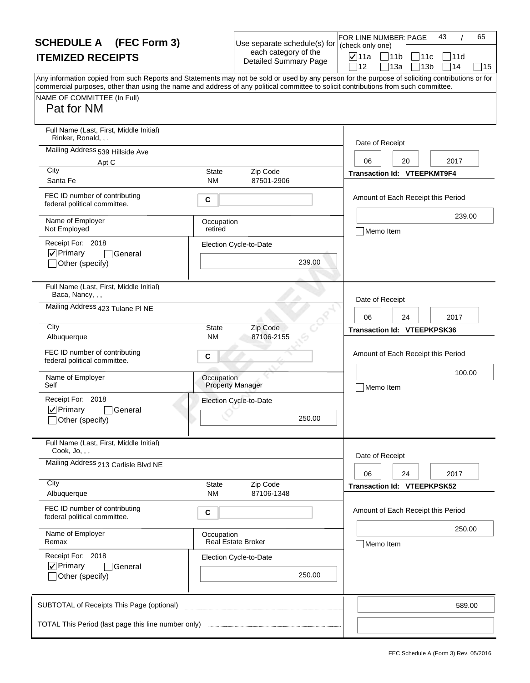| <b>SCHEDULE A</b> (FEC Form 3)                                                                                                                   |                       | Use separate schedule(s) for                         | FOR LINE NUMBER: PAGE<br>(check only one) | 65<br>43                                         |
|--------------------------------------------------------------------------------------------------------------------------------------------------|-----------------------|------------------------------------------------------|-------------------------------------------|--------------------------------------------------|
| <b>ITEMIZED RECEIPTS</b>                                                                                                                         |                       | each category of the<br><b>Detailed Summary Page</b> | <b>⊽</b> ∣11a                             | $\bigcap 11b$<br> 11c<br>111d                    |
| Any information copied from such Reports and Statements may not be sold or used by any person for the purpose of soliciting contributions or for |                       |                                                      | 12                                        | 14<br>13a<br>13 <sub>b</sub><br>15               |
| commercial purposes, other than using the name and address of any political committee to solicit contributions from such committee.              |                       |                                                      |                                           |                                                  |
| NAME OF COMMITTEE (In Full)<br>Pat for NM                                                                                                        |                       |                                                      |                                           |                                                  |
|                                                                                                                                                  |                       |                                                      |                                           |                                                  |
| Full Name (Last, First, Middle Initial)<br>Rinker, Ronald,                                                                                       |                       |                                                      | Date of Receipt                           |                                                  |
| Mailing Address 539 Hillside Ave                                                                                                                 |                       |                                                      |                                           |                                                  |
| Apt C<br>City                                                                                                                                    | <b>State</b>          | Zip Code                                             | 06                                        | 2017<br>20<br><b>Transaction Id: VTEEPKMT9F4</b> |
| Santa Fe                                                                                                                                         | <b>NM</b>             | 87501-2906                                           |                                           |                                                  |
| FEC ID number of contributing<br>federal political committee.                                                                                    | C                     |                                                      |                                           | Amount of Each Receipt this Period               |
| Name of Employer<br>Not Employed                                                                                                                 | Occupation<br>retired |                                                      | Memo Item                                 | 239.00                                           |
| Receipt For: 2018                                                                                                                                |                       | Election Cycle-to-Date                               |                                           |                                                  |
| $ $ V Primary<br>General<br>Other (specify)                                                                                                      |                       | 239.00                                               |                                           |                                                  |
|                                                                                                                                                  |                       |                                                      |                                           |                                                  |
| Full Name (Last, First, Middle Initial)<br>Baca, Nancy, , ,                                                                                      |                       |                                                      | Date of Receipt                           |                                                  |
| Mailing Address 423 Tulane PI NE                                                                                                                 |                       |                                                      | 06                                        | 2017<br>24                                       |
| City                                                                                                                                             | <b>State</b>          | Zip Code                                             |                                           | Transaction Id: VTEEPKPSK36                      |
| Albuquerque                                                                                                                                      | <b>NM</b>             | 87106-2155                                           |                                           |                                                  |
| FEC ID number of contributing<br>federal political committee.                                                                                    | C                     |                                                      |                                           | Amount of Each Receipt this Period               |
| Name of Employer<br>Self                                                                                                                         | Occupation            | <b>Property Manager</b>                              | Memo Item                                 | 100.00                                           |
| Receipt For: 2018                                                                                                                                |                       | Election Cycle-to-Date                               |                                           |                                                  |
| $\nabla$ Primary<br>General                                                                                                                      |                       |                                                      |                                           |                                                  |
| _lOther (specify)                                                                                                                                |                       | 250.00                                               |                                           |                                                  |
| Full Name (Last, First, Middle Initial)<br>Cook, $Jo, , ,$                                                                                       |                       |                                                      |                                           |                                                  |
| Mailing Address 213 Carlisle Blvd NE                                                                                                             |                       |                                                      | Date of Receipt                           |                                                  |
|                                                                                                                                                  |                       |                                                      | 06                                        | 24<br>2017                                       |
| City<br>Albuquerque                                                                                                                              | State<br><b>NM</b>    | Zip Code<br>87106-1348                               |                                           | Transaction Id: VTEEPKPSK52                      |
| FEC ID number of contributing<br>federal political committee.                                                                                    | С                     |                                                      |                                           | Amount of Each Receipt this Period               |
| Name of Employer                                                                                                                                 | Occupation            |                                                      |                                           | 250.00                                           |
| Remax                                                                                                                                            |                       | <b>Real Estate Broker</b>                            | Memo Item                                 |                                                  |
| Receipt For: 2018<br>$\nabla$ Primary<br>General                                                                                                 |                       | Election Cycle-to-Date                               |                                           |                                                  |
| Other (specify)                                                                                                                                  |                       | 250.00                                               |                                           |                                                  |
| SUBTOTAL of Receipts This Page (optional)                                                                                                        |                       |                                                      |                                           | 589.00                                           |
| TOTAL This Period (last page this line number only)                                                                                              |                       |                                                      |                                           |                                                  |
|                                                                                                                                                  |                       |                                                      |                                           |                                                  |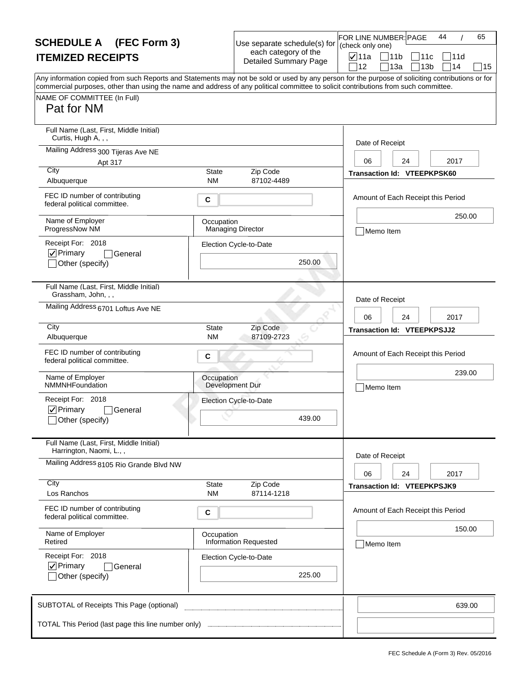| <b>SCHEDULE A</b> (FEC Form 3)                                                                                                                                     |                           | Use separate schedule(s) for                         | FOR LINE NUMBER: PAGE<br>(check only one) | 65<br>44                                  |
|--------------------------------------------------------------------------------------------------------------------------------------------------------------------|---------------------------|------------------------------------------------------|-------------------------------------------|-------------------------------------------|
| <b>ITEMIZED RECEIPTS</b>                                                                                                                                           |                           | each category of the<br><b>Detailed Summary Page</b> | <b>⊽</b> ∣11a                             | $\sqrt{11}$<br> 11c<br>111d               |
| Any information copied from such Reports and Statements may not be sold or used by any person for the purpose of soliciting contributions or for                   |                           |                                                      | 12                                        | 13a<br>13 <sub>b</sub><br>14<br>15        |
| commercial purposes, other than using the name and address of any political committee to solicit contributions from such committee.<br>NAME OF COMMITTEE (In Full) |                           |                                                      |                                           |                                           |
| Pat for NM                                                                                                                                                         |                           |                                                      |                                           |                                           |
| Full Name (Last, First, Middle Initial)<br>Curtis, Hugh A, , ,                                                                                                     |                           |                                                      | Date of Receipt                           |                                           |
| Mailing Address 300 Tijeras Ave NE                                                                                                                                 |                           |                                                      |                                           |                                           |
| Apt 317<br>City                                                                                                                                                    | State                     | Zip Code                                             | 06                                        | 2017<br>24<br>Transaction Id: VTEEPKPSK60 |
| Albuquerque                                                                                                                                                        | <b>NM</b>                 | 87102-4489                                           |                                           |                                           |
| FEC ID number of contributing<br>federal political committee.                                                                                                      | C                         |                                                      |                                           | Amount of Each Receipt this Period        |
| Name of Employer<br>ProgressNow NM                                                                                                                                 | Occupation                | <b>Managing Director</b>                             | Memo Item                                 | 250.00                                    |
| Receipt For: 2018                                                                                                                                                  |                           | Election Cycle-to-Date                               |                                           |                                           |
| $ $ V Primary<br>General<br>Other (specify)                                                                                                                        |                           | 250.00                                               |                                           |                                           |
| Full Name (Last, First, Middle Initial)<br>Grassham, John, , ,                                                                                                     |                           |                                                      |                                           |                                           |
| Mailing Address 6701 Loftus Ave NE                                                                                                                                 |                           |                                                      | Date of Receipt<br>06                     | 2017<br>24                                |
| City<br>Albuquerque                                                                                                                                                | <b>State</b><br><b>NM</b> | Zip Code<br>87109-2723                               |                                           | <b>Transaction Id: VTEEPKPSJJ2</b>        |
| FEC ID number of contributing<br>federal political committee.                                                                                                      | C                         |                                                      |                                           | Amount of Each Receipt this Period        |
| Name of Employer<br>NMMNHFoundation                                                                                                                                | Occupation                | Development Dur                                      | Memo Item                                 | 239.00                                    |
| Receipt For: 2018                                                                                                                                                  |                           | Election Cycle-to-Date                               |                                           |                                           |
| $\nabla$ Primary<br><b>General</b><br>_lOther (specify)                                                                                                            |                           | 439.00                                               |                                           |                                           |
| Full Name (Last, First, Middle Initial)<br>Harrington, Naomi, L.,,                                                                                                 |                           |                                                      |                                           |                                           |
| Mailing Address 8105 Rio Grande Blvd NW                                                                                                                            |                           |                                                      | Date of Receipt                           |                                           |
| City                                                                                                                                                               | State                     | Zip Code                                             | 06                                        | 24<br>2017                                |
| Los Ranchos                                                                                                                                                        | <b>NM</b>                 | 87114-1218                                           |                                           | <b>Transaction Id: VTEEPKPSJK9</b>        |
| FEC ID number of contributing<br>federal political committee.                                                                                                      | С                         |                                                      |                                           | Amount of Each Receipt this Period        |
| Name of Employer<br>Retired                                                                                                                                        | Occupation                | <b>Information Requested</b>                         | Memo Item                                 | 150.00                                    |
| Receipt For: 2018                                                                                                                                                  |                           | Election Cycle-to-Date                               |                                           |                                           |
| $\nabla$ Primary<br><b>General</b><br>Other (specify)                                                                                                              |                           | 225.00                                               |                                           |                                           |
| SUBTOTAL of Receipts This Page (optional)                                                                                                                          |                           |                                                      |                                           | 639.00                                    |
|                                                                                                                                                                    |                           |                                                      |                                           |                                           |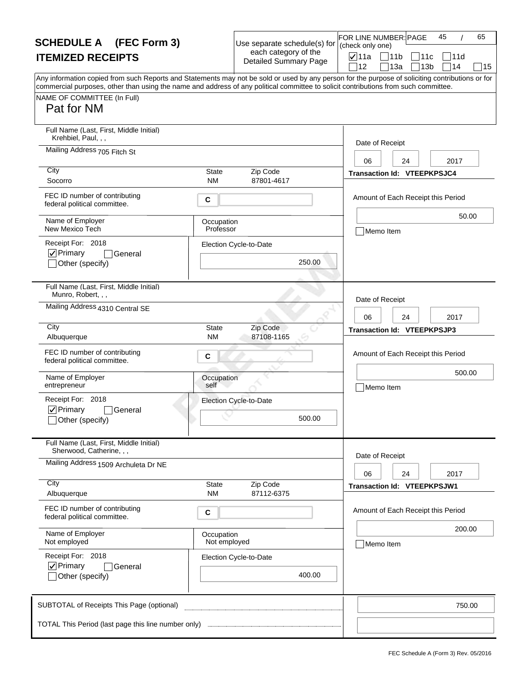| <b>SCHEDULE A</b> (FEC Form 3)                                                                                                                                                                                                                                                                                                       |                            | Use separate schedule(s) for                         | 65<br>FOR LINE NUMBER: PAGE<br>45<br>(check only one) |
|--------------------------------------------------------------------------------------------------------------------------------------------------------------------------------------------------------------------------------------------------------------------------------------------------------------------------------------|----------------------------|------------------------------------------------------|-------------------------------------------------------|
| <b>ITEMIZED RECEIPTS</b>                                                                                                                                                                                                                                                                                                             |                            | each category of the<br><b>Detailed Summary Page</b> | <b>⊽</b> ∣11a<br>$\Box$ 11b<br> 11c<br>111d           |
| Any information copied from such Reports and Statements may not be sold or used by any person for the purpose of soliciting contributions or for<br>commercial purposes, other than using the name and address of any political committee to solicit contributions from such committee.<br>NAME OF COMMITTEE (In Full)<br>Pat for NM |                            |                                                      | 14<br>12<br>13a<br>13 <sub>b</sub><br>15              |
| Full Name (Last, First, Middle Initial)<br>Krehbiel, Paul, , ,                                                                                                                                                                                                                                                                       |                            |                                                      | Date of Receipt                                       |
| Mailing Address 705 Fitch St                                                                                                                                                                                                                                                                                                         |                            |                                                      | 2017<br>06<br>24                                      |
| City<br>Socorro                                                                                                                                                                                                                                                                                                                      | State<br><b>NM</b>         | Zip Code<br>87801-4617                               | <b>Transaction Id: VTEEPKPSJC4</b>                    |
| FEC ID number of contributing<br>federal political committee.                                                                                                                                                                                                                                                                        | C                          |                                                      | Amount of Each Receipt this Period                    |
| Name of Employer<br>New Mexico Tech                                                                                                                                                                                                                                                                                                  | Occupation<br>Professor    |                                                      | 50.00<br>Memo Item                                    |
| Receipt For: 2018<br>$ $ V Primary<br>General<br>Other (specify)                                                                                                                                                                                                                                                                     |                            | Election Cycle-to-Date<br>250.00                     |                                                       |
| Full Name (Last, First, Middle Initial)<br>Munro, Robert, , ,                                                                                                                                                                                                                                                                        |                            |                                                      | Date of Receipt                                       |
| Mailing Address 4310 Central SE                                                                                                                                                                                                                                                                                                      |                            |                                                      | 2017<br>06<br>24                                      |
| City<br>Albuquerque                                                                                                                                                                                                                                                                                                                  | <b>State</b><br><b>NM</b>  | Zip Code<br>87108-1165                               | <b>Transaction Id: VTEEPKPSJP3</b>                    |
| FEC ID number of contributing<br>federal political committee.                                                                                                                                                                                                                                                                        | C                          |                                                      | Amount of Each Receipt this Period                    |
| Name of Employer<br>entrepreneur                                                                                                                                                                                                                                                                                                     | Occupation<br>self         |                                                      | 500.00<br>Memo Item                                   |
| Receipt For: 2018<br>$\nabla$ Primary<br>General<br>_lOther (specify)                                                                                                                                                                                                                                                                |                            | Election Cycle-to-Date<br>500.00                     |                                                       |
| Full Name (Last, First, Middle Initial)<br>Sherwood, Catherine, , ,                                                                                                                                                                                                                                                                  |                            |                                                      |                                                       |
| Mailing Address 1509 Archuleta Dr NE                                                                                                                                                                                                                                                                                                 |                            |                                                      | Date of Receipt<br>24<br>2017<br>06                   |
| City<br>Albuquerque                                                                                                                                                                                                                                                                                                                  | State<br><b>NM</b>         | Zip Code<br>87112-6375                               | <b>Transaction Id: VTEEPKPSJW1</b>                    |
| FEC ID number of contributing<br>federal political committee.                                                                                                                                                                                                                                                                        | С                          |                                                      | Amount of Each Receipt this Period                    |
| Name of Employer<br>Not employed                                                                                                                                                                                                                                                                                                     | Occupation<br>Not employed |                                                      | 200.00<br>Memo Item                                   |
| Receipt For: 2018<br>$\nabla$ Primary<br><b>General</b><br>Other (specify)                                                                                                                                                                                                                                                           |                            | Election Cycle-to-Date<br>400.00                     |                                                       |
| SUBTOTAL of Receipts This Page (optional)                                                                                                                                                                                                                                                                                            |                            |                                                      | 750.00                                                |
| TOTAL This Period (last page this line number only)                                                                                                                                                                                                                                                                                  |                            |                                                      |                                                       |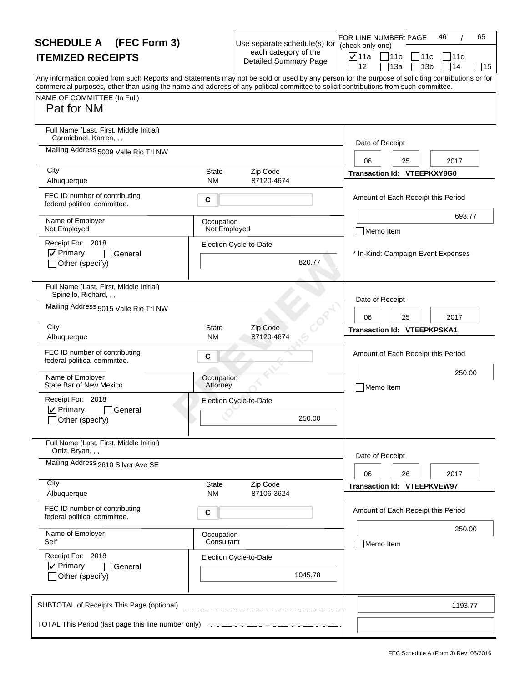| <b>SCHEDULE A</b> (FEC Form 3)                                                                                                                                                                                                                                                                                                       |                                  |                                                      | 65<br>FOR LINE NUMBER: PAGE<br>46<br>(check only one)                                 |  |
|--------------------------------------------------------------------------------------------------------------------------------------------------------------------------------------------------------------------------------------------------------------------------------------------------------------------------------------|----------------------------------|------------------------------------------------------|---------------------------------------------------------------------------------------|--|
| <b>ITEMIZED RECEIPTS</b>                                                                                                                                                                                                                                                                                                             |                                  | each category of the<br><b>Detailed Summary Page</b> | $\sqrt{ }$ 11a<br>   11b<br>∃11c<br>111d<br>12<br>13a<br>13 <sub>b</sub><br>14<br> 15 |  |
| Any information copied from such Reports and Statements may not be sold or used by any person for the purpose of soliciting contributions or for<br>commercial purposes, other than using the name and address of any political committee to solicit contributions from such committee.<br>NAME OF COMMITTEE (In Full)<br>Pat for NM |                                  |                                                      |                                                                                       |  |
| Full Name (Last, First, Middle Initial)<br>Carmichael, Karren, , ,<br>Mailing Address 5009 Valle Rio Trl NW                                                                                                                                                                                                                          |                                  |                                                      | Date of Receipt<br>2017<br>06<br>25                                                   |  |
| City<br>Albuquerque                                                                                                                                                                                                                                                                                                                  | <b>State</b><br><b>NM</b>        | Zip Code<br>87120-4674                               | <b>Transaction Id: VTEEPKXY8G0</b>                                                    |  |
| FEC ID number of contributing<br>federal political committee.                                                                                                                                                                                                                                                                        | C                                |                                                      | Amount of Each Receipt this Period                                                    |  |
| Name of Employer<br>Not Employed                                                                                                                                                                                                                                                                                                     | Occupation<br>Not Employed       |                                                      | 693.77<br>Memo Item                                                                   |  |
| Receipt For: 2018<br> √ Primary<br>General<br>Other (specify)                                                                                                                                                                                                                                                                        | Election Cycle-to-Date<br>820.77 |                                                      |                                                                                       |  |
| Full Name (Last, First, Middle Initial)<br>Spinello, Richard, , ,                                                                                                                                                                                                                                                                    |                                  |                                                      | Date of Receipt                                                                       |  |
| Mailing Address 5015 Valle Rio Trl NW                                                                                                                                                                                                                                                                                                |                                  |                                                      | 06<br>25<br>2017                                                                      |  |
| City<br>Albuquerque                                                                                                                                                                                                                                                                                                                  | <b>State</b><br>ΝM               | Zip Code<br>87120-4674                               | <b>Transaction Id: VTEEPKPSKA1</b>                                                    |  |
| FEC ID number of contributing<br>federal political committee.                                                                                                                                                                                                                                                                        | C                                |                                                      | Amount of Each Receipt this Period                                                    |  |
| Name of Employer<br>State Bar of New Mexico                                                                                                                                                                                                                                                                                          | Occupation<br>Attorney           |                                                      | 250.00<br>Memo Item                                                                   |  |
| Receipt For: 2018<br>$\nabla$ Primary<br>General<br>_lOther (specify)                                                                                                                                                                                                                                                                |                                  | Election Cycle-to-Date<br>250.00                     |                                                                                       |  |
| Full Name (Last, First, Middle Initial)<br>Ortiz, Bryan, , ,                                                                                                                                                                                                                                                                         |                                  |                                                      | Date of Receipt                                                                       |  |
| Mailing Address 2610 Silver Ave SE                                                                                                                                                                                                                                                                                                   |                                  |                                                      | 2017<br>06<br>26                                                                      |  |
| City<br>Albuquerque                                                                                                                                                                                                                                                                                                                  | <b>State</b><br><b>NM</b>        | Zip Code<br>87106-3624                               | <b>Transaction Id: VTEEPKVEW97</b>                                                    |  |
| FEC ID number of contributing<br>federal political committee.                                                                                                                                                                                                                                                                        | С                                |                                                      | Amount of Each Receipt this Period                                                    |  |
| Name of Employer<br>Self                                                                                                                                                                                                                                                                                                             | Occupation<br>Consultant         |                                                      | 250.00<br>Memo Item                                                                   |  |
| Receipt For: 2018<br>$\nabla$ Primary<br>General<br>Other (specify)                                                                                                                                                                                                                                                                  |                                  | Election Cycle-to-Date<br>1045.78                    |                                                                                       |  |
| SUBTOTAL of Receipts This Page (optional)                                                                                                                                                                                                                                                                                            |                                  |                                                      | 1193.77                                                                               |  |
|                                                                                                                                                                                                                                                                                                                                      |                                  |                                                      |                                                                                       |  |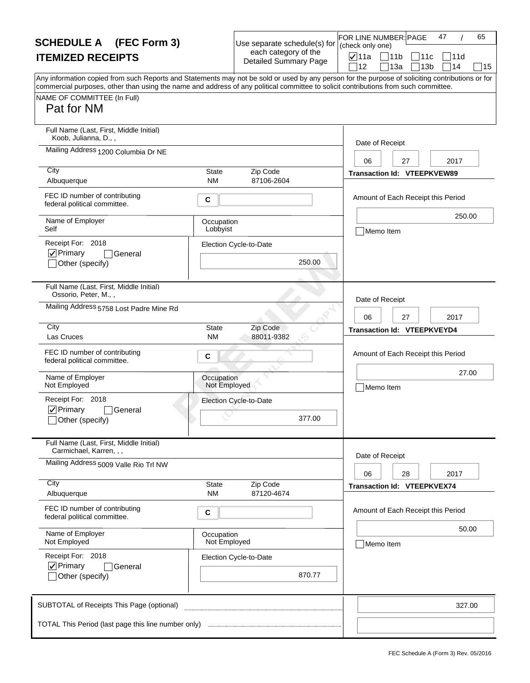| <b>SCHEDULE A</b> (FEC Form 3)                                                                                                                                                                                                                                                                                                       |                            | Use separate schedule(s) for                         | 65<br>FOR LINE NUMBER: PAGE<br>47<br>(check only one)                               |
|--------------------------------------------------------------------------------------------------------------------------------------------------------------------------------------------------------------------------------------------------------------------------------------------------------------------------------------|----------------------------|------------------------------------------------------|-------------------------------------------------------------------------------------|
| <b>ITEMIZED RECEIPTS</b>                                                                                                                                                                                                                                                                                                             |                            | each category of the<br><b>Detailed Summary Page</b> | $\nabla$ 11a<br> 11b<br> 11c <br> 11d<br>]14<br>12<br>13a<br>13 <sub>b</sub><br> 15 |
| Any information copied from such Reports and Statements may not be sold or used by any person for the purpose of soliciting contributions or for<br>commercial purposes, other than using the name and address of any political committee to solicit contributions from such committee.<br>NAME OF COMMITTEE (In Full)<br>Pat for NM |                            |                                                      |                                                                                     |
| Full Name (Last, First, Middle Initial)<br>Koob, Julianna, D.,,                                                                                                                                                                                                                                                                      |                            |                                                      | Date of Receipt                                                                     |
| Mailing Address 1200 Columbia Dr NE<br>City                                                                                                                                                                                                                                                                                          |                            |                                                      | 2017<br>06<br>27                                                                    |
| Albuquerque                                                                                                                                                                                                                                                                                                                          | State<br><b>NM</b>         | Zip Code<br>87106-2604                               | Transaction Id: VTEEPKVEW89                                                         |
| FEC ID number of contributing<br>federal political committee.                                                                                                                                                                                                                                                                        | C                          |                                                      | Amount of Each Receipt this Period                                                  |
| Name of Employer<br>Self                                                                                                                                                                                                                                                                                                             | Occupation<br>Lobbyist     |                                                      | 250.00<br>Memo Item                                                                 |
| Receipt For: 2018<br>$\nabla$ Primary<br>General<br>Other (specify)                                                                                                                                                                                                                                                                  |                            | Election Cycle-to-Date<br>250.00                     |                                                                                     |
| Full Name (Last, First, Middle Initial)<br>Ossorio, Peter, M.,,                                                                                                                                                                                                                                                                      |                            |                                                      | Date of Receipt                                                                     |
| Mailing Address 5758 Lost Padre Mine Rd                                                                                                                                                                                                                                                                                              |                            |                                                      | 06<br>27<br>2017                                                                    |
| City<br>Las Cruces                                                                                                                                                                                                                                                                                                                   | <b>State</b><br>NM         | Zip Code<br>88011-9382                               | Transaction Id: VTEEPKVEYD4                                                         |
| FEC ID number of contributing<br>federal political committee.                                                                                                                                                                                                                                                                        | C                          |                                                      | Amount of Each Receipt this Period                                                  |
| Name of Employer<br>Not Employed                                                                                                                                                                                                                                                                                                     | Occupation<br>Not Employed |                                                      | 27.00<br>Memo Item                                                                  |
| Receipt For: 2018<br>$\nabla$ Primary<br>General<br>_lOther (specify)                                                                                                                                                                                                                                                                |                            | Election Cycle-to-Date<br>377.00                     |                                                                                     |
| Full Name (Last, First, Middle Initial)<br>Carmichael, Karren, , ,                                                                                                                                                                                                                                                                   |                            |                                                      |                                                                                     |
| Mailing Address 5009 Valle Rio Trl NW                                                                                                                                                                                                                                                                                                |                            |                                                      | Date of Receipt<br>2017<br>06<br>28                                                 |
| City<br>Albuquerque                                                                                                                                                                                                                                                                                                                  | State<br><b>NM</b>         | Zip Code<br>87120-4674                               | <b>Transaction Id: VTEEPKVEX74</b>                                                  |
| FEC ID number of contributing<br>federal political committee.                                                                                                                                                                                                                                                                        | С                          |                                                      | Amount of Each Receipt this Period                                                  |
| Name of Employer<br>Not Employed                                                                                                                                                                                                                                                                                                     | Occupation<br>Not Employed |                                                      | 50.00<br>Memo Item                                                                  |
| Receipt For: 2018<br>$\nabla$ Primary<br>General<br>Other (specify)                                                                                                                                                                                                                                                                  |                            | Election Cycle-to-Date<br>870.77                     |                                                                                     |
| SUBTOTAL of Receipts This Page (optional)                                                                                                                                                                                                                                                                                            |                            |                                                      | 327.00                                                                              |
|                                                                                                                                                                                                                                                                                                                                      |                            |                                                      |                                                                                     |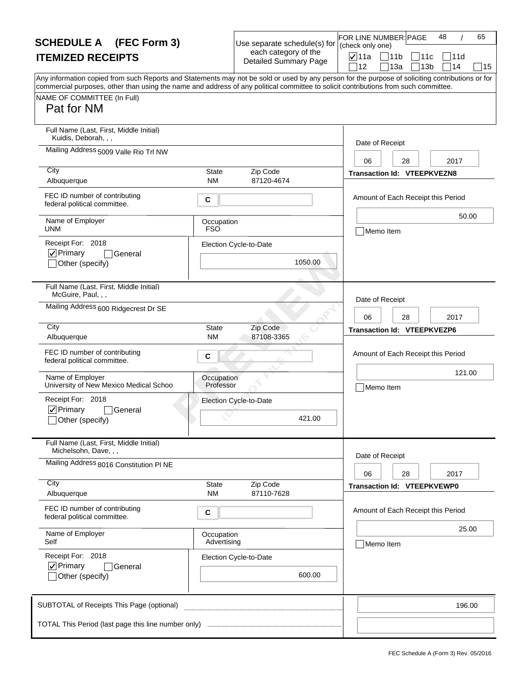| <b>SCHEDULE A</b> (FEC Form 3)                                                                                                                                                                                                                                                          |                           | Use separate schedule(s) for<br>each category of the | 48<br>65<br>FOR LINE NUMBER: PAGE<br>(check only one)                             |
|-----------------------------------------------------------------------------------------------------------------------------------------------------------------------------------------------------------------------------------------------------------------------------------------|---------------------------|------------------------------------------------------|-----------------------------------------------------------------------------------|
| <b>ITEMIZED RECEIPTS</b>                                                                                                                                                                                                                                                                |                           | <b>Detailed Summary Page</b>                         | <b>⊽</b> ∣11a<br> 11b<br>11c<br> 11d<br>12<br>13a<br>13 <sub>b</sub><br>∃14<br>15 |
| Any information copied from such Reports and Statements may not be sold or used by any person for the purpose of soliciting contributions or for<br>commercial purposes, other than using the name and address of any political committee to solicit contributions from such committee. |                           |                                                      |                                                                                   |
| NAME OF COMMITTEE (In Full)<br>Pat for NM                                                                                                                                                                                                                                               |                           |                                                      |                                                                                   |
| Full Name (Last, First, Middle Initial)<br>Kuidis, Deborah, , ,                                                                                                                                                                                                                         |                           |                                                      | Date of Receipt                                                                   |
| Mailing Address 5009 Valle Rio Trl NW                                                                                                                                                                                                                                                   |                           |                                                      | 06<br>28<br>2017                                                                  |
| City<br>Albuquerque                                                                                                                                                                                                                                                                     | State<br><b>NM</b>        | Zip Code<br>87120-4674                               | <b>Transaction Id: VTEEPKVEZN8</b>                                                |
| FEC ID number of contributing<br>federal political committee.                                                                                                                                                                                                                           | С                         |                                                      | Amount of Each Receipt this Period                                                |
| Name of Employer<br><b>UNM</b>                                                                                                                                                                                                                                                          | Occupation<br><b>FSO</b>  |                                                      | 50.00<br>Memo Item                                                                |
| Receipt For: 2018<br> √ Primary<br>General<br>Other (specify)                                                                                                                                                                                                                           |                           | Election Cycle-to-Date<br>1050.00                    |                                                                                   |
| Full Name (Last, First, Middle Initial)<br>McGuire, Paul, , ,                                                                                                                                                                                                                           |                           |                                                      | Date of Receipt                                                                   |
| Mailing Address 600 Ridgecrest Dr SE                                                                                                                                                                                                                                                    |                           |                                                      | 06<br>28<br>2017                                                                  |
| City<br>Albuquerque                                                                                                                                                                                                                                                                     | <b>State</b><br><b>NM</b> | Zip Code<br>87108-3365                               | <b>Transaction Id: VTEEPKVEZP6</b>                                                |
| FEC ID number of contributing<br>federal political committee.                                                                                                                                                                                                                           | C                         |                                                      | Amount of Each Receipt this Period                                                |
| Name of Employer<br>University of New Mexico Medical Schoo                                                                                                                                                                                                                              | Occupation<br>Professor   |                                                      | 121.00<br>Memo Item                                                               |
| Receipt For: 2018<br>$\nabla$ Primary<br>General<br>Other (specify)                                                                                                                                                                                                                     |                           | Election Cycle-to-Date<br>421.00                     |                                                                                   |
| Full Name (Last, First, Middle Initial)<br>Michelsohn, Dave, , ,                                                                                                                                                                                                                        |                           |                                                      |                                                                                   |
| Mailing Address 8016 Constitution PI NE                                                                                                                                                                                                                                                 |                           |                                                      | Date of Receipt<br>06<br>28<br>2017                                               |
| City<br>Albuquerque                                                                                                                                                                                                                                                                     | State<br><b>NM</b>        | Zip Code<br>87110-7628                               | <b>Transaction Id: VTEEPKVEWP0</b>                                                |
| FEC ID number of contributing<br>federal political committee.                                                                                                                                                                                                                           | С                         |                                                      | Amount of Each Receipt this Period                                                |
| Name of Employer<br>Self                                                                                                                                                                                                                                                                | Occupation<br>Advertising |                                                      | 25.00<br>Memo Item                                                                |
| Receipt For: 2018<br>$\nabla$ Primary<br>General                                                                                                                                                                                                                                        |                           | Election Cycle-to-Date                               |                                                                                   |
| Other (specify)                                                                                                                                                                                                                                                                         |                           | 600.00                                               |                                                                                   |
| SUBTOTAL of Receipts This Page (optional)                                                                                                                                                                                                                                               |                           |                                                      | 196.00                                                                            |
|                                                                                                                                                                                                                                                                                         |                           |                                                      |                                                                                   |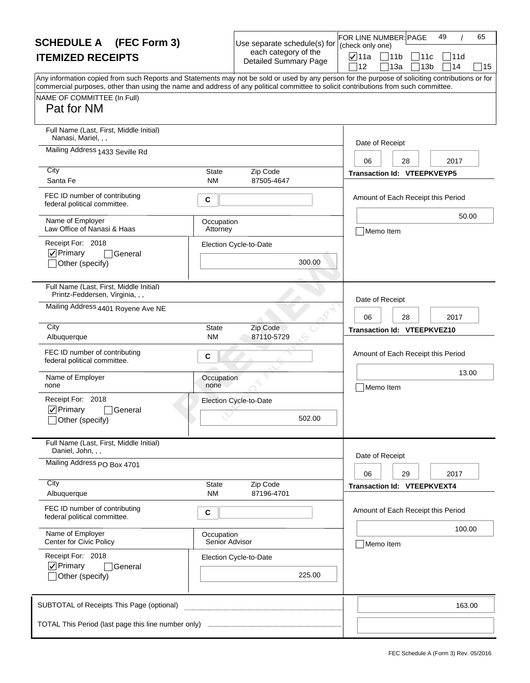| <b>SCHEDULE A</b> (FEC Form 3)                                                                                                                                                                                                                                                                                                       |                              | Use separate schedule(s) for                         | FOR LINE NUMBER: PAGE<br>(check only one) |                                          | 49         | 65 |
|--------------------------------------------------------------------------------------------------------------------------------------------------------------------------------------------------------------------------------------------------------------------------------------------------------------------------------------|------------------------------|------------------------------------------------------|-------------------------------------------|------------------------------------------|------------|----|
| <b>ITEMIZED RECEIPTS</b>                                                                                                                                                                                                                                                                                                             |                              | each category of the<br><b>Detailed Summary Page</b> | $\nabla$ 11a<br>12                        | 11b<br>11c<br>13a<br>13 <sub>b</sub>     | 11d<br>714 | 15 |
| Any information copied from such Reports and Statements may not be sold or used by any person for the purpose of soliciting contributions or for<br>commercial purposes, other than using the name and address of any political committee to solicit contributions from such committee.<br>NAME OF COMMITTEE (In Full)<br>Pat for NM |                              |                                                      |                                           |                                          |            |    |
| Full Name (Last, First, Middle Initial)<br>Nanasi, Mariel, , ,<br>Mailing Address 1433 Seville Rd                                                                                                                                                                                                                                    |                              |                                                      | Date of Receipt                           |                                          |            |    |
| City<br>Santa Fe                                                                                                                                                                                                                                                                                                                     | <b>State</b><br><b>NM</b>    | Zip Code<br>87505-4647                               | 06                                        | 28<br><b>Transaction Id: VTEEPKVEYP5</b> | 2017       |    |
| FEC ID number of contributing<br>federal political committee.                                                                                                                                                                                                                                                                        | C                            |                                                      |                                           | Amount of Each Receipt this Period       |            |    |
| Name of Employer<br>Law Office of Nanasi & Haas                                                                                                                                                                                                                                                                                      | Occupation<br>Attorney       |                                                      | Memo Item                                 |                                          | 50.00      |    |
| Receipt For: 2018<br>$\nabla$ Primary<br>General<br>Other (specify)                                                                                                                                                                                                                                                                  |                              | Election Cycle-to-Date<br>300.00                     |                                           |                                          |            |    |
| Full Name (Last, First, Middle Initial)<br>Printz-Feddersen, Virginia, , ,                                                                                                                                                                                                                                                           |                              |                                                      | Date of Receipt                           |                                          |            |    |
| Mailing Address 4401 Royene Ave NE                                                                                                                                                                                                                                                                                                   |                              |                                                      | 06                                        | 28                                       | 2017       |    |
| City<br>Albuquerque                                                                                                                                                                                                                                                                                                                  | <b>State</b><br>ΝM           | Zip Code<br>87110-5729                               |                                           | <b>Transaction Id: VTEEPKVEZ10</b>       |            |    |
| FEC ID number of contributing<br>federal political committee.                                                                                                                                                                                                                                                                        | C                            |                                                      |                                           | Amount of Each Receipt this Period       |            |    |
| Name of Employer<br>none                                                                                                                                                                                                                                                                                                             | Occupation<br>none           |                                                      | Memo Item                                 |                                          | 13.00      |    |
| Receipt For: 2018<br>$\nabla$ Primary<br>General<br>_lOther (specify)                                                                                                                                                                                                                                                                |                              | Election Cycle-to-Date<br>502.00                     |                                           |                                          |            |    |
| Full Name (Last, First, Middle Initial)<br>Daniel, John, , ,                                                                                                                                                                                                                                                                         |                              |                                                      |                                           |                                          |            |    |
| Mailing Address PO Box 4701                                                                                                                                                                                                                                                                                                          |                              |                                                      | Date of Receipt<br>06                     | 29                                       | 2017       |    |
| City<br>Albuquerque                                                                                                                                                                                                                                                                                                                  | State<br><b>NM</b>           | Zip Code<br>87196-4701                               |                                           | <b>Transaction Id: VTEEPKVEXT4</b>       |            |    |
| FEC ID number of contributing<br>federal political committee.                                                                                                                                                                                                                                                                        | С                            |                                                      |                                           | Amount of Each Receipt this Period       |            |    |
| Name of Employer<br>Center for Civic Policy                                                                                                                                                                                                                                                                                          | Occupation<br>Senior Advisor |                                                      | Memo Item                                 |                                          | 100.00     |    |
| Receipt For: 2018<br>$\nabla$ Primary<br>General<br>Other (specify)                                                                                                                                                                                                                                                                  |                              | Election Cycle-to-Date<br>225.00                     |                                           |                                          |            |    |
| SUBTOTAL of Receipts This Page (optional)                                                                                                                                                                                                                                                                                            |                              |                                                      |                                           |                                          | 163.00     |    |
| TOTAL This Period (last page this line number only)                                                                                                                                                                                                                                                                                  |                              |                                                      |                                           |                                          |            |    |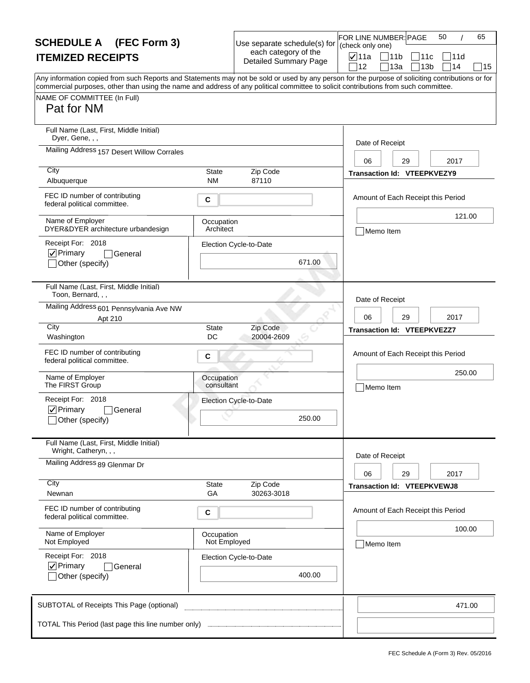| <b>SCHEDULE A</b> (FEC Form 3)                                                                                                                                                                                                                                                          |                            | Use separate schedule(s) for                         | 50<br>65<br>FOR LINE NUMBER: PAGE<br>(check only one)                             |
|-----------------------------------------------------------------------------------------------------------------------------------------------------------------------------------------------------------------------------------------------------------------------------------------|----------------------------|------------------------------------------------------|-----------------------------------------------------------------------------------|
| <b>ITEMIZED RECEIPTS</b>                                                                                                                                                                                                                                                                |                            | each category of the<br><b>Detailed Summary Page</b> | <b>⊽</b> ∣11a<br> 11b<br>11c<br> 11d<br>12<br>13a<br>13 <sub>b</sub><br>∃14<br>15 |
| Any information copied from such Reports and Statements may not be sold or used by any person for the purpose of soliciting contributions or for<br>commercial purposes, other than using the name and address of any political committee to solicit contributions from such committee. |                            |                                                      |                                                                                   |
| NAME OF COMMITTEE (In Full)<br>Pat for NM                                                                                                                                                                                                                                               |                            |                                                      |                                                                                   |
|                                                                                                                                                                                                                                                                                         |                            |                                                      |                                                                                   |
| Full Name (Last, First, Middle Initial)<br>Dyer, Gene, , ,                                                                                                                                                                                                                              |                            |                                                      | Date of Receipt                                                                   |
| Mailing Address 157 Desert Willow Corrales                                                                                                                                                                                                                                              |                            |                                                      | 06<br>29<br>2017                                                                  |
| City<br>Albuquerque                                                                                                                                                                                                                                                                     | <b>State</b><br><b>NM</b>  | Zip Code<br>87110                                    | Transaction Id: VTEEPKVEZY9                                                       |
| FEC ID number of contributing<br>federal political committee.                                                                                                                                                                                                                           | С                          |                                                      | Amount of Each Receipt this Period                                                |
| Name of Employer<br>DYER&DYER architecture urbandesign                                                                                                                                                                                                                                  | Occupation<br>Architect    |                                                      | 121.00<br>Memo Item                                                               |
| Receipt For: 2018<br>$\nabla$ Primary<br>General                                                                                                                                                                                                                                        |                            | Election Cycle-to-Date                               |                                                                                   |
| Other (specify)                                                                                                                                                                                                                                                                         |                            | 671.00                                               |                                                                                   |
| Full Name (Last, First, Middle Initial)<br>Toon, Bernard, , ,                                                                                                                                                                                                                           |                            |                                                      | Date of Receipt                                                                   |
| Mailing Address 601 Pennsylvania Ave NW<br>Apt 210                                                                                                                                                                                                                                      |                            |                                                      | 06<br>29<br>2017                                                                  |
| City<br>Washington                                                                                                                                                                                                                                                                      | <b>State</b><br>DC         | Zip Code<br>20004-2609                               | <b>Transaction Id: VTEEPKVEZZ7</b>                                                |
| FEC ID number of contributing<br>federal political committee.                                                                                                                                                                                                                           | С                          |                                                      | Amount of Each Receipt this Period                                                |
| Name of Employer<br>The FIRST Group                                                                                                                                                                                                                                                     | Occupation<br>consultant   |                                                      | 250.00<br>Memo Item                                                               |
| Receipt For: 2018                                                                                                                                                                                                                                                                       |                            | Election Cycle-to-Date                               |                                                                                   |
| $\nabla$ Primary<br>General<br>Other (specify)                                                                                                                                                                                                                                          |                            | 250.00                                               |                                                                                   |
| Full Name (Last, First, Middle Initial)<br>Wright, Catheryn, , ,                                                                                                                                                                                                                        |                            |                                                      |                                                                                   |
| Mailing Address 89 Glenmar Dr                                                                                                                                                                                                                                                           |                            |                                                      | Date of Receipt                                                                   |
| City                                                                                                                                                                                                                                                                                    | <b>State</b>               | Zip Code                                             | 06<br>29<br>2017<br><b>Transaction Id: VTEEPKVEWJ8</b>                            |
| Newnan                                                                                                                                                                                                                                                                                  | GA                         | 30263-3018                                           |                                                                                   |
| FEC ID number of contributing<br>federal political committee.                                                                                                                                                                                                                           | С                          |                                                      | Amount of Each Receipt this Period                                                |
| Name of Employer<br>Not Employed                                                                                                                                                                                                                                                        | Occupation<br>Not Employed |                                                      | 100.00<br>Memo Item                                                               |
| Receipt For: 2018                                                                                                                                                                                                                                                                       |                            | Election Cycle-to-Date                               |                                                                                   |
| $\nabla$ Primary<br>General<br>Other (specify)                                                                                                                                                                                                                                          |                            | 400.00                                               |                                                                                   |
| SUBTOTAL of Receipts This Page (optional)                                                                                                                                                                                                                                               |                            |                                                      | 471.00                                                                            |
|                                                                                                                                                                                                                                                                                         |                            |                                                      |                                                                                   |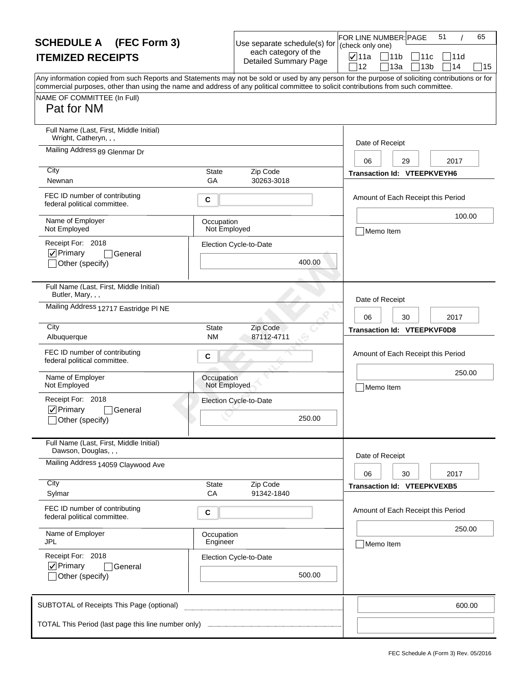| <b>SCHEDULE A</b> (FEC Form 3)                                                                                                                                                                                                                                                                                                       |                            | Use separate schedule(s) for                         | FOR LINE NUMBER: PAGE<br>(check only one) | 51<br>65                                                          |
|--------------------------------------------------------------------------------------------------------------------------------------------------------------------------------------------------------------------------------------------------------------------------------------------------------------------------------------|----------------------------|------------------------------------------------------|-------------------------------------------|-------------------------------------------------------------------|
| <b>ITEMIZED RECEIPTS</b>                                                                                                                                                                                                                                                                                                             |                            | each category of the<br><b>Detailed Summary Page</b> | $\nabla$ 11a<br>12                        | $\Box$ 11b<br>11c<br> 11d<br>714<br>13a<br>13 <sub>b</sub><br> 15 |
| Any information copied from such Reports and Statements may not be sold or used by any person for the purpose of soliciting contributions or for<br>commercial purposes, other than using the name and address of any political committee to solicit contributions from such committee.<br>NAME OF COMMITTEE (In Full)<br>Pat for NM |                            |                                                      |                                           |                                                                   |
| Full Name (Last, First, Middle Initial)<br>Wright, Catheryn, , ,                                                                                                                                                                                                                                                                     |                            |                                                      | Date of Receipt                           |                                                                   |
| Mailing Address 89 Glenmar Dr<br>City                                                                                                                                                                                                                                                                                                |                            |                                                      | 06                                        | 2017<br>29                                                        |
| Newnan                                                                                                                                                                                                                                                                                                                               | <b>State</b><br>GA         | Zip Code<br>30263-3018                               |                                           | Transaction Id: VTEEPKVEYH6                                       |
| FEC ID number of contributing<br>federal political committee.                                                                                                                                                                                                                                                                        | C                          |                                                      |                                           | Amount of Each Receipt this Period                                |
| Name of Employer<br>Not Employed                                                                                                                                                                                                                                                                                                     | Occupation<br>Not Employed |                                                      | Memo Item                                 | 100.00                                                            |
| Receipt For: 2018<br>$\nabla$ Primary<br>General<br>Other (specify)                                                                                                                                                                                                                                                                  |                            | Election Cycle-to-Date<br>400.00                     |                                           |                                                                   |
| Full Name (Last, First, Middle Initial)<br>Butler, Mary, , ,                                                                                                                                                                                                                                                                         |                            |                                                      | Date of Receipt                           |                                                                   |
| Mailing Address 12717 Eastridge PI NE                                                                                                                                                                                                                                                                                                |                            |                                                      | 06                                        | 30<br>2017                                                        |
| City<br>Albuquerque                                                                                                                                                                                                                                                                                                                  | <b>State</b><br><b>NM</b>  | Zip Code<br>87112-4711                               |                                           | <b>Transaction Id: VTEEPKVF0D8</b>                                |
| FEC ID number of contributing<br>federal political committee.                                                                                                                                                                                                                                                                        | C                          |                                                      |                                           | Amount of Each Receipt this Period                                |
| Name of Employer<br>Not Employed                                                                                                                                                                                                                                                                                                     | Occupation<br>Not Employed |                                                      | Memo Item                                 | 250.00                                                            |
| Receipt For: 2018<br>$\nabla$ Primary<br>General<br>_lOther (specify)                                                                                                                                                                                                                                                                |                            | Election Cycle-to-Date<br>250.00                     |                                           |                                                                   |
| Full Name (Last, First, Middle Initial)<br>Dawson, Douglas, , ,                                                                                                                                                                                                                                                                      |                            |                                                      |                                           |                                                                   |
| Mailing Address 14059 Claywood Ave                                                                                                                                                                                                                                                                                                   |                            |                                                      | Date of Receipt<br>06                     | 30<br>2017                                                        |
| City<br>Sylmar                                                                                                                                                                                                                                                                                                                       | State<br>CA                | Zip Code<br>91342-1840                               |                                           | <b>Transaction Id: VTEEPKVEXB5</b>                                |
| FEC ID number of contributing<br>federal political committee.                                                                                                                                                                                                                                                                        | С                          |                                                      |                                           | Amount of Each Receipt this Period                                |
| Name of Employer<br>JPL                                                                                                                                                                                                                                                                                                              | Occupation<br>Engineer     |                                                      | Memo Item                                 | 250.00                                                            |
| Receipt For: 2018<br>$\nabla$ Primary<br>General<br>Other (specify)                                                                                                                                                                                                                                                                  |                            | Election Cycle-to-Date<br>500.00                     |                                           |                                                                   |
| SUBTOTAL of Receipts This Page (optional)                                                                                                                                                                                                                                                                                            |                            |                                                      |                                           | 600.00                                                            |
|                                                                                                                                                                                                                                                                                                                                      |                            |                                                      |                                           |                                                                   |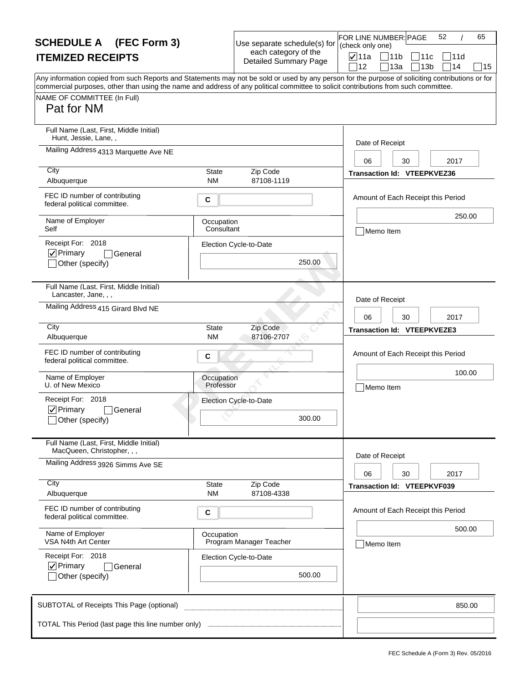| <b>SCHEDULE A</b> (FEC Form 3)                                                                                                                                                                                                                                                                                                       |                           | Use separate schedule(s) for                         | FOR LINE NUMBER: PAGE<br>(check only one) |                                    | 52<br>65 |
|--------------------------------------------------------------------------------------------------------------------------------------------------------------------------------------------------------------------------------------------------------------------------------------------------------------------------------------|---------------------------|------------------------------------------------------|-------------------------------------------|------------------------------------|----------|
| <b>ITEMIZED RECEIPTS</b>                                                                                                                                                                                                                                                                                                             |                           | each category of the<br><b>Detailed Summary Page</b> | <b>⊽</b> 11a                              | 11b<br>111с                        | 111d     |
| Any information copied from such Reports and Statements may not be sold or used by any person for the purpose of soliciting contributions or for<br>commercial purposes, other than using the name and address of any political committee to solicit contributions from such committee.<br>NAME OF COMMITTEE (In Full)<br>Pat for NM |                           |                                                      | 12                                        | 13a<br>13 <sub>b</sub>             | 14<br>15 |
| Full Name (Last, First, Middle Initial)<br>Hunt, Jessie, Lane,,                                                                                                                                                                                                                                                                      |                           |                                                      | Date of Receipt                           |                                    |          |
| Mailing Address 4313 Marquette Ave NE                                                                                                                                                                                                                                                                                                |                           |                                                      | 06                                        | 30                                 | 2017     |
| City<br>Albuquerque                                                                                                                                                                                                                                                                                                                  | <b>State</b><br><b>NM</b> | Zip Code<br>87108-1119                               |                                           | <b>Transaction Id: VTEEPKVEZ36</b> |          |
| FEC ID number of contributing<br>federal political committee.                                                                                                                                                                                                                                                                        | С                         |                                                      |                                           | Amount of Each Receipt this Period |          |
| Name of Employer<br>Self                                                                                                                                                                                                                                                                                                             | Occupation<br>Consultant  |                                                      | Memo Item                                 |                                    | 250.00   |
| Receipt For: 2018<br>$\nabla$ Primary<br>General<br>Other (specify)                                                                                                                                                                                                                                                                  |                           | Election Cycle-to-Date<br>250.00                     |                                           |                                    |          |
| Full Name (Last, First, Middle Initial)<br>Lancaster, Jane, , ,                                                                                                                                                                                                                                                                      |                           |                                                      | Date of Receipt                           |                                    |          |
| Mailing Address 415 Girard Blvd NE                                                                                                                                                                                                                                                                                                   |                           |                                                      | 06                                        | 30                                 | 2017     |
| City<br>Albuquerque                                                                                                                                                                                                                                                                                                                  | <b>State</b><br><b>NM</b> | Zip Code<br>87106-2707                               |                                           | <b>Transaction Id: VTEEPKVEZE3</b> |          |
| FEC ID number of contributing<br>federal political committee.                                                                                                                                                                                                                                                                        | С                         |                                                      |                                           | Amount of Each Receipt this Period |          |
| Name of Employer<br>U. of New Mexico                                                                                                                                                                                                                                                                                                 | Occupation<br>Professor   |                                                      | Memo Item                                 |                                    | 100.00   |
| Receipt For: 2018<br>$\nabla$ Primary<br>General<br>_lOther (specify)                                                                                                                                                                                                                                                                |                           | Election Cycle-to-Date<br>300.00                     |                                           |                                    |          |
| Full Name (Last, First, Middle Initial)<br>MacQueen, Christopher, , ,                                                                                                                                                                                                                                                                |                           |                                                      |                                           |                                    |          |
| Mailing Address 3926 Simms Ave SE                                                                                                                                                                                                                                                                                                    |                           |                                                      | Date of Receipt<br>06                     | 30                                 | 2017     |
| City<br>Albuquerque                                                                                                                                                                                                                                                                                                                  | <b>State</b><br><b>NM</b> | Zip Code<br>87108-4338                               |                                           | <b>Transaction Id: VTEEPKVF039</b> |          |
| FEC ID number of contributing<br>federal political committee.                                                                                                                                                                                                                                                                        | С                         |                                                      |                                           | Amount of Each Receipt this Period |          |
| Name of Employer<br>VSA N4th Art Center                                                                                                                                                                                                                                                                                              | Occupation                | Program Manager Teacher                              | Memo Item                                 |                                    | 500.00   |
| Receipt For: 2018<br>$\nabla$ Primary<br>General<br>Other (specify)                                                                                                                                                                                                                                                                  |                           | Election Cycle-to-Date<br>500.00                     |                                           |                                    |          |
| SUBTOTAL of Receipts This Page (optional)                                                                                                                                                                                                                                                                                            |                           |                                                      |                                           |                                    | 850.00   |
| TOTAL This Period (last page this line number only)                                                                                                                                                                                                                                                                                  |                           |                                                      |                                           |                                    |          |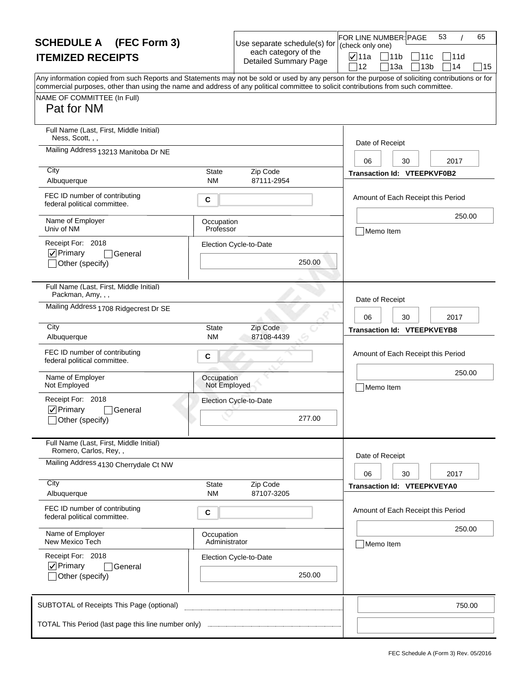| <b>SCHEDULE A</b> (FEC Form 3)                                                                                                                                                                                                                                                                                                       |                             | Use separate schedule(s) for                         | FOR LINE NUMBER: PAGE<br>(check only one) |                                    | 53<br>65 |
|--------------------------------------------------------------------------------------------------------------------------------------------------------------------------------------------------------------------------------------------------------------------------------------------------------------------------------------|-----------------------------|------------------------------------------------------|-------------------------------------------|------------------------------------|----------|
| <b>ITEMIZED RECEIPTS</b>                                                                                                                                                                                                                                                                                                             |                             | each category of the<br><b>Detailed Summary Page</b> | <b>⊽</b> 11a                              | 11b<br>111с                        | 111d     |
| Any information copied from such Reports and Statements may not be sold or used by any person for the purpose of soliciting contributions or for<br>commercial purposes, other than using the name and address of any political committee to solicit contributions from such committee.<br>NAME OF COMMITTEE (In Full)<br>Pat for NM |                             |                                                      | 12                                        | 13a<br>13 <sub>b</sub>             | 14<br>15 |
| Full Name (Last, First, Middle Initial)                                                                                                                                                                                                                                                                                              |                             |                                                      |                                           |                                    |          |
| Ness, Scott, , ,<br>Mailing Address 13213 Manitoba Dr NE                                                                                                                                                                                                                                                                             |                             |                                                      | Date of Receipt                           |                                    |          |
| City                                                                                                                                                                                                                                                                                                                                 |                             |                                                      | 06                                        | 30                                 | 2017     |
| Albuquerque                                                                                                                                                                                                                                                                                                                          | <b>State</b><br><b>NM</b>   | Zip Code<br>87111-2954                               |                                           | <b>Transaction Id: VTEEPKVF0B2</b> |          |
| FEC ID number of contributing<br>federal political committee.                                                                                                                                                                                                                                                                        | С                           |                                                      |                                           | Amount of Each Receipt this Period |          |
| Name of Employer<br>Univ of NM                                                                                                                                                                                                                                                                                                       | Occupation<br>Professor     |                                                      | Memo Item                                 |                                    | 250.00   |
| Receipt For: 2018<br> √ Primary<br>General                                                                                                                                                                                                                                                                                           |                             | Election Cycle-to-Date                               |                                           |                                    |          |
| Other (specify)                                                                                                                                                                                                                                                                                                                      |                             | 250.00                                               |                                           |                                    |          |
| Full Name (Last, First, Middle Initial)<br>Packman, Amy, , ,                                                                                                                                                                                                                                                                         |                             |                                                      | Date of Receipt                           |                                    |          |
| Mailing Address 1708 Ridgecrest Dr SE                                                                                                                                                                                                                                                                                                |                             |                                                      | 06                                        | 30                                 | 2017     |
| City<br>Albuquerque                                                                                                                                                                                                                                                                                                                  | <b>State</b><br><b>NM</b>   | Zip Code<br>87108-4439                               |                                           | <b>Transaction Id: VTEEPKVEYB8</b> |          |
| FEC ID number of contributing<br>federal political committee.                                                                                                                                                                                                                                                                        | С                           |                                                      |                                           | Amount of Each Receipt this Period |          |
| Name of Employer<br>Not Employed                                                                                                                                                                                                                                                                                                     | Occupation<br>Not Employed  |                                                      | Memo Item                                 |                                    | 250.00   |
| Receipt For: 2018                                                                                                                                                                                                                                                                                                                    |                             | Election Cycle-to-Date                               |                                           |                                    |          |
| $\nabla$ Primary<br>General<br>_lOther (specify)                                                                                                                                                                                                                                                                                     |                             | 277.00                                               |                                           |                                    |          |
| Full Name (Last, First, Middle Initial)<br>Romero, Carlos, Rey,,                                                                                                                                                                                                                                                                     |                             |                                                      | Date of Receipt                           |                                    |          |
| Mailing Address 4130 Cherrydale Ct NW                                                                                                                                                                                                                                                                                                |                             |                                                      | 06                                        | 30                                 | 2017     |
| City<br>Albuquerque                                                                                                                                                                                                                                                                                                                  | <b>State</b><br><b>NM</b>   | Zip Code<br>87107-3205                               |                                           | <b>Transaction Id: VTEEPKVEYA0</b> |          |
| FEC ID number of contributing<br>federal political committee.                                                                                                                                                                                                                                                                        | С                           |                                                      |                                           | Amount of Each Receipt this Period |          |
| Name of Employer<br>New Mexico Tech                                                                                                                                                                                                                                                                                                  | Occupation<br>Administrator |                                                      | Memo Item                                 |                                    | 250.00   |
| Receipt For: 2018<br>$\nabla$ Primary<br>General                                                                                                                                                                                                                                                                                     |                             | Election Cycle-to-Date                               |                                           |                                    |          |
| Other (specify)                                                                                                                                                                                                                                                                                                                      |                             | 250.00                                               |                                           |                                    |          |
| SUBTOTAL of Receipts This Page (optional)                                                                                                                                                                                                                                                                                            |                             |                                                      |                                           |                                    | 750.00   |
| TOTAL This Period (last page this line number only)                                                                                                                                                                                                                                                                                  |                             |                                                      |                                           |                                    |          |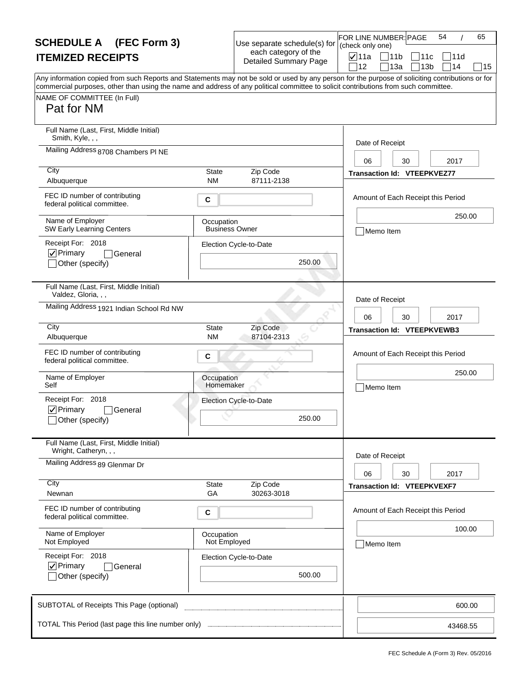| <b>SCHEDULE A</b> (FEC Form 3)                                                                                                                                                                                                                                                                                                       |                                     | Use separate schedule(s) for                         | FOR LINE NUMBER: PAGE<br>(check only one) |                                             | 54         | 65 |
|--------------------------------------------------------------------------------------------------------------------------------------------------------------------------------------------------------------------------------------------------------------------------------------------------------------------------------------|-------------------------------------|------------------------------------------------------|-------------------------------------------|---------------------------------------------|------------|----|
| <b>ITEMIZED RECEIPTS</b>                                                                                                                                                                                                                                                                                                             |                                     | each category of the<br><b>Detailed Summary Page</b> | $\nabla$ 11a<br>12                        | $\Box$ 11b<br>11c<br>13a<br>13 <sub>b</sub> | 11d<br>]14 | 15 |
| Any information copied from such Reports and Statements may not be sold or used by any person for the purpose of soliciting contributions or for<br>commercial purposes, other than using the name and address of any political committee to solicit contributions from such committee.<br>NAME OF COMMITTEE (In Full)<br>Pat for NM |                                     |                                                      |                                           |                                             |            |    |
| Full Name (Last, First, Middle Initial)<br>Smith, Kyle, , ,                                                                                                                                                                                                                                                                          |                                     |                                                      | Date of Receipt                           |                                             |            |    |
| Mailing Address 8708 Chambers PI NE<br>City                                                                                                                                                                                                                                                                                          |                                     |                                                      | 06                                        | 30                                          | 2017       |    |
| Albuquerque                                                                                                                                                                                                                                                                                                                          | State<br><b>NM</b>                  | Zip Code<br>87111-2138                               |                                           | Transaction Id: VTEEPKVEZ77                 |            |    |
| FEC ID number of contributing<br>federal political committee.                                                                                                                                                                                                                                                                        | C                                   |                                                      |                                           | Amount of Each Receipt this Period          |            |    |
| Name of Employer<br>SW Early Learning Centers                                                                                                                                                                                                                                                                                        | Occupation<br><b>Business Owner</b> |                                                      | Memo Item                                 |                                             | 250.00     |    |
| Receipt For: 2018<br> √ Primary<br>General<br>Other (specify)                                                                                                                                                                                                                                                                        |                                     | Election Cycle-to-Date<br>250.00                     |                                           |                                             |            |    |
| Full Name (Last, First, Middle Initial)<br>Valdez, Gloria, , ,                                                                                                                                                                                                                                                                       |                                     |                                                      | Date of Receipt                           |                                             |            |    |
| Mailing Address 1921 Indian School Rd NW                                                                                                                                                                                                                                                                                             |                                     |                                                      | 06                                        | 30                                          | 2017       |    |
| City<br>Albuquerque                                                                                                                                                                                                                                                                                                                  | <b>State</b><br>ΝM                  | Zip Code<br>87104-2313                               |                                           | <b>Transaction Id: VTEEPKVEWB3</b>          |            |    |
| FEC ID number of contributing<br>federal political committee.                                                                                                                                                                                                                                                                        | C                                   |                                                      |                                           | Amount of Each Receipt this Period          |            |    |
| Name of Employer<br>Self                                                                                                                                                                                                                                                                                                             | Occupation<br>Homemaker             |                                                      | Memo Item                                 |                                             | 250.00     |    |
| Receipt For: 2018<br>$\nabla$ Primary<br>General<br>_lOther (specify)                                                                                                                                                                                                                                                                |                                     | Election Cycle-to-Date<br>250.00                     |                                           |                                             |            |    |
| Full Name (Last, First, Middle Initial)<br>Wright, Catheryn, , ,                                                                                                                                                                                                                                                                     |                                     |                                                      | Date of Receipt                           |                                             |            |    |
| Mailing Address 89 Glenmar Dr                                                                                                                                                                                                                                                                                                        |                                     |                                                      | 06                                        | 30                                          | 2017       |    |
| City<br>Newnan                                                                                                                                                                                                                                                                                                                       | State<br>GA                         | Zip Code<br>30263-3018                               |                                           | <b>Transaction Id: VTEEPKVEXF7</b>          |            |    |
| FEC ID number of contributing<br>federal political committee.                                                                                                                                                                                                                                                                        | С                                   |                                                      |                                           | Amount of Each Receipt this Period          |            |    |
| Name of Employer<br>Not Employed                                                                                                                                                                                                                                                                                                     | Occupation<br>Not Employed          |                                                      | Memo Item                                 |                                             | 100.00     |    |
| Receipt For: 2018<br>$\nabla$ Primary<br>General<br>Other (specify)                                                                                                                                                                                                                                                                  |                                     | Election Cycle-to-Date<br>500.00                     |                                           |                                             |            |    |
| SUBTOTAL of Receipts This Page (optional)                                                                                                                                                                                                                                                                                            |                                     |                                                      |                                           |                                             | 600.00     |    |
| TOTAL This Period (last page this line number only)                                                                                                                                                                                                                                                                                  |                                     |                                                      |                                           |                                             | 43468.55   |    |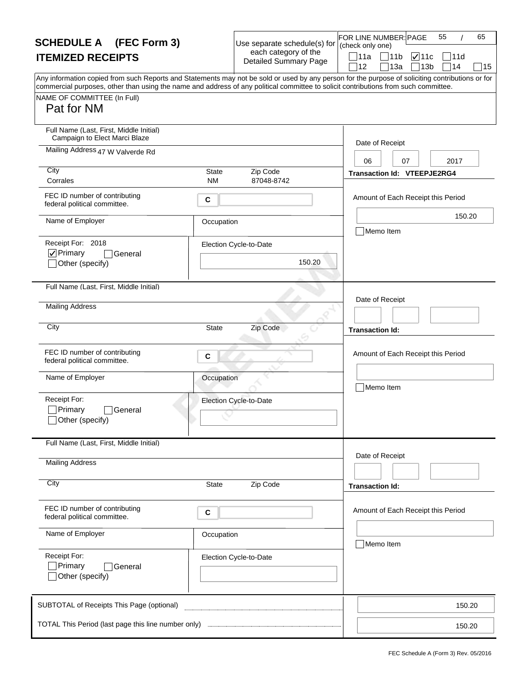| <b>SCHEDULE A</b> (FEC Form 3)                                                                                                                                                                                                                                                          |                                | Use separate schedule(s) for<br>each category of the | 55<br>FOR LINE NUMBER: PAGE<br>65<br>(check only one)                              |
|-----------------------------------------------------------------------------------------------------------------------------------------------------------------------------------------------------------------------------------------------------------------------------------------|--------------------------------|------------------------------------------------------|------------------------------------------------------------------------------------|
| <b>ITEMIZED RECEIPTS</b>                                                                                                                                                                                                                                                                |                                | <b>Detailed Summary Page</b>                         | ่ 111a<br>$\sqrt{11}$<br> 11b<br> 11d<br>12<br>13a<br>13 <sub>b</sub><br>∃14<br>15 |
| Any information copied from such Reports and Statements may not be sold or used by any person for the purpose of soliciting contributions or for<br>commercial purposes, other than using the name and address of any political committee to solicit contributions from such committee. |                                |                                                      |                                                                                    |
| NAME OF COMMITTEE (In Full)<br>Pat for NM                                                                                                                                                                                                                                               |                                |                                                      |                                                                                    |
| Full Name (Last, First, Middle Initial)<br>Campaign to Elect Marci Blaze                                                                                                                                                                                                                |                                |                                                      | Date of Receipt                                                                    |
| Mailing Address 47 W Valverde Rd                                                                                                                                                                                                                                                        |                                |                                                      | 07<br>2017<br>06                                                                   |
| City<br>Corrales                                                                                                                                                                                                                                                                        | Zip Code<br>State<br><b>NM</b> | 87048-8742                                           | <b>Transaction Id: VTEEPJE2RG4</b>                                                 |
| FEC ID number of contributing<br>federal political committee.                                                                                                                                                                                                                           | C                              |                                                      | Amount of Each Receipt this Period                                                 |
| Name of Employer                                                                                                                                                                                                                                                                        | Occupation                     |                                                      | 150.20<br>Memo Item                                                                |
| Receipt For: 2018<br>$\nabla$ Primary<br>General<br>Other (specify)                                                                                                                                                                                                                     | Election Cycle-to-Date         | 150.20                                               |                                                                                    |
| Full Name (Last, First, Middle Initial)                                                                                                                                                                                                                                                 |                                |                                                      |                                                                                    |
| <b>Mailing Address</b>                                                                                                                                                                                                                                                                  |                                |                                                      | Date of Receipt                                                                    |
| City                                                                                                                                                                                                                                                                                    | Zip Code<br><b>State</b>       |                                                      | <b>Transaction Id:</b>                                                             |
| FEC ID number of contributing<br>federal political committee.                                                                                                                                                                                                                           | C                              |                                                      | Amount of Each Receipt this Period                                                 |
| Name of Employer                                                                                                                                                                                                                                                                        | Occupation                     |                                                      | Memo Item                                                                          |
| Receipt For:<br>Primary<br>General<br>∫Other (specify)                                                                                                                                                                                                                                  | Election Cycle-to-Date         |                                                      |                                                                                    |
| Full Name (Last, First, Middle Initial)                                                                                                                                                                                                                                                 |                                |                                                      | Date of Receipt                                                                    |
| <b>Mailing Address</b>                                                                                                                                                                                                                                                                  |                                |                                                      |                                                                                    |
| City                                                                                                                                                                                                                                                                                    | Zip Code<br><b>State</b>       |                                                      | <b>Transaction Id:</b>                                                             |
| FEC ID number of contributing<br>federal political committee.                                                                                                                                                                                                                           | C                              |                                                      | Amount of Each Receipt this Period                                                 |
| Name of Employer                                                                                                                                                                                                                                                                        | Occupation                     |                                                      | Memo Item                                                                          |
| Receipt For:<br>Primary<br>General<br>Other (specify)                                                                                                                                                                                                                                   | Election Cycle-to-Date         |                                                      |                                                                                    |
| SUBTOTAL of Receipts This Page (optional)                                                                                                                                                                                                                                               |                                |                                                      | 150.20                                                                             |
| TOTAL This Period (last page this line number only)                                                                                                                                                                                                                                     |                                |                                                      | 150.20                                                                             |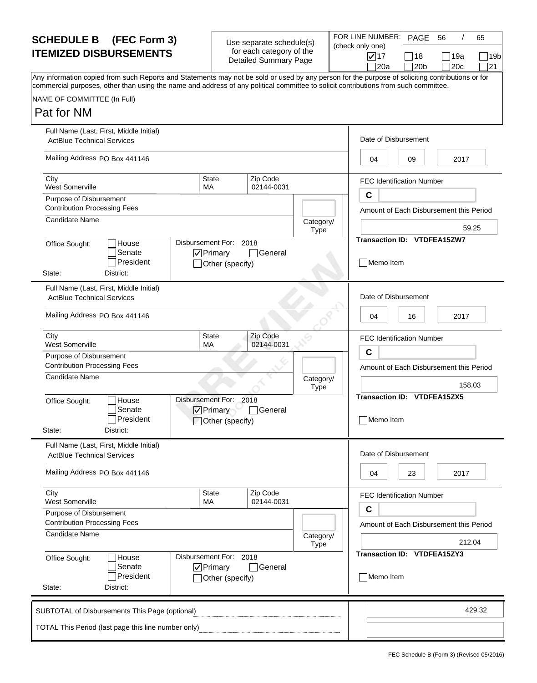| Use separate schedule(s) |  |
|--------------------------|--|
| for each category of the |  |
| Detailed Summary Page    |  |

| <b>SCHEDULE B (FEC Form 3)</b>                                                                                                                                                                                                                                                          | Use separate schedule(s)<br>for each category of the<br><b>Detailed Summary Page</b> | FOR LINE NUMBER: PAGE                   |                                  | 56          | 65                  |
|-----------------------------------------------------------------------------------------------------------------------------------------------------------------------------------------------------------------------------------------------------------------------------------------|--------------------------------------------------------------------------------------|-----------------------------------------|----------------------------------|-------------|---------------------|
| <b>ITEMIZED DISBURSEMENTS</b>                                                                                                                                                                                                                                                           |                                                                                      | (check only one)<br>$\sqrt{17}$<br> 20a | $ 18\rangle$<br>120 <sub>b</sub> | 19a<br>120c | 19b<br>$ 21\rangle$ |
| Any information copied from such Reports and Statements may not be sold or used by any person for the purpose of soliciting contributions or for<br>commercial purposes, other than using the name and address of any political committee to solicit contributions from such committee. |                                                                                      |                                         |                                  |             |                     |
| NAME OF COMMITTEE (In Full)                                                                                                                                                                                                                                                             |                                                                                      |                                         |                                  |             |                     |

#### Pat for NM

| Pat for NM                                                                                                                                        |                                                               |                        |                          |                                                 |
|---------------------------------------------------------------------------------------------------------------------------------------------------|---------------------------------------------------------------|------------------------|--------------------------|-------------------------------------------------|
| Full Name (Last, First, Middle Initial)<br><b>ActBlue Technical Services</b>                                                                      |                                                               |                        |                          | Date of Disbursement                            |
| Mailing Address PO Box 441146                                                                                                                     | 04<br>09<br>2017                                              |                        |                          |                                                 |
| City<br><b>West Somerville</b>                                                                                                                    | <b>FEC Identification Number</b><br>$\mathbf c$               |                        |                          |                                                 |
| Purpose of Disbursement<br><b>Contribution Processing Fees</b>                                                                                    |                                                               |                        |                          | Amount of Each Disbursement this Period         |
| <b>Candidate Name</b>                                                                                                                             |                                                               |                        | Category/<br><b>Type</b> | 59.25                                           |
| Disbursement For: 2018<br>House<br>Office Sought:<br>Senate<br>$\nabla$ Primary<br>General<br>President<br>Other (specify)<br>State:<br>District: |                                                               |                        |                          | Transaction ID: VTDFEA15ZW7<br>Memo Item        |
| Full Name (Last, First, Middle Initial)<br><b>ActBlue Technical Services</b>                                                                      |                                                               |                        |                          | Date of Disbursement                            |
| Mailing Address PO Box 441146                                                                                                                     |                                                               |                        |                          | 04<br>16<br>2017                                |
| City<br><b>West Somerville</b>                                                                                                                    | <b>State</b><br>MA                                            | Zip Code<br>02144-0031 |                          | <b>FEC Identification Number</b><br>$\mathbf c$ |
| Purpose of Disbursement<br><b>Contribution Processing Fees</b>                                                                                    |                                                               |                        |                          | Amount of Each Disbursement this Period         |
| Candidate Name                                                                                                                                    |                                                               |                        | Category/<br><b>Type</b> | 158.03                                          |
| House<br>Office Sought:<br>Senate<br>President<br>District:<br>State:                                                                             | Disbursement For: 2018<br>$\nabla$ Primary<br>Other (specify) | General                |                          | Transaction ID: VTDFEA15ZX5<br>Memo Item        |
| Full Name (Last, First, Middle Initial)<br><b>ActBlue Technical Services</b>                                                                      |                                                               |                        |                          | Date of Disbursement                            |
| Mailing Address PO Box 441146                                                                                                                     |                                                               |                        |                          | 23<br>2017<br>04                                |
| City<br><b>West Somerville</b>                                                                                                                    | <b>State</b><br>МA                                            | Zip Code<br>02144-0031 |                          | <b>FEC Identification Number</b><br>$\mathbf c$ |
| Purpose of Disbursement<br><b>Contribution Processing Fees</b>                                                                                    |                                                               |                        |                          | Amount of Each Disbursement this Period         |
| Candidate Name                                                                                                                                    |                                                               |                        | Category/<br><b>Type</b> | 212.04                                          |
| House<br>Office Sought:<br>Senate<br>President<br>District:<br>State:                                                                             | Disbursement For: 2018<br>$\nabla$ Primary<br>Other (specify) | General                |                          | Transaction ID: VTDFEA15ZY3<br>Memo Item        |
| SUBTOTAL of Disbursements This Page (optional)                                                                                                    |                                                               |                        |                          | 429.32                                          |
| TOTAL This Period (last page this line number only)                                                                                               |                                                               |                        |                          |                                                 |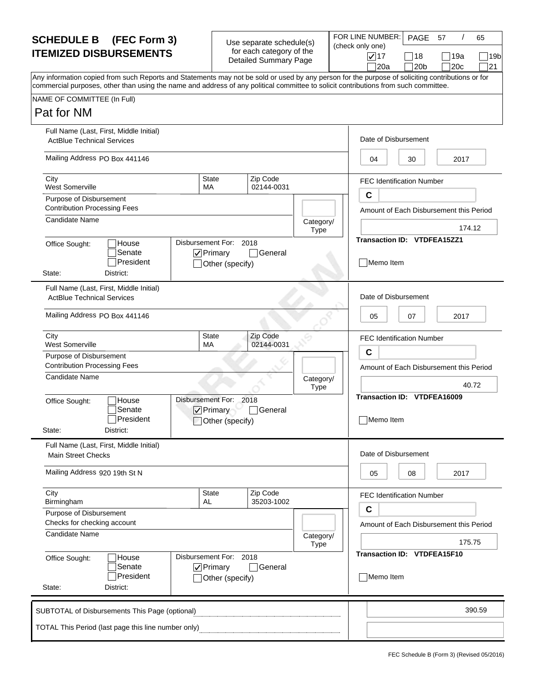| Use separate schedule(s) |
|--------------------------|
| for each category of the |
| Detailed Summary Page    |

| <b>SCHEDULE B</b> (FEC Form 3)                                                                                                                                                                                                                                                          | Use separate schedule(s)                                 | FOR LINE NUMBER:<br>(check only one) | PAGE                   | -57         | 65         |
|-----------------------------------------------------------------------------------------------------------------------------------------------------------------------------------------------------------------------------------------------------------------------------------------|----------------------------------------------------------|--------------------------------------|------------------------|-------------|------------|
| <b>ITEMIZED DISBURSEMENTS</b>                                                                                                                                                                                                                                                           | for each category of the<br><b>Detailed Summary Page</b> | $\sqrt{17}$<br> 20a                  | 18<br> 20 <sub>b</sub> | ∣19a<br>20c | 19b<br> 21 |
| Any information copied from such Reports and Statements may not be sold or used by any person for the purpose of soliciting contributions or for<br>commercial purposes, other than using the name and address of any political committee to solicit contributions from such committee. |                                                          |                                      |                        |             |            |
| NAME OF COMMITTEE (In Full)                                                                                                                                                                                                                                                             |                                                          |                                      |                        |             |            |
| <b>Pat for NM</b>                                                                                                                                                                                                                                                                       |                                                          |                                      |                        |             |            |

| NAME OF COMMITTEE (In Full) |  |
|-----------------------------|--|
|-----------------------------|--|

#### Pat for NM

| Full Name (Last, First, Middle Initial)<br><b>ActBlue Technical Services</b> |                                                               |                          | Date of Disbursement                            |
|------------------------------------------------------------------------------|---------------------------------------------------------------|--------------------------|-------------------------------------------------|
| Mailing Address PO Box 441146                                                |                                                               |                          | 2017<br>04<br>30                                |
| City<br><b>West Somerville</b>                                               | <b>State</b><br>МA                                            | Zip Code<br>02144-0031   | <b>FEC Identification Number</b>                |
| Purpose of Disbursement                                                      |                                                               |                          | $\mathbf c$                                     |
| <b>Contribution Processing Fees</b>                                          |                                                               |                          | Amount of Each Disbursement this Period         |
| Candidate Name                                                               |                                                               | Category/<br><b>Type</b> | 174.12                                          |
| House<br>Office Sought:<br>Senate<br>President<br>State:<br>District:        | Disbursement For: 2018<br>$\nabla$ Primary<br>Other (specify) | General                  | Transaction ID: VTDFEA15ZZ1<br>Memo Item        |
| Full Name (Last, First, Middle Initial)<br><b>ActBlue Technical Services</b> |                                                               |                          | Date of Disbursement                            |
| Mailing Address PO Box 441146                                                |                                                               |                          | 05<br>07<br>2017                                |
| City<br><b>West Somerville</b>                                               | State<br>МA                                                   | Zip Code<br>02144-0031   | <b>FEC Identification Number</b>                |
| Purpose of Disbursement                                                      |                                                               |                          | $\mathbf c$                                     |
| <b>Contribution Processing Fees</b><br>Candidate Name                        |                                                               |                          | Amount of Each Disbursement this Period         |
|                                                                              |                                                               | Category/<br>Type        | 40.72                                           |
| House<br>Office Sought:<br>Senate<br>President<br>District:<br>State:        | Disbursement For: 2018<br>$\nabla$ Primary<br>Other (specify) | $\sqsupset$ General      | <b>Transaction ID: VTDFEA16009</b><br>Memo Item |
| Full Name (Last, First, Middle Initial)<br><b>Main Street Checks</b>         |                                                               |                          | Date of Disbursement                            |
| Mailing Address 920 19th St N                                                |                                                               |                          | 05<br>08<br>2017                                |
| City<br>Birmingham                                                           | <b>State</b><br>AL                                            | Zip Code<br>35203-1002   | <b>FEC Identification Number</b>                |
| Purpose of Disbursement<br>Checks for checking account                       |                                                               |                          | C<br>Amount of Each Disbursement this Period    |
| Candidate Name                                                               |                                                               | Category/<br><b>Type</b> | 175.75                                          |
| House<br>Office Sought:<br>Senate<br>President<br>State:<br>District:        | Disbursement For: 2018<br>$\nabla$ Primary<br>Other (specify) | General                  | Transaction ID: VTDFEA15F10<br>Memo Item        |
| SUBTOTAL of Disbursements This Page (optional)                               |                                                               |                          | 390.59                                          |
| TOTAL This Period (last page this line number only)                          |                                                               |                          |                                                 |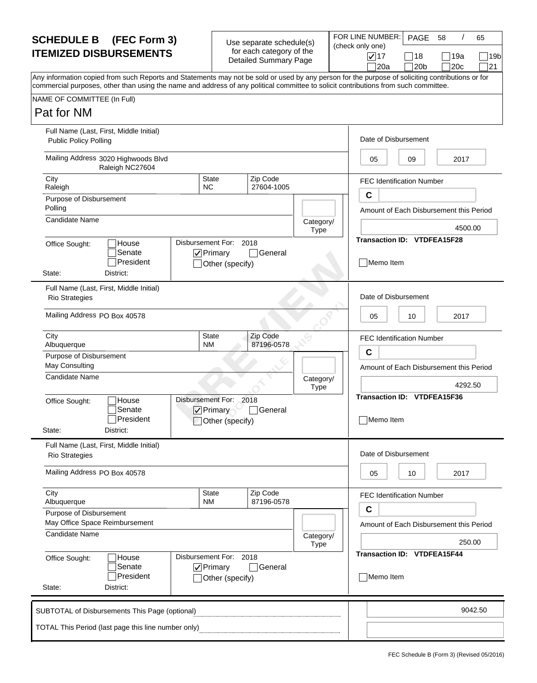| Use separate schedule(s) |  |
|--------------------------|--|
| for each category of the |  |
| Detailed Summary Page    |  |

|                          | . . סוגי       |
|--------------------------|----------------|
| Jse separate schedule(s) | $\vert$ (check |
| for each category of the |                |
| Detailed Summary Page    |                |

FOR LINE NUMBER: 17 18 19a 20a PAGE 58 Any information copied from such Reports and Statements may not be sold or used by any person for the purpose of soliciting contributions or for commercial purposes, other than using the name and address of any political committee to solicit contributions from such committee. only one) /  $\Box$ 19b  $20b$  20c 21 58 65

#### Pat for NM

| <b>ULIUI I VIVI</b>                                                                                                                                        |                                                               |                        |                                              |                                                        |  |  |
|------------------------------------------------------------------------------------------------------------------------------------------------------------|---------------------------------------------------------------|------------------------|----------------------------------------------|--------------------------------------------------------|--|--|
| Full Name (Last, First, Middle Initial)<br><b>Public Policy Polling</b>                                                                                    |                                                               |                        |                                              | Date of Disbursement                                   |  |  |
| Mailing Address 3020 Highwoods Blvd<br>Raleigh NC27604                                                                                                     |                                                               |                        |                                              | 09<br>2017<br>05                                       |  |  |
| City<br>Raleigh                                                                                                                                            | <b>State</b><br><b>NC</b>                                     | Zip Code<br>27604-1005 |                                              | <b>FEC Identification Number</b>                       |  |  |
| Purpose of Disbursement<br>Polling                                                                                                                         |                                                               |                        |                                              | $\mathbf c$<br>Amount of Each Disbursement this Period |  |  |
| <b>Candidate Name</b>                                                                                                                                      |                                                               |                        | Category/<br>Type                            | 4500.00                                                |  |  |
| Disbursement For: 2018<br>House<br>Office Sought:<br>Senate<br>$\nabla$ Primary<br>$\sqcap$ General<br>President<br>Other (specify)<br>State:<br>District: |                                                               |                        |                                              | Transaction ID: VTDFEA15F28<br>Memo Item               |  |  |
| Full Name (Last, First, Middle Initial)<br><b>Rio Strategies</b>                                                                                           |                                                               |                        |                                              | Date of Disbursement                                   |  |  |
| Mailing Address PO Box 40578                                                                                                                               |                                                               |                        |                                              | 05<br>10<br>2017                                       |  |  |
| City<br>Albuquerque                                                                                                                                        | <b>State</b><br><b>NM</b>                                     | Zip Code<br>87196-0578 |                                              | <b>FEC Identification Number</b>                       |  |  |
| Purpose of Disbursement<br>May Consulting                                                                                                                  |                                                               |                        | C<br>Amount of Each Disbursement this Period |                                                        |  |  |
| Candidate Name                                                                                                                                             |                                                               |                        | Category/<br><b>Type</b>                     | 4292.50                                                |  |  |
| Disbursement For: 2018<br>House<br>Office Sought:<br>Senate<br>$\sqrt{}$ Primary<br> General<br>President<br>Other (specify)<br>District:<br>State:        |                                                               |                        |                                              | <b>Transaction ID: VTDFEA15F36</b><br>Memo Item        |  |  |
| Full Name (Last, First, Middle Initial)<br><b>Rio Strategies</b>                                                                                           |                                                               |                        |                                              | Date of Disbursement                                   |  |  |
| Mailing Address PO Box 40578                                                                                                                               |                                                               |                        |                                              | 05<br>2017<br>10                                       |  |  |
| City<br>Albuquerque<br>Purpose of Disbursement                                                                                                             | <b>State</b><br><b>NM</b>                                     | Zip Code<br>87196-0578 |                                              | FEC Identification Number<br>C                         |  |  |
| May Office Space Reimbursement<br><b>Candidate Name</b>                                                                                                    |                                                               |                        | Category/<br>Type                            | Amount of Each Disbursement this Period<br>250.00      |  |  |
| House<br>Office Sought:<br>Senate<br>President<br>State:<br>District:                                                                                      | Disbursement For: 2018<br>$\nabla$ Primary<br>Other (specify) | ่ General              |                                              | Transaction ID: VTDFEA15F44<br>Memo Item               |  |  |
| SUBTOTAL of Disbursements This Page (optional)                                                                                                             |                                                               |                        |                                              | 9042.50                                                |  |  |
| TOTAL This Period (last page this line number only)                                                                                                        |                                                               |                        |                                              |                                                        |  |  |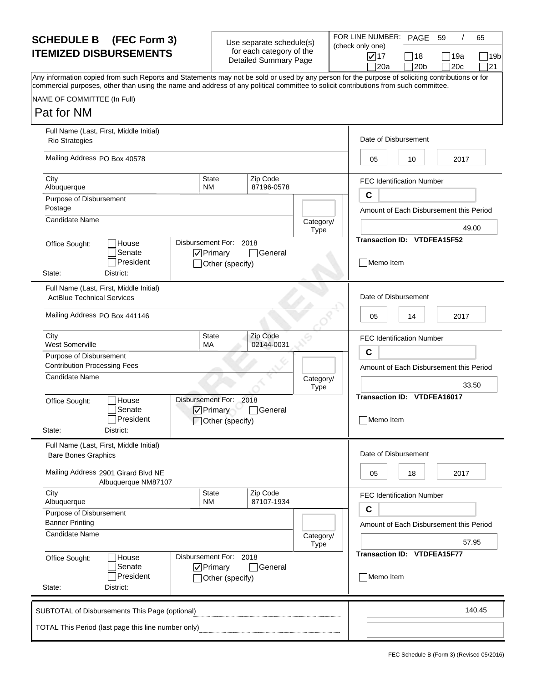| Use separate schedule(s) |  |
|--------------------------|--|
| for each category of the |  |
| Detailed Summary Page    |  |

|                          | .    |
|--------------------------|------|
| Jse separate schedule(s) | (che |
| for each category of the |      |
| Detailed Summary Page    |      |

FOR LINE NUMBER:  $\nabla$ 17 18 19a  $\Box$ 20a PAGE ck only one) /  $\Box$ 20b  $\Box$ 20c  $\Box$ 21 59 65

 $\Box$ 19b

NAME OF COMMITTEE (In Full) Any information copied from such Reports and Statements may not be sold or used by any person for the purpose of soliciting contributions or for commercial purposes, other than using the name and address of any political committee to solicit contributions from such committee. Pat for NM Disbursement For: 2018 87196-0578 Full Name (Last, First, Middle Initial) Date of Disbursement Mailing Address PO Box 40578 City City State 2. 2 | State 2. 2 | Zip Code Albuquerque NM Purpose of Disbursement Postage **Amount of Each Disbursement this Period** Office Sought: **House** President Senate Category/ Type State: District: **D**Primary Other (specify) General **Transaction ID: VTDFEA15F52**  $05$  | 10 | 2017 49.00 Memo Item Rio Strategies Candidate Name FEC Identification Number **C** Disbursement For: 2018 02144-0031 Full Name (Last, First, Middle Initial) Date of Disbursement Mailing Address PO Box 441146 City State Zip Code West Somerville MA Purpose of Disbursement Contribution Processing Fees Amount of Each Disbursement this Period Number of Each Disbursement this Period Office Sought: **House** President Senate Category/ Type State: District:  $\nabla$ Primary Other (specify) □General **Transaction ID: VTDFEA16017** 05 14 14 2017 33.50 Memo Item ActBlue Technical Services Candidate Name FEC Identification Number **C** Disbursement For: 2018 87107-1934 Full Name (Last, First, Middle Initial) Date of Disbursement Mailing Address 2901 Girard Blvd NE City State Zip Code Albuquerque NM Purpose of Disbursement Banner Printing **Amount of Each Disbursement this Period Amount of Each Disbursement this Period** Office Sought: **House** President Senate Category/ Type State: **District:**  $\nabla$  Primary Other (specify) **□General Transaction ID: VTDFEA15F77**  $05$  | 18 | 2017 57.95 Memo Item Bare Bones Graphics Candidate Name Albuquerque NM87107 FEC Identification Number **C** 140.45 TOTAL This Period (last page this line number only) SUBTOTAL of Disbursements This Page (optional)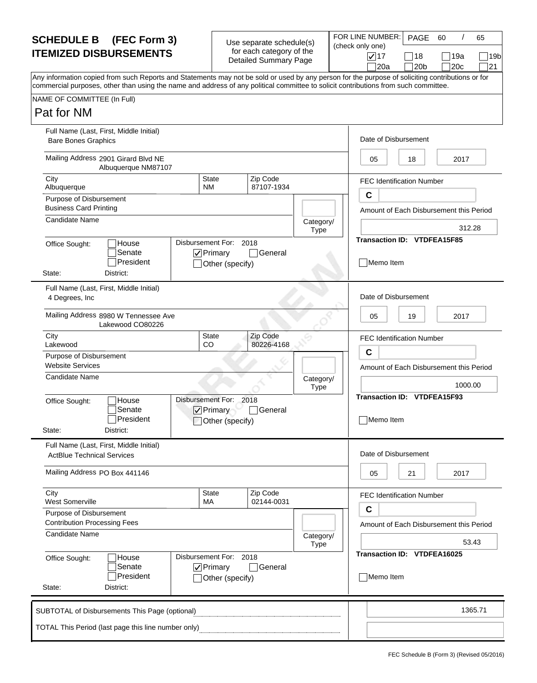| Use separate schedule(s) |  |
|--------------------------|--|
| for each category of the |  |
| Detailed Summary Page    |  |

|                                                      | FOR LINE NUMI    |
|------------------------------------------------------|------------------|
| Jse separate schedule(s)<br>for each category of the | (check only one) |
| Detailed Summary Page                                | $\sqrt{17}$      |
|                                                      |                  |

| <b>SCHEDULE B</b> (FEC Form 3)                                                                                                                                                                                                                                                          | Use separate schedule(s)                                 | FOR LINE NUMBER: I                      | PAGE       | -60         | 65                           |  |
|-----------------------------------------------------------------------------------------------------------------------------------------------------------------------------------------------------------------------------------------------------------------------------------------|----------------------------------------------------------|-----------------------------------------|------------|-------------|------------------------------|--|
| <b>ITEMIZED DISBURSEMENTS</b>                                                                                                                                                                                                                                                           | for each category of the<br><b>Detailed Summary Page</b> | (check only one)<br>$\sqrt{17}$<br>∃20a | 18<br> 20b | 19a<br>120c | 19 <sub>b</sub><br>$\Box$ 21 |  |
| Any information copied from such Reports and Statements may not be sold or used by any person for the purpose of soliciting contributions or for<br>commercial purposes, other than using the name and address of any political committee to solicit contributions from such committee. |                                                          |                                         |            |             |                              |  |
| NAME OF COMMITTEE (In Full)                                                                                                                                                                                                                                                             |                                                          |                                         |            |             |                              |  |

NAME OF COMMITTEE (In Full)

#### Pat for NM

| Full Name (Last, First, Middle Initial)<br><b>Bare Bones Graphics</b>        |                                                               |                        |                          | Date of Disbursement                            |  |  |
|------------------------------------------------------------------------------|---------------------------------------------------------------|------------------------|--------------------------|-------------------------------------------------|--|--|
| Mailing Address 2901 Girard Blvd NE<br>Albuquerque NM87107                   |                                                               |                        |                          | 2017<br>05<br>18                                |  |  |
| City<br>Albuquerque                                                          | <b>State</b><br><b>NM</b>                                     | Zip Code<br>87107-1934 |                          | <b>FEC Identification Number</b>                |  |  |
| Purpose of Disbursement<br><b>Business Card Printing</b>                     |                                                               |                        |                          | C<br>Amount of Each Disbursement this Period    |  |  |
| <b>Candidate Name</b>                                                        |                                                               |                        | Category/                | 312.28                                          |  |  |
| House<br>Office Sought:                                                      | <b>Type</b><br>Disbursement For: 2018                         |                        |                          | Transaction ID: VTDFEA15F85                     |  |  |
| Senate<br>President<br>District:<br>State:                                   | $\nabla$ Primary<br>Other (specify)                           | General                |                          | Memo Item                                       |  |  |
| Full Name (Last, First, Middle Initial)<br>4 Degrees, Inc                    |                                                               |                        |                          | Date of Disbursement                            |  |  |
| Mailing Address 8980 W Tennessee Ave<br>Lakewood CO80226                     |                                                               |                        |                          | 05<br>19<br>2017                                |  |  |
| City<br>Lakewood                                                             | <b>State</b><br><b>CO</b>                                     | Zip Code<br>80226-4168 |                          | <b>FEC Identification Number</b>                |  |  |
| Purpose of Disbursement<br><b>Website Services</b>                           |                                                               |                        |                          | C<br>Amount of Each Disbursement this Period    |  |  |
| Candidate Name                                                               |                                                               |                        | Category/<br><b>Type</b> | 1000.00                                         |  |  |
| House<br>Office Sought:<br>Senate<br>President<br>State:<br>District:        | Disbursement For: 2018<br>$\nabla$ Primary<br>Other (specify) | <b>General</b>         |                          | <b>Transaction ID: VTDFEA15F93</b><br>Memo Item |  |  |
| Full Name (Last, First, Middle Initial)<br><b>ActBlue Technical Services</b> |                                                               |                        |                          | Date of Disbursement                            |  |  |
| Mailing Address PO Box 441146                                                |                                                               |                        |                          | 05<br>2017<br>21                                |  |  |
| City<br>West Somerville                                                      | <b>State</b><br>MA                                            | Zip Code<br>02144-0031 |                          | <b>FEC Identification Number</b>                |  |  |
| Purpose of Disbursement<br><b>Contribution Processing Fees</b>               |                                                               |                        |                          | C<br>Amount of Each Disbursement this Period    |  |  |
| Candidate Name                                                               |                                                               |                        | Category/<br><b>Type</b> | 53.43                                           |  |  |
| House<br>Office Sought:<br>Senate<br>President<br>State:<br>District:        | Disbursement For: 2018<br>$\nabla$ Primary<br>Other (specify) | General                |                          | Transaction ID: VTDFEA16025<br>Memo Item        |  |  |
| SUBTOTAL of Disbursements This Page (optional)                               |                                                               |                        |                          | 1365.71                                         |  |  |
| TOTAL This Period (last page this line number only)                          |                                                               |                        |                          |                                                 |  |  |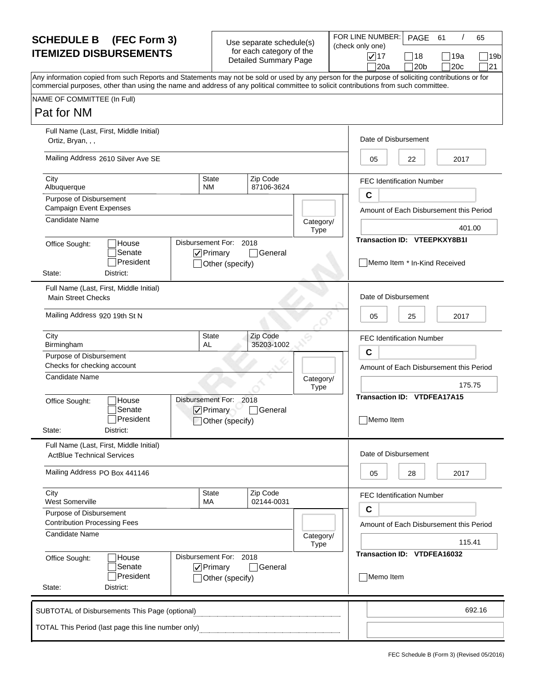| Use separate schedule(s) |  |
|--------------------------|--|
| for each category of the |  |
| Detailed Summary Page    |  |

FOR LINE NUME ry Page (check only one)

| <b>SCHEDULE B (FEC Form 3)</b>                                                                                                                                                                                                                                                          | Use separate schedule(s)                                 | FOR LINE NUMBER:                        | PAGE                   | -61          | 65               |
|-----------------------------------------------------------------------------------------------------------------------------------------------------------------------------------------------------------------------------------------------------------------------------------------|----------------------------------------------------------|-----------------------------------------|------------------------|--------------|------------------|
| <b>ITEMIZED DISBURSEMENTS</b>                                                                                                                                                                                                                                                           | for each category of the<br><b>Detailed Summary Page</b> | (check only one)<br>$\sqrt{17}$<br> 20a | 18<br>120 <sub>b</sub> | ∣19a<br>120c | 19b<br>$\Box$ 21 |
| Any information copied from such Reports and Statements may not be sold or used by any person for the purpose of soliciting contributions or for<br>commercial purposes, other than using the name and address of any political committee to solicit contributions from such committee. |                                                          |                                         |                        |              |                  |
| NAME OF COMMITTEE (In Full)                                                                                                                                                                                                                                                             |                                                          |                                         |                        |              |                  |
| <b>P.A. E.A.</b>                                                                                                                                                                                                                                                                        |                                                          |                                         |                        |              |                  |

#### Pat for NM

| ועורו וטו ואוי                                                               |                                                               |                        |                          |                                                 |
|------------------------------------------------------------------------------|---------------------------------------------------------------|------------------------|--------------------------|-------------------------------------------------|
| Full Name (Last, First, Middle Initial)<br>Ortiz, Bryan, , ,                 |                                                               |                        |                          | Date of Disbursement                            |
| Mailing Address 2610 Silver Ave SE                                           |                                                               |                        |                          | 22<br>2017<br>05                                |
| City<br>Albuquerque                                                          | <b>State</b><br><b>NM</b>                                     | Zip Code<br>87106-3624 |                          | <b>FEC Identification Number</b><br>$\mathbf c$ |
| Purpose of Disbursement                                                      |                                                               |                        |                          |                                                 |
| <b>Campaign Event Expenses</b>                                               |                                                               |                        |                          | Amount of Each Disbursement this Period         |
| Candidate Name                                                               |                                                               |                        | Category/<br><b>Type</b> | 401.00                                          |
|                                                                              |                                                               |                        |                          | <b>Transaction ID: VTEEPKXY8B1I</b>             |
| House<br>Office Sought:<br>Senate<br>President<br>State:<br>District:        | Disbursement For: 2018<br>$\nabla$ Primary<br>Other (specify) | General                |                          | Memo Item * In-Kind Received                    |
| Full Name (Last, First, Middle Initial)<br><b>Main Street Checks</b>         |                                                               |                        |                          | Date of Disbursement                            |
| Mailing Address 920 19th St N                                                |                                                               |                        |                          | 05<br>25<br>2017                                |
| City<br>Birmingham                                                           | <b>State</b><br>AL                                            | Zip Code<br>35203-1002 |                          | <b>FEC Identification Number</b>                |
| Purpose of Disbursement                                                      |                                                               |                        |                          | C                                               |
| Checks for checking account                                                  |                                                               |                        |                          | Amount of Each Disbursement this Period         |
| Candidate Name                                                               |                                                               |                        | Category/<br>Type        | 175.75                                          |
| House<br>Office Sought:<br>Senate<br>President<br>State:<br>District:        | Disbursement For: 2018<br>$\nabla$ Primary<br>Other (specify) | □General               |                          | Transaction ID: VTDFEA17A15<br>Memo Item        |
| Full Name (Last, First, Middle Initial)<br><b>ActBlue Technical Services</b> |                                                               |                        |                          | Date of Disbursement                            |
| Mailing Address PO Box 441146                                                |                                                               |                        |                          | 2017<br>05<br>28                                |
| City<br>West Somerville                                                      | State<br>MA                                                   | Zip Code<br>02144-0031 |                          | <b>FEC Identification Number</b>                |
| Purpose of Disbursement<br><b>Contribution Processing Fees</b>               |                                                               |                        |                          | C<br>Amount of Each Disbursement this Period    |
| <b>Candidate Name</b>                                                        |                                                               |                        | Category/<br><b>Type</b> | 115.41                                          |
| House<br>Office Sought:<br>Senate<br>President<br>State:<br>District:        | Disbursement For: 2018<br>$\nabla$ Primary<br>Other (specify) | General                |                          | Transaction ID: VTDFEA16032<br>Memo Item        |
| SUBTOTAL of Disbursements This Page (optional)                               |                                                               |                        |                          | 692.16                                          |
| TOTAL This Period (last page this line number only)                          |                                                               |                        |                          |                                                 |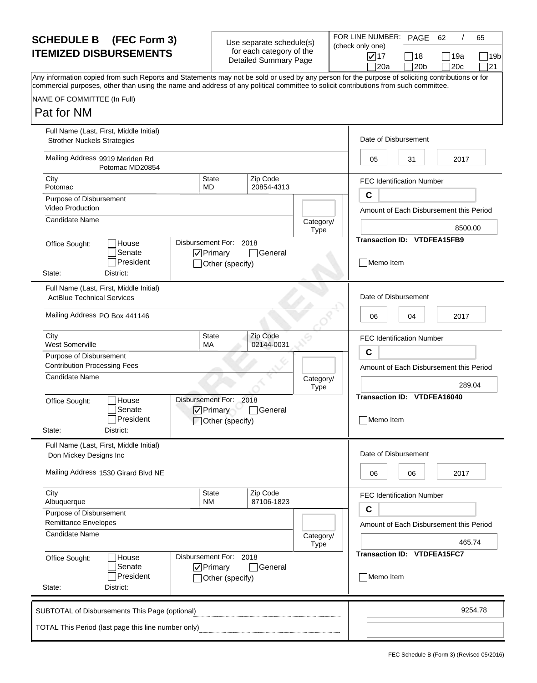| Use separate schedule(s) |  |
|--------------------------|--|
| for each category of the |  |
| Detailed Summary Page    |  |

|                          | ▎▏◡▏▎▂▏▏▚▏▏▎▏    |
|--------------------------|------------------|
| Jse separate schedule(s) | (check only one) |
| for each category of the |                  |
| Detailed Summary Page    | $\sqrt{17}$      |
|                          |                  |

FOR LINE NUMBER: 17 18 19a 20a PAGE 62 / 65 Any information copied from such Reports and Statements may not be sold or used by any person for the purpose of soliciting contributions or for commercial purposes, other than using the name and address of any political committee to solicit contributions from such committee. /  $\Box$ 19b  $20b$  20c 21

|  | NAME OF COMMITTEE (In Full) |  |  |
|--|-----------------------------|--|--|
|  |                             |  |  |

| Pat for NM |  |
|------------|--|
|------------|--|

| Full Name (Last, First, Middle Initial)<br><b>Strother Nuckels Strategies</b> |                                             |                            |                          | Date of Disbursement                                   |
|-------------------------------------------------------------------------------|---------------------------------------------|----------------------------|--------------------------|--------------------------------------------------------|
| Mailing Address 9919 Meriden Rd<br>Potomac MD20854                            |                                             |                            |                          | 2017<br>05<br>31                                       |
| City<br>Potomac                                                               | <b>State</b><br>MD                          | Zip Code<br>20854-4313     |                          | <b>FEC Identification Number</b>                       |
| Purpose of Disbursement<br><b>Video Production</b>                            |                                             |                            |                          | $\mathbf c$<br>Amount of Each Disbursement this Period |
| <b>Candidate Name</b>                                                         |                                             |                            | Category/<br>Type        | 8500.00                                                |
| House<br>Office Sought:<br>Senate<br>President<br>State:<br>District:         | Disbursement For: 2018<br>$\nabla$ Primary  | General<br>Other (specify) |                          | Transaction ID: VTDFEA15FB9<br>Memo Item               |
| Full Name (Last, First, Middle Initial)<br><b>ActBlue Technical Services</b>  |                                             |                            |                          | Date of Disbursement                                   |
| Mailing Address PO Box 441146                                                 |                                             |                            |                          | 04<br>2017<br>06                                       |
| City<br><b>West Somerville</b>                                                | <b>State</b><br>MA                          | Zip Code<br>02144-0031     |                          | <b>FEC Identification Number</b>                       |
| Purpose of Disbursement<br><b>Contribution Processing Fees</b>                |                                             |                            |                          | $\mathbf c$<br>Amount of Each Disbursement this Period |
| <b>Candidate Name</b>                                                         |                                             |                            | Category/<br><b>Type</b> | 289.04                                                 |
| House<br>Office Sought:<br>Senate<br>President<br>State:<br>District:         | Disbursement For: 2018<br>$\sqrt{}$ Primary | General<br>Other (specify) |                          | <b>Transaction ID: VTDFEA16040</b><br>Memo Item        |
| Full Name (Last, First, Middle Initial)<br>Don Mickey Designs Inc             |                                             |                            |                          | Date of Disbursement                                   |
| Mailing Address 1530 Girard Blvd NE                                           |                                             |                            |                          | 2017<br>06<br>06                                       |
| City<br>Albuquerque                                                           | <b>State</b><br><b>NM</b>                   | Zip Code<br>87106-1823     |                          | <b>FEC Identification Number</b><br>C                  |
| Purpose of Disbursement<br><b>Remittance Envelopes</b>                        |                                             |                            |                          | Amount of Each Disbursement this Period                |
| Candidate Name                                                                |                                             |                            | Category/<br>Type        | 465.74                                                 |
| House<br>Office Sought:<br>Senate<br>President<br>State:<br>District:         | Disbursement For: 2018<br>$\nabla$ Primary  | General<br>Other (specify) |                          | Transaction ID: VTDFEA15FC7<br>Memo Item               |
| SUBTOTAL of Disbursements This Page (optional)                                |                                             |                            |                          | 9254.78                                                |
| TOTAL This Period (last page this line number only)                           |                                             |                            |                          |                                                        |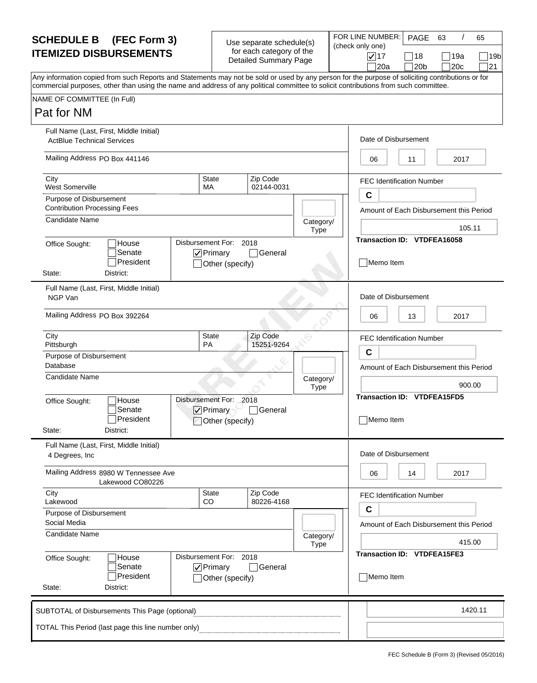| Use separate schedule(s)     |  |
|------------------------------|--|
| for each category of the     |  |
| <b>Detailed Summary Page</b> |  |

|             | FOR LINE NUMBER: |  |
|-------------|------------------|--|
| schedule(s) | (check only one) |  |
| gory of the |                  |  |
| mary Page   | $\sqrt{17}$      |  |

| I EMIZED DISBURSEMENTS                                                                                                                                                                                                                                                                  | <b>101 GACIT CALGUOTY OF LITE</b><br>Detailed Summary Page | $\sqrt{17}$<br> 20a | 18<br> 20 <sub>b</sub> | 19a<br>20c | l 19b<br> 21 |  |  |
|-----------------------------------------------------------------------------------------------------------------------------------------------------------------------------------------------------------------------------------------------------------------------------------------|------------------------------------------------------------|---------------------|------------------------|------------|--------------|--|--|
| Any information copied from such Reports and Statements may not be sold or used by any person for the purpose of soliciting contributions or for<br>commercial purposes, other than using the name and address of any political committee to solicit contributions from such committee. |                                                            |                     |                        |            |              |  |  |
| NAME OF COMMITTEE (In Full)                                                                                                                                                                                                                                                             |                                                            |                     |                        |            |              |  |  |
| Pat for NM                                                                                                                                                                                                                                                                              |                                                            |                     |                        |            |              |  |  |
| $F \cup I$ Nome $I \circ t$ $F$ iret Middle Initial)                                                                                                                                                                                                                                    |                                                            |                     |                        |            |              |  |  |

PAGE 63

/

63 65

| <b>ActBlue Technical Services</b>       | Full Name (Last, First, Middle Initial)                  |                                                               |                        |                   |             | Date of Disbursement               |                                         |
|-----------------------------------------|----------------------------------------------------------|---------------------------------------------------------------|------------------------|-------------------|-------------|------------------------------------|-----------------------------------------|
| Mailing Address PO Box 441146           |                                                          |                                                               |                        |                   | 06          | 11                                 | 2017                                    |
| City<br>West Somerville                 |                                                          | <b>State</b><br>MA                                            | Zip Code<br>02144-0031 |                   |             | <b>FEC Identification Number</b>   |                                         |
| Purpose of Disbursement                 |                                                          |                                                               |                        |                   | $\mathbf c$ |                                    |                                         |
| <b>Contribution Processing Fees</b>     |                                                          |                                                               |                        |                   |             |                                    | Amount of Each Disbursement this Period |
| Candidate Name                          |                                                          |                                                               |                        | Category/<br>Type |             |                                    | 105.11                                  |
| Office Sought:<br>State:                | House<br>Senate<br>President<br>District:                | Disbursement For: 2018<br>$\nabla$ Primary<br>Other (specify) | □General               |                   | Memo Item   | Transaction ID: VTDFEA16058        |                                         |
| NGP Van                                 | Full Name (Last, First, Middle Initial)                  |                                                               |                        |                   |             | Date of Disbursement               |                                         |
| Mailing Address PO Box 392264           |                                                          |                                                               |                        |                   | 06          | 13                                 | 2017                                    |
| City                                    |                                                          | <b>State</b>                                                  | Zip Code               |                   |             | <b>FEC Identification Number</b>   |                                         |
| Pittsburgh                              |                                                          | <b>PA</b>                                                     | 15251-9264             |                   | $\mathbf c$ |                                    |                                         |
| Purpose of Disbursement<br>Database     |                                                          |                                                               |                        |                   |             |                                    | Amount of Each Disbursement this Period |
| <b>Candidate Name</b>                   |                                                          |                                                               |                        | Category/<br>Type |             |                                    | 900.00                                  |
| Office Sought:<br>State:                | House<br>Senate<br>President<br>District:                | Disbursement For: 2018<br>$\nabla$ Primary<br>Other (specify) | General                |                   | Memo Item   | <b>Transaction ID: VTDFEA15FD5</b> |                                         |
| 4 Degrees, Inc                          | Full Name (Last, First, Middle Initial)                  |                                                               |                        |                   |             | Date of Disbursement               |                                         |
|                                         | Mailing Address 8980 W Tennessee Ave<br>Lakewood CO80226 |                                                               |                        |                   | 06          | 14                                 | 2017                                    |
| City<br>Lakewood                        |                                                          | <b>State</b><br>CO                                            | Zip Code<br>80226-4168 |                   |             | <b>FEC Identification Number</b>   |                                         |
| Purpose of Disbursement<br>Social Media |                                                          |                                                               |                        |                   | C           |                                    | Amount of Each Disbursement this Period |
| <b>Candidate Name</b>                   |                                                          |                                                               |                        | Category/<br>Type |             |                                    | 415.00                                  |
| Office Sought:<br>State:                | House<br>Senate<br>President<br>District:                | Disbursement For: 2018<br>$\nabla$ Primary<br>Other (specify) | ่  General             |                   | Memo Item   | <b>Transaction ID: VTDFEA15FE3</b> |                                         |
|                                         | SUBTOTAL of Disbursements This Page (optional)           |                                                               |                        |                   |             |                                    | 1420.11                                 |
|                                         | TOTAL This Period (last page this line number only)      |                                                               |                        |                   |             |                                    |                                         |
|                                         |                                                          |                                                               |                        |                   |             |                                    |                                         |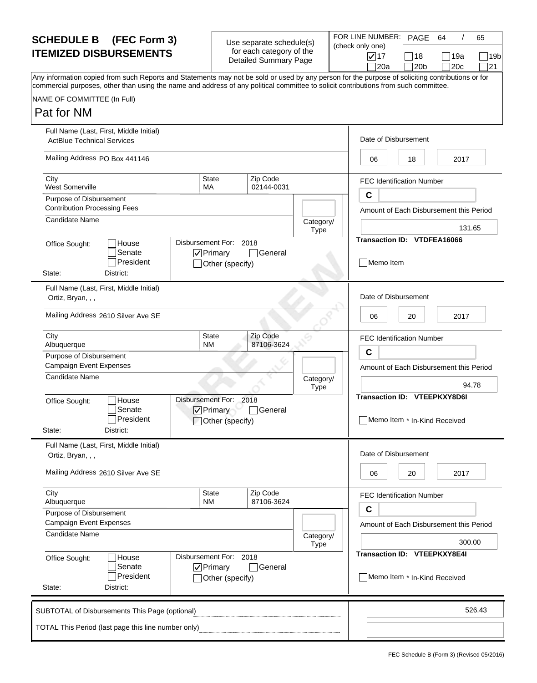| Use separate schedule(s) |
|--------------------------|
| for each category of the |
| Detailed Summary Page    |

|                          | יוו∟ גוש ו |
|--------------------------|------------|
| Jse separate schedule(s) | (check o   |
| for each category of the |            |
| Detailed Summary Page    |            |

| <b>SCHEDULE B</b> (FEC Form 3)                                                                                                                                                                                                                                                          | Use separate schedule(s)                                 | FOR LINE NUMBER:                        | PAGE       | -64          | 65         |
|-----------------------------------------------------------------------------------------------------------------------------------------------------------------------------------------------------------------------------------------------------------------------------------------|----------------------------------------------------------|-----------------------------------------|------------|--------------|------------|
| <b>ITEMIZED DISBURSEMENTS</b>                                                                                                                                                                                                                                                           | for each category of the<br><b>Detailed Summary Page</b> | (check only one)<br>$\sqrt{17}$<br> 20a | 18<br> 20b | 119a<br> 20c | 19b<br> 21 |
| Any information copied from such Reports and Statements may not be sold or used by any person for the purpose of soliciting contributions or for<br>commercial purposes, other than using the name and address of any political committee to solicit contributions from such committee. |                                                          |                                         |            |              |            |
| NAME OF COMMITTEE (In Full)                                                                                                                                                                                                                                                             |                                                          |                                         |            |              |            |
| Pat for NM                                                                                                                                                                                                                                                                              |                                                          |                                         |            |              |            |

| Pat for NM                                                     |                                                     |                                                               |                        |                          |                                                 |                                  |                                         |
|----------------------------------------------------------------|-----------------------------------------------------|---------------------------------------------------------------|------------------------|--------------------------|-------------------------------------------------|----------------------------------|-----------------------------------------|
| <b>ActBlue Technical Services</b>                              | Full Name (Last, First, Middle Initial)             |                                                               |                        |                          |                                                 | Date of Disbursement             |                                         |
| Mailing Address PO Box 441146                                  |                                                     |                                                               |                        |                          | 06                                              | 18                               | 2017                                    |
| City<br><b>West Somerville</b>                                 |                                                     | <b>State</b><br>МA                                            | Zip Code<br>02144-0031 |                          |                                                 | <b>FEC Identification Number</b> |                                         |
| Purpose of Disbursement<br><b>Contribution Processing Fees</b> |                                                     |                                                               |                        |                          | $\mathbf c$                                     |                                  | Amount of Each Disbursement this Period |
| Candidate Name                                                 |                                                     |                                                               |                        | Category/<br><b>Type</b> |                                                 |                                  | 131.65                                  |
| Office Sought:<br>State:                                       | House<br>Senate<br>President<br>District:           | Disbursement For: 2018<br>$\nabla$ Primary<br>Other (specify) | □General               |                          | <b>Transaction ID: VTDFEA16066</b><br>Memo Item |                                  |                                         |
| Ortiz, Bryan, , ,                                              | Full Name (Last, First, Middle Initial)             |                                                               |                        |                          |                                                 | Date of Disbursement             |                                         |
|                                                                | Mailing Address 2610 Silver Ave SE                  |                                                               |                        |                          | 06                                              | 20                               | 2017                                    |
| City<br>Albuquerque                                            |                                                     | <b>State</b><br>NM                                            | Zip Code<br>87106-3624 |                          |                                                 | <b>FEC Identification Number</b> |                                         |
| Purpose of Disbursement<br><b>Campaign Event Expenses</b>      |                                                     |                                                               |                        |                          | C                                               |                                  | Amount of Each Disbursement this Period |
| <b>Candidate Name</b>                                          |                                                     |                                                               |                        | Category/<br><b>Type</b> |                                                 |                                  | 94.78                                   |
| Office Sought:                                                 | House<br>Senate<br>President                        | Disbursement For: 2018<br>$\nabla$ Primary<br>Other (specify) | □General               |                          | <b>Transaction ID: VTEEPKXY8D6I</b>             |                                  | Memo Item * In-Kind Received            |
| State:                                                         | District:                                           |                                                               |                        |                          |                                                 |                                  |                                         |
| Ortiz, Bryan, , ,                                              | Full Name (Last, First, Middle Initial)             |                                                               |                        |                          |                                                 | Date of Disbursement             |                                         |
|                                                                | Mailing Address 2610 Silver Ave SE                  |                                                               |                        |                          | 06                                              | 20                               | 2017                                    |
| City<br>Albuquerque                                            |                                                     | State<br>NM                                                   | Zip Code<br>87106-3624 |                          |                                                 | <b>FEC Identification Number</b> |                                         |
| Purpose of Disbursement<br><b>Campaign Event Expenses</b>      |                                                     |                                                               |                        |                          | $\mathbf c$                                     |                                  | Amount of Each Disbursement this Period |
| Candidate Name                                                 |                                                     |                                                               |                        | Category/<br>Type        |                                                 |                                  | 300.00                                  |
| Office Sought:                                                 | House<br>Senate<br>President                        | Disbursement For: 2018<br>$\nabla$ Primary<br>Other (specify) | General                |                          | Transaction ID: VTEEPKXY8E4I                    |                                  | Memo Item * In-Kind Received            |
| State:                                                         | District:                                           |                                                               |                        |                          |                                                 |                                  |                                         |
|                                                                | SUBTOTAL of Disbursements This Page (optional)      |                                                               |                        |                          |                                                 |                                  | 526.43                                  |
|                                                                | TOTAL This Period (last page this line number only) |                                                               |                        |                          |                                                 |                                  |                                         |